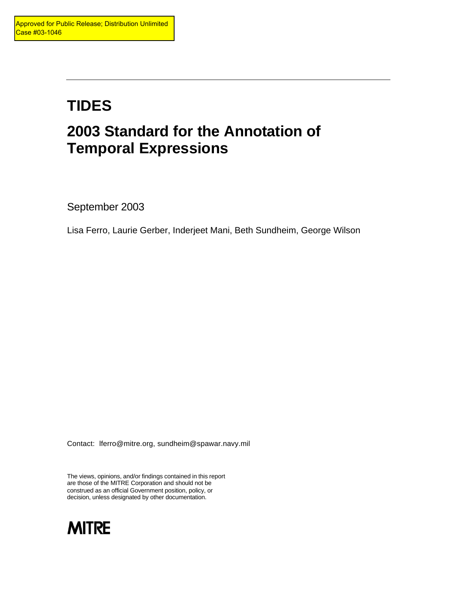# **TIDES 2003 Standard for the Annotation of Temporal Expressions**

September 2003

Lisa Ferro, Laurie Gerber, Inderjeet Mani, Beth Sundheim, George Wilson

Contact: lferro@mitre.org, sundheim@spawar.navy.mil

The views, opinions, and/or findings contained in this report are those of the MITRE Corporation and should not be construed as an official Government position, policy, or decision, unless designated by other documentation.

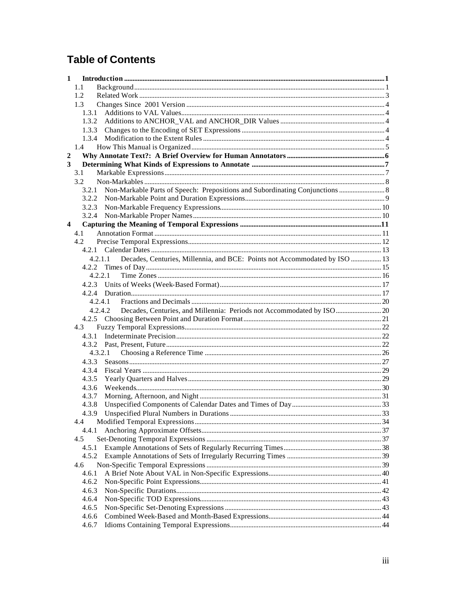# **Table of Contents**

| 1                       |                                                                                       |  |
|-------------------------|---------------------------------------------------------------------------------------|--|
|                         | 1.1                                                                                   |  |
|                         | 1.2                                                                                   |  |
|                         | 1.3                                                                                   |  |
|                         |                                                                                       |  |
|                         |                                                                                       |  |
|                         |                                                                                       |  |
|                         |                                                                                       |  |
|                         | 1.4                                                                                   |  |
| $\overline{2}$          |                                                                                       |  |
| 3                       |                                                                                       |  |
|                         | 3.1                                                                                   |  |
|                         | 3.2                                                                                   |  |
|                         |                                                                                       |  |
|                         |                                                                                       |  |
|                         |                                                                                       |  |
|                         |                                                                                       |  |
| $\overline{\mathbf{4}}$ |                                                                                       |  |
|                         | 4.1                                                                                   |  |
|                         | 4.2                                                                                   |  |
|                         |                                                                                       |  |
|                         | Decades, Centuries, Millennia, and BCE: Points not Accommodated by ISO  13<br>4.2.1.1 |  |
|                         |                                                                                       |  |
|                         | 4.2.2.1                                                                               |  |
|                         |                                                                                       |  |
|                         |                                                                                       |  |
|                         |                                                                                       |  |
|                         | 4.2.4.2<br>Decades, Centuries, and Millennia: Periods not Accommodated by ISO  20     |  |
|                         |                                                                                       |  |
|                         | 4.3                                                                                   |  |
|                         | 4.3.1                                                                                 |  |
|                         |                                                                                       |  |
|                         | 4.3.2.1                                                                               |  |
|                         | 4.3.3                                                                                 |  |
|                         | 4.3.4                                                                                 |  |
|                         | 4.3.5                                                                                 |  |
|                         | 4.3.6                                                                                 |  |
|                         | 4.3.7                                                                                 |  |
|                         | 4.3.8                                                                                 |  |
|                         |                                                                                       |  |
|                         | 4.4                                                                                   |  |
|                         | 4.4.1                                                                                 |  |
|                         | 4.5                                                                                   |  |
|                         | 4.5.1                                                                                 |  |
|                         | 4.5.2                                                                                 |  |
|                         | 4.6                                                                                   |  |
|                         | 4.6.1                                                                                 |  |
|                         | 4.6.2                                                                                 |  |
|                         | 4.6.3                                                                                 |  |
|                         | 4.6.4                                                                                 |  |
|                         | 4.6.5                                                                                 |  |
|                         | 4.6.6                                                                                 |  |
|                         | 4.6.7                                                                                 |  |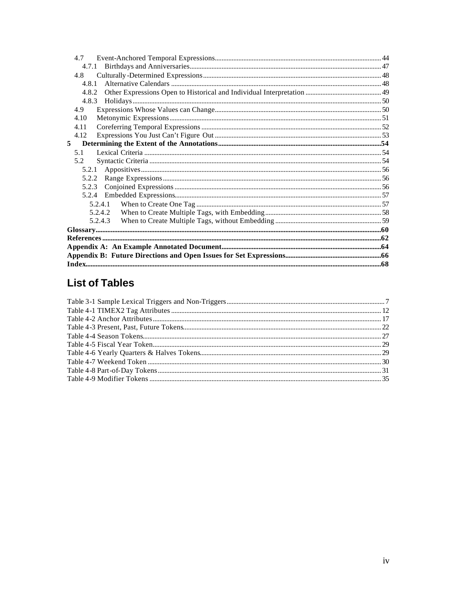| 47      |  |
|---------|--|
| 4.7.1   |  |
| 4.8     |  |
| 4.8.1   |  |
| 4.8.2   |  |
| 4.8.3   |  |
| 4.9     |  |
| 4.10    |  |
| 4.11    |  |
| 4.12    |  |
| 5       |  |
| 5.1     |  |
| 5.2     |  |
| 5.2.1   |  |
| 5.2.2   |  |
| 5.2.3   |  |
| 5.2.4   |  |
| 5.2.4.1 |  |
| 5.2.4.2 |  |
| 5.2.4.3 |  |
|         |  |
|         |  |
|         |  |
|         |  |
|         |  |

# **List of Tables**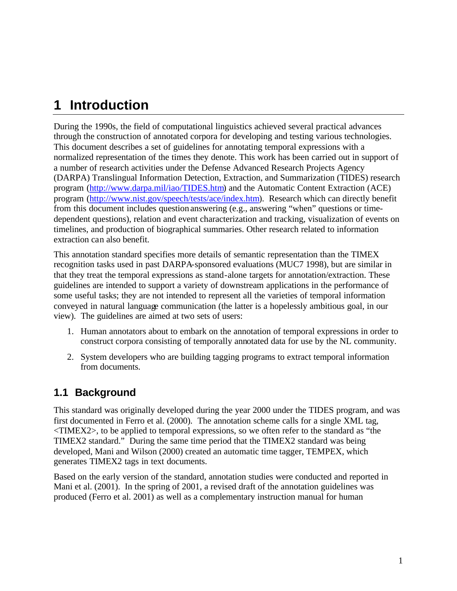# **1 Introduction**

During the 1990s, the field of computational linguistics achieved several practical advances through the construction of annotated corpora for developing and testing various technologies. This document describes a set of guidelines for annotating temporal expressions with a normalized representation of the times they denote. This work has been carried out in support of a number of research activities under the Defense Advanced Research Projects Agency (DARPA) Translingual Information Detection, Extraction, and Summarization (TIDES) research program (http://www.darpa.mil/iao/TIDES.htm) and the Automatic Content Extraction (ACE) program (http://www.nist.gov/speech/tests/ace/index.htm). Research which can directly benefit from this document includes question answering (e.g., answering "when" questions or timedependent questions), relation and event characterization and tracking, visualization of events on timelines, and production of biographical summaries. Other research related to information extraction can also benefit.

This annotation standard specifies more details of semantic representation than the TIMEX recognition tasks used in past DARPA-sponsored evaluations (MUC7 1998), but are similar in that they treat the temporal expressions as stand-alone targets for annotation/extraction. These guidelines are intended to support a variety of downstream applications in the performance of some useful tasks; they are not intended to represent all the varieties of temporal information conveyed in natural language communication (the latter is a hopelessly ambitious goal, in our view). The guidelines are aimed at two sets of users:

- 1. Human annotators about to embark on the annotation of temporal expressions in order to construct corpora consisting of temporally annotated data for use by the NL community.
- 2. System developers who are building tagging programs to extract temporal information from documents.

# **1.1 Background**

This standard was originally developed during the year 2000 under the TIDES program, and was first documented in Ferro et al. (2000). The annotation scheme calls for a single XML tag, <TIMEX2>, to be applied to temporal expressions, so we often refer to the standard as "the TIMEX2 standard." During the same time period that the TIMEX2 standard was being developed, Mani and Wilson (2000) created an automatic time tagger, TEMPEX, which generates TIMEX2 tags in text documents.

Based on the early version of the standard, annotation studies were conducted and reported in Mani et al. (2001). In the spring of 2001, a revised draft of the annotation guidelines was produced (Ferro et al. 2001) as well as a complementary instruction manual for human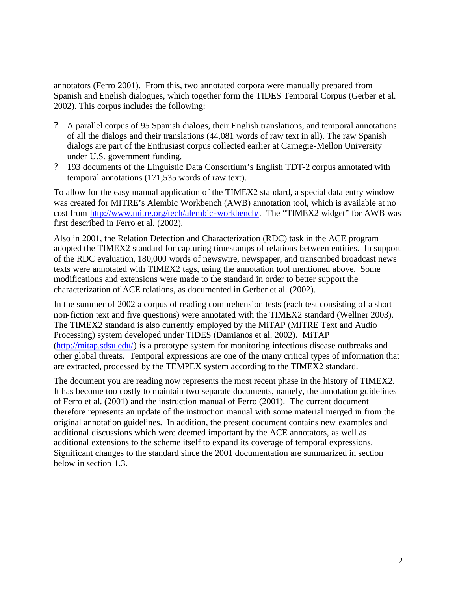annotators (Ferro 2001). From this, two annotated corpora were manually prepared from Spanish and English dialogues, which together form the TIDES Temporal Corpus (Gerber et al. 2002). This corpus includes the following:

- ? A parallel corpus of 95 Spanish dialogs, their English translations, and temporal annotations of all the dialogs and their translations (44,081 words of raw text in all). The raw Spanish dialogs are part of the Enthusiast corpus collected earlier at Carnegie-Mellon University under U.S. government funding.
- ? 193 documents of the Linguistic Data Consortium's English TDT-2 corpus annotated with temporal annotations (171,535 words of raw text).

To allow for the easy manual application of the TIMEX2 standard, a special data entry window was created for MITRE's Alembic Workbench (AWB) annotation tool, which is available at no cost from http://www.mitre.org/tech/alembic-workbench/. The "TIMEX2 widget" for AWB was first described in Ferro et al. (2002).

Also in 2001, the Relation Detection and Characterization (RDC) task in the ACE program adopted the TIMEX2 standard for capturing timestamps of relations between entities. In support of the RDC evaluation, 180,000 words of newswire, newspaper, and transcribed broadcast news texts were annotated with TIMEX2 tags, using the annotation tool mentioned above. Some modifications and extensions were made to the standard in order to better support the characterization of ACE relations, as documented in Gerber et al. (2002).

In the summer of 2002 a corpus of reading comprehension tests (each test consisting of a short non-fiction text and five questions) were annotated with the TIMEX2 standard (Wellner 2003). The TIMEX2 standard is also currently employed by the MiTAP (MITRE Text and Audio Processing) system developed under TIDES (Damianos et al. 2002). MiTAP (http://mitap.sdsu.edu/) is a prototype system for monitoring infectious disease outbreaks and other global threats. Temporal expressions are one of the many critical types of information that are extracted, processed by the TEMPEX system according to the TIMEX2 standard.

The document you are reading now represents the most recent phase in the history of TIMEX2. It has become too costly to maintain two separate documents, namely, the annotation guidelines of Ferro et al. (2001) and the instruction manual of Ferro (2001). The current document therefore represents an update of the instruction manual with some material merged in from the original annotation guidelines. In addition, the present document contains new examples and additional discussions which were deemed important by the ACE annotators, as well as additional extensions to the scheme itself to expand its coverage of temporal expressions. Significant changes to the standard since the 2001 documentation are summarized in section below in section 1.3.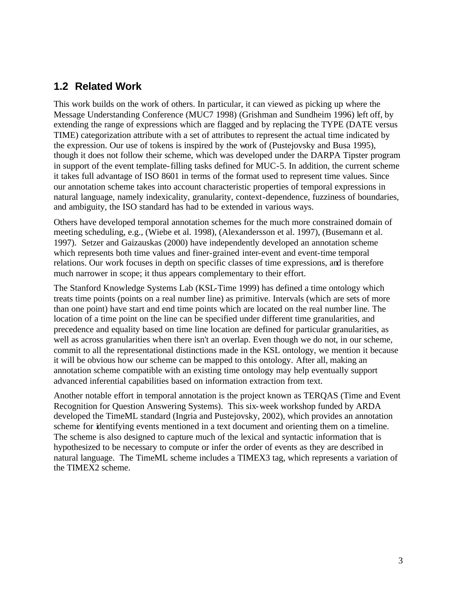# **1.2 Related Work**

This work builds on the work of others. In particular, it can viewed as picking up where the Message Understanding Conference (MUC7 1998) (Grishman and Sundheim 1996) left off, by extending the range of expressions which are flagged and by replacing the TYPE (DATE versus TIME) categorization attribute with a set of attributes to represent the actual time indicated by the expression. Our use of tokens is inspired by the work of (Pustejovsky and Busa 1995), though it does not follow their scheme, which was developed under the DARPA Tipster program in support of the event template-filling tasks defined for MUC-5. In addition, the current scheme it takes full advantage of ISO 8601 in terms of the format used to represent time values. Since our annotation scheme takes into account characteristic properties of temporal expressions in natural language, namely indexicality, granularity, context-dependence, fuzziness of boundaries, and ambiguity, the ISO standard has had to be extended in various ways.

Others have developed temporal annotation schemes for the much more constrained domain of meeting scheduling, e.g., (Wiebe et al. 1998), (Alexandersson et al. 1997), (Busemann et al. 1997). Setzer and Gaizauskas (2000) have independently developed an annotation scheme which represents both time values and finer-grained inter-event and event-time temporal relations. Our work focuses in depth on specific classes of time expressions, and is therefore much narrower in scope; it thus appears complementary to their effort.

The Stanford Knowledge Systems Lab (KSL-Time 1999) has defined a time ontology which treats time points (points on a real number line) as primitive. Intervals (which are sets of more than one point) have start and end time points which are located on the real number line. The location of a time point on the line can be specified under different time granularities, and precedence and equality based on time line location are defined for particular granularities, as well as across granularities when there isn't an overlap. Even though we do not, in our scheme, commit to all the representational distinctions made in the KSL ontology, we mention it because it will be obvious how our scheme can be mapped to this ontology. After all, making an annotation scheme compatible with an existing time ontology may help eventually support advanced inferential capabilities based on information extraction from text.

Another notable effort in temporal annotation is the project known as TERQAS (Time and Event Recognition for Question Answering Systems). This six-week workshop funded by ARDA developed the TimeML standard (Ingria and Pustejovsky, 2002), which provides an annotation scheme for identifying events mentioned in a text document and orienting them on a timeline. The scheme is also designed to capture much of the lexical and syntactic information that is hypothesized to be necessary to compute or infer the order of events as they are described in natural language. The TimeML scheme includes a TIMEX3 tag, which represents a variation of the TIMEX2 scheme.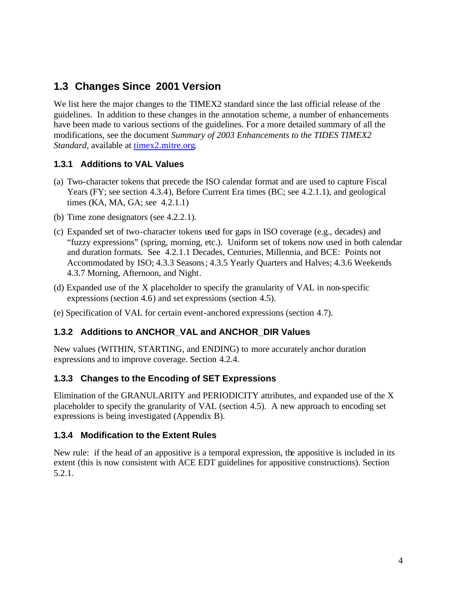# **1.3 Changes Since 2001 Version**

We list here the major changes to the TIMEX2 standard since the last official release of the guidelines. In addition to these changes in the annotation scheme, a number of enhancements have been made to various sections of the guidelines. For a more detailed summary of all the modifications, see the document *Summary of 2003 Enhancements to the TIDES TIMEX2 Standard*, available at timex2.mitre.org.

## **1.3.1 Additions to VAL Values**

- (a) Two-character tokens that precede the ISO calendar format and are used to capture Fiscal Years (FY; see section 4.3.4), Before Current Era times (BC; see 4.2.1.1), and geological times (KA, MA, GA; see 4.2.1.1)
- (b) Time zone designators (see 4.2.2.1).
- (c) Expanded set of two-character tokens used for gaps in ISO coverage (e.g., decades) and "fuzzy expressions" (spring, morning, etc.). Uniform set of tokens now used in both calendar and duration formats. See 4.2.1.1 Decades, Centuries, Millennia, and BCE: Points not Accommodated by ISO; 4.3.3 Seasons ; 4.3.5 Yearly Quarters and Halves; 4.3.6 Weekends 4.3.7 Morning, Afternoon, and Night.
- (d) Expanded use of the X placeholder to specify the granularity of VAL in non-specific expressions (section 4.6) and set expressions (section 4.5).
- (e) Specification of VAL for certain event-anchored expressions (section 4.7).

## **1.3.2 Additions to ANCHOR\_VAL and ANCHOR\_DIR Values**

New values (WITHIN, STARTING, and ENDING) to more accurately anchor duration expressions and to improve coverage. Section 4.2.4.

# **1.3.3 Changes to the Encoding of SET Expressions**

Elimination of the GRANULARITY and PERIODICITY attributes, and expanded use of the X placeholder to specify the granularity of VAL (section 4.5). A new approach to encoding set expressions is being investigated (Appendix B).

## **1.3.4 Modification to the Extent Rules**

New rule: if the head of an appositive is a temporal expression, the appositive is included in its extent (this is now consistent with ACE EDT guidelines for appositive constructions). Section 5.2.1.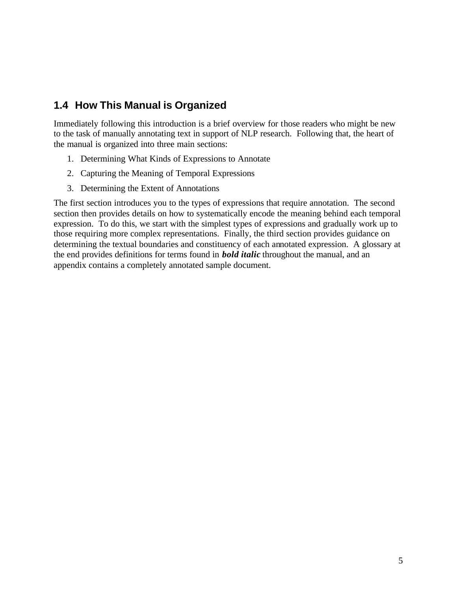# **1.4 How This Manual is Organized**

Immediately following this introduction is a brief overview for those readers who might be new to the task of manually annotating text in support of NLP research. Following that, the heart of the manual is organized into three main sections:

- 1. Determining What Kinds of Expressions to Annotate
- 2. Capturing the Meaning of Temporal Expressions
- 3. Determining the Extent of Annotations

The first section introduces you to the types of expressions that require annotation. The second section then provides details on how to systematically encode the meaning behind each temporal expression. To do this, we start with the simplest types of expressions and gradually work up to those requiring more complex representations. Finally, the third section provides guidance on determining the textual boundaries and constituency of each annotated expression. A glossary at the end provides definitions for terms found in *bold italic* throughout the manual, and an appendix contains a completely annotated sample document.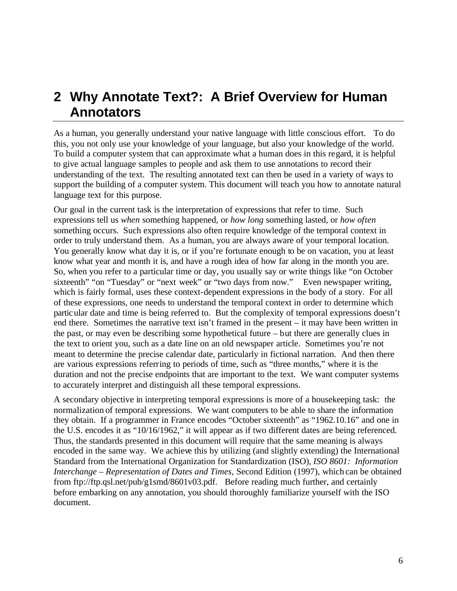# **2 Why Annotate Text?: A Brief Overview for Human Annotators**

As a human, you generally understand your native language with little conscious effort. To do this, you not only use your knowledge of your language, but also your knowledge of the world. To build a computer system that can approximate what a human does in this regard, it is helpful to give actual language samples to people and ask them to use annotations to record their understanding of the text. The resulting annotated text can then be used in a variety of ways to support the building of a computer system. This document will teach you how to annotate natural language text for this purpose.

Our goal in the current task is the interpretation of expressions that refer to time. Such expressions tell us *when* something happened, or *how long* something lasted, or *how often*  something occurs. Such expressions also often require knowledge of the temporal context in order to truly understand them. As a human, you are always aware of your temporal location. You generally know what day it is, or if you're fortunate enough to be on vacation, you at least know what year and month it is, and have a rough idea of how far along in the month you are. So, when you refer to a particular time or day, you usually say or write things like "on October sixteenth" "on "Tuesday" or "next week" or "two days from now." Even newspaper writing, which is fairly formal, uses these context-dependent expressions in the body of a story. For all of these expressions, one needs to understand the temporal context in order to determine which partic ular date and time is being referred to. But the complexity of temporal expressions doesn't end there. Sometimes the narrative text isn't framed in the present – it may have been written in the past, or may even be describing some hypothetical future – but there are generally clues in the text to orient you, such as a date line on an old newspaper article. Sometimes you're not meant to determine the precise calendar date, particularly in fictional narration. And then there are various expressions referring to periods of time, such as "three months," where it is the duration and not the precise endpoints that are important to the text. We want computer systems to accurately interpret and distinguish all these temporal expressions.

A secondary objective in interpreting temporal expressions is more of a housekeeping task: the normalization of temporal expressions. We want computers to be able to share the information they obtain. If a programmer in France encodes "October sixteenth" as "1962.10.16" and one in the U.S. encodes it as "10/16/1962," it will appear as if two different dates are being referenced. Thus, the standards presented in this document will require that the same meaning is always encoded in the same way. We achieve this by utilizing (and slightly extending) the International Standard from the International Organization for Standardization (ISO), *ISO 8601: Information Interchange – Representation of Dates and Times*, Second Edition (1997), which can be obtained from ftp://ftp.qsl.net/pub/g1smd/8601v03.pdf. Before reading much further, and certainly before embarking on any annotation, you should thoroughly familiarize yourself with the ISO document.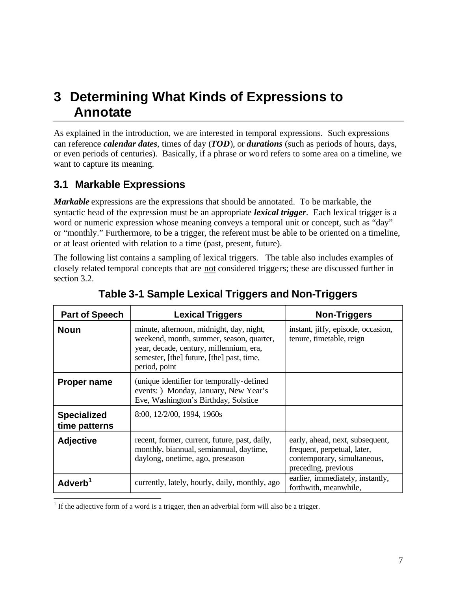# **3 Determining What Kinds of Expressions to Annotate**

As explained in the introduction, we are interested in temporal expressions. Such expressions can reference *calendar dates*, times of day (*TOD*), or *durations* (such as periods of hours, days, or even periods of centuries). Basically, if a phrase or wo rd refers to some area on a timeline, we want to capture its meaning.

# **3.1 Markable Expressions**

*Markable* expressions are the expressions that should be annotated. To be markable, the syntactic head of the expression must be an appropriate *lexical trigger*. Each lexical trigger is a word or numeric expression whose meaning conveys a temporal unit or concept, such as "day" or "monthly." Furthermore, to be a trigger, the referent must be able to be oriented on a timeline, or at least oriented with relation to a time (past, present, future).

The following list contains a sampling of lexical triggers. The table also includes examples of closely related temporal concepts that are not considered trigge rs; these are discussed further in section 3.2.

| <b>Part of Speech</b>               | <b>Lexical Triggers</b>                                                                                                                                                                       | <b>Non-Triggers</b>                                                                                                  |
|-------------------------------------|-----------------------------------------------------------------------------------------------------------------------------------------------------------------------------------------------|----------------------------------------------------------------------------------------------------------------------|
| <b>Noun</b>                         | minute, afternoon, midnight, day, night,<br>weekend, month, summer, season, quarter,<br>year, decade, century, millennium, era,<br>semester, [the] future, [the] past, time,<br>period, point | instant, jiffy, episode, occasion,<br>tenure, timetable, reign                                                       |
| <b>Proper name</b>                  | (unique identifier for temporally-defined)<br>events: ) Monday, January, New Year's<br>Eve, Washington's Birthday, Solstice                                                                   |                                                                                                                      |
| <b>Specialized</b><br>time patterns | 8:00, 12/2/00, 1994, 1960s                                                                                                                                                                    |                                                                                                                      |
| <b>Adjective</b>                    | recent, former, current, future, past, daily,<br>monthly, biannual, semiannual, daytime,<br>daylong, onetime, ago, preseason                                                                  | early, ahead, next, subsequent,<br>frequent, perpetual, later,<br>contemporary, simultaneous,<br>preceding, previous |
| Adverb <sup>1</sup>                 | currently, lately, hourly, daily, monthly, ago                                                                                                                                                | earlier, immediately, instantly,<br>forthwith, meanwhile,                                                            |

# **Table 3-1 Sample Lexical Triggers and Non-Triggers**

 $<sup>1</sup>$  If the adjective form of a word is a trigger, then an adverbial form will also be a trigger.</sup>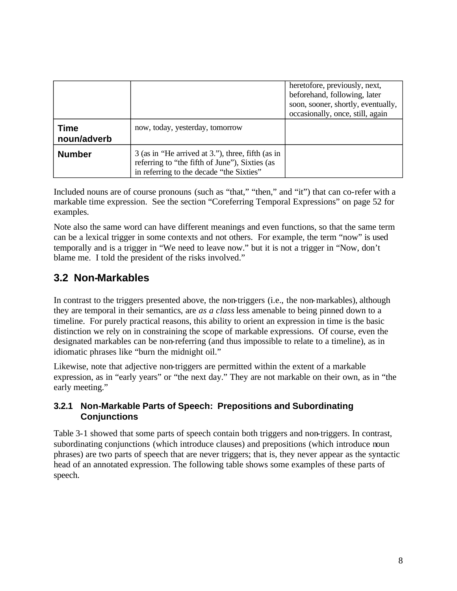|                            |                                                                                                                                                 | heretofore, previously, next,<br>beforehand, following, later<br>soon, sooner, shortly, eventually,<br>occasionally, once, still, again |
|----------------------------|-------------------------------------------------------------------------------------------------------------------------------------------------|-----------------------------------------------------------------------------------------------------------------------------------------|
| <b>Time</b><br>noun/adverb | now, today, yesterday, tomorrow                                                                                                                 |                                                                                                                                         |
| <b>Number</b>              | 3 (as in "He arrived at 3."), three, fifth (as in<br>referring to "the fifth of June"), Sixties (as<br>in referring to the decade "the Sixties" |                                                                                                                                         |

Included nouns are of course pronouns (such as "that," "then," and "it") that can co-refer with a markable time expression. See the section "Coreferring Temporal Expressions" on page 52 for examples.

Note also the same word can have different meanings and even functions, so that the same term can be a lexical trigger in some contexts and not others. For example, the term "now" is used temporally and is a trigger in "We need to leave now." but it is not a trigger in "Now, don't blame me. I told the president of the risks involved."

# **3.2 Non-Markables**

In contrast to the triggers presented above, the non-triggers (i.e., the non-markables), although they are temporal in their semantics, are *as a class* less amenable to being pinned down to a timeline. For purely practical reasons, this ability to orient an expression in time is the basic distinction we rely on in constraining the scope of markable expressions. Of course, even the designated markables can be non-referring (and thus impossible to relate to a timeline), as in idiomatic phrases like "burn the midnight oil."

Likewise, note that adjective non-triggers are permitted within the extent of a markable expression, as in "early years" or "the next day." They are not markable on their own, as in "the early meeting."

## **3.2.1 Non-Markable Parts of Speech: Prepositions and Subordinating Conjunctions**

Table 3-1 showed that some parts of speech contain both triggers and non-triggers. In contrast, subordinating conjunctions (which introduce clauses) and prepositions (which introduce noun phrases) are two parts of speech that are never triggers; that is, they never appear as the syntactic head of an annotated expression. The following table shows some examples of these parts of speech.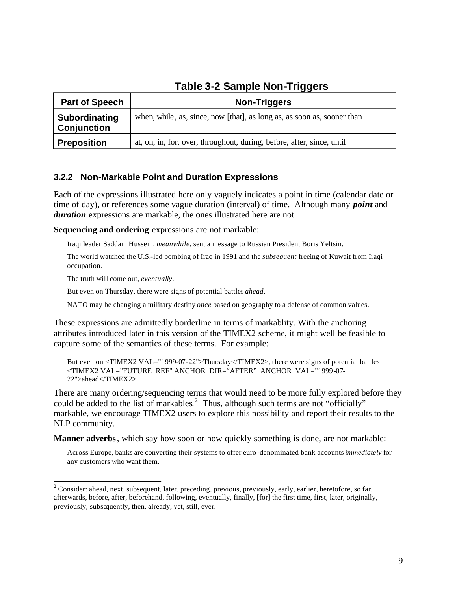| ---                                 |                                                                         |  |
|-------------------------------------|-------------------------------------------------------------------------|--|
| <b>Part of Speech</b>               | <b>Non-Triggers</b>                                                     |  |
| Subordinating<br><b>Conjunction</b> | when, while, as, since, now [that], as long as, as soon as, sooner than |  |
| <b>Preposition</b>                  | at, on, in, for, over, throughout, during, before, after, since, until  |  |

# **Table 3-2 Sample Non-Triggers**

# **3.2.2 Non-Markable Point and Duration Expressions**

Each of the expressions illustrated here only vaguely indicates a point in time (calendar date or time of day), or references some vague duration (interval) of time. Although many *point* and *duration* expressions are markable, the ones illustrated here are not.

**Sequencing and ordering** expressions are not markable:

Iraqi leader Saddam Hussein, *meanwhile*, sent a message to Russian President Boris Yeltsin.

The world watched the U.S.-led bombing of Iraq in 1991 and the *subsequent* freeing of Kuwait from Iraqi occupation.

The truth will come out, *eventually*.

But even on Thursday, there were signs of potential battles *ahead*.

NATO may be changing a military destiny *once* based on geography to a defense of common values.

These expressions are admittedly borderline in terms of markablity. With the anchoring attributes introduced later in this version of the TIMEX2 scheme, it might well be feasible to capture some of the semantics of these terms. For example:

But even on <TIMEX2 VAL="1999-07-22">Thursday</TIMEX2>, there were signs of potential battles <TIMEX2 VAL="FUTURE\_REF" ANCHOR\_DIR="AFTER" ANCHOR\_VAL="1999 -07- 22">ahead</TIMEX2>.

There are many ordering/sequencing terms that would need to be more fully explored before they could be added to the list of markables.<sup>2</sup> Thus, although such terms are not "officially" markable, we encourage TIMEX2 users to explore this possibility and report their results to the NLP community.

**Manner adverbs** , which say how soon or how quickly something is done, are not markable:

Across Europe, banks are converting their systems to offer euro -denominated bank accounts *immediately* for any customers who want them.

 $2^2$  Consider: ahead, next, subsequent, later, preceding, previous, previously, early, earlier, heretofore, so far, afterwards, before, after, beforehand, following, eventually, finally, [for] the first time, first, later, originally, previously, subsequently, then, already, yet, still, ever.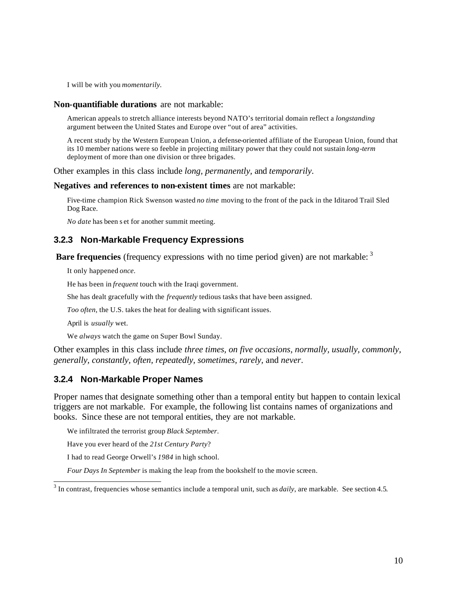I will be with you *momentarily.* 

#### **Non-quantifiable durations** are not markable:

American appeals to stretch alliance interests beyond NATO's territorial domain reflect a *longstanding*  argument between the United States and Europe over "out of area" activities.

A recent study by the Western European Union, a defense-oriented affiliate of the European Union, found that its 10 member nations were so feeble in projecting military power that they could not sustain *long -term*  deployment of more than one division or three brigades.

Other examples in this class include *long, permanently,* and *temporarily*.

#### **Negatives and references to non-existent times** are not markable:

Five-time champion Rick Swenson wasted *no time* moving to the front of the pack in the Iditarod Trail Sled Dog Race.

*No date* has been s et for another summit meeting.

### **3.2.3 Non-Markable Frequency Expressions**

**Bare frequencies** (frequency expressions with no time period given) are not markable: <sup>3</sup>

It only happened *once*.

He has been in *frequent* touch with the Iraqi government.

She has dealt gracefully with the *frequently* tedious tasks that have been assigned.

*Too often*, the U.S. takes the heat for dealing with significant issues.

April is *usually* wet.

We *always* watch the game on Super Bowl Sunday.

Other examples in this class include *three times, on five occasions, normally, usually, commonly, generally, constantly, often, repeatedly, sometimes, rarely,* and *never*.

#### **3.2.4 Non-Markable Proper Names**

Proper names that designate something other than a temporal entity but happen to contain lexical triggers are not markable. For example, the following list contains names of organizations and books. Since these are not temporal entities, they are not markable.

We infiltrated the terrorist group *Black September*.

Have you ever heard of the *21st Century Party*?

I had to read George Orwell's *1984* in high school.

*Four Days In September* is making the leap from the bookshelf to the movie screen.

<sup>&</sup>lt;sup>3</sup> In contrast, frequencies whose semantics include a temporal unit, such as *daily*, are markable. See section 4.5.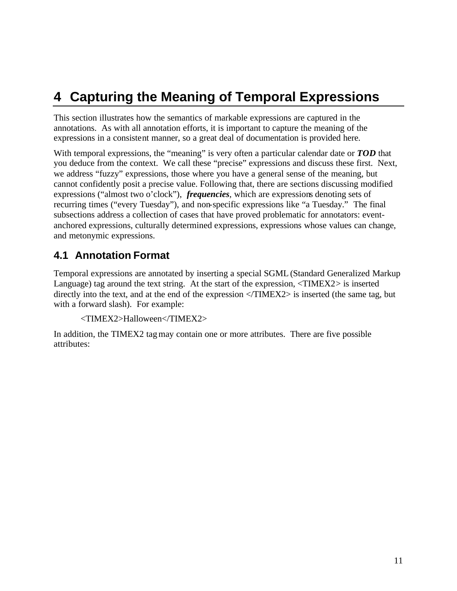# **4 Capturing the Meaning of Temporal Expressions**

This section illustrates how the semantics of markable expressions are captured in the annotations. As with all annotation efforts, it is important to capture the meaning of the expressions in a consistent manner, so a great deal of documentation is provided here.

With temporal expressions, the "meaning" is very often a particular calendar date or **TOD** that you deduce from the context. We call these "precise" expressions and discuss these first. Next, we address "fuzzy" expressions, those where you have a general sense of the meaning, but cannot confidently posit a precise value. Following that, there are sections discussing modified expressions ("almost two o'clock"), *frequencies*, which are expressions denoting sets of recurring times ("every Tuesday"), and non-specific expressions like "a Tuesday." The final subsections address a collection of cases that have proved problematic for annotators: eventanchored expressions, culturally determined expressions, expressions whose values can change, and metonymic expressions.

# **4.1 Annotation Format**

Temporal expressions are annotated by inserting a special SGML (Standard Generalized Markup Language) tag around the text string. At the start of the expression,  $\langle \text{TIMEX2} \rangle$  is inserted directly into the text, and at the end of the expression </TIMEX2> is inserted (the same tag, but with a forward slash). For example:

```
<TIMEX2>Halloween</TIMEX2>
```
In addition, the TIMEX2 tag may contain one or more attributes. There are five possible attributes: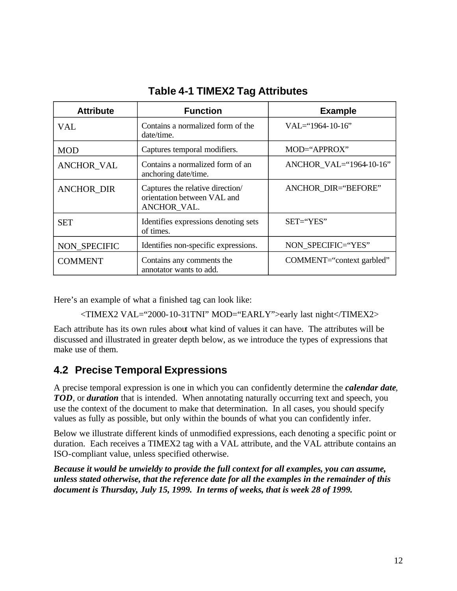| <b>Attribute</b>  | <b>Function</b>                                                                | <b>Example</b>             |
|-------------------|--------------------------------------------------------------------------------|----------------------------|
| VAL               | Contains a normalized form of the<br>date/time.                                | $VAL=$ '1964-10-16''       |
| <b>MOD</b>        | Captures temporal modifiers.                                                   | MOD="APPROX"               |
| <b>ANCHOR VAL</b> | Contains a normalized form of an<br>anchoring date/time.                       | ANCHOR VAL="1964-10-16"    |
| ANCHOR_DIR        | Captures the relative direction/<br>orientation between VAL and<br>ANCHOR VAL. | <b>ANCHOR DIR="BEFORE"</b> |
| <b>SET</b>        | Identifies expressions denoting sets<br>of times.                              | $SET = 'YES'$              |
| NON SPECIFIC      | Identifies non-specific expressions.                                           | NON SPECIFIC="YES"         |
| <b>COMMENT</b>    | Contains any comments the<br>annotator wants to add.                           | COMMENT="context garbled"  |

# **Table 4-1 TIMEX2 Tag Attributes**

Here's an example of what a finished tag can look like:

<TIMEX2 VAL="2000-10-31TNI" MOD="EARLY">early last night</TIMEX2>

Each attribute has its own rules about what kind of values it can have. The attributes will be discussed and illustrated in greater depth below, as we introduce the types of expressions that make use of them.

# **4.2 Precise Temporal Expressions**

A precise temporal expression is one in which you can confidently determine the *calendar date*, *TOD*, or *duration* that is intended. When annotating naturally occurring text and speech, you use the context of the document to make that determination. In all cases, you should specify values as fully as possible, but only within the bounds of what you can confidently infer.

Below we illustrate different kinds of unmodified expressions, each denoting a specific point or duration. Each receives a TIMEX2 tag with a VAL attribute, and the VAL attribute contains an ISO-compliant value, unless specified otherwise.

*Because it would be unwieldy to provide the full context for all examples, you can assume, unless stated otherwise, that the reference date for all the examples in the remainder of this document is Thursday, July 15, 1999. In terms of weeks, that is week 28 of 1999.*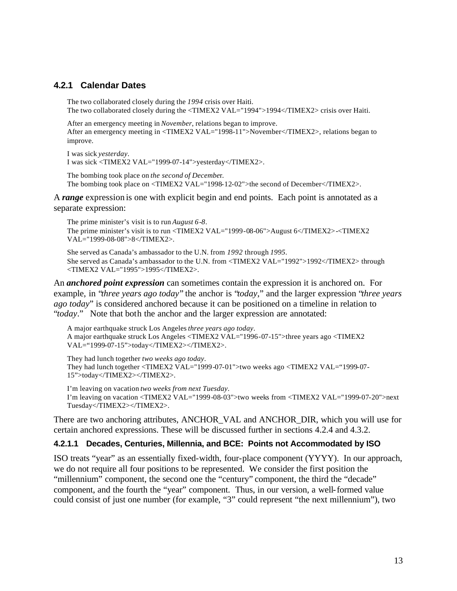### **4.2.1 Calendar Dates**

The two collaborated closely during the *1994* crisis over Haiti. The two collaborated closely during the <TIMEX2 VAL="1994">1994</TIMEX2> crisis over Haiti.

After an emergency meeting in *November*, relations began to improve. After an emergency meeting in <TIMEX2 VAL="1998-11">November</TIMEX2>, relations began to improve.

I was sick *yesterday*. I was sick <TIMEX2 VAL="1999-07-14">yesterday</TIMEX2>.

The bombing took place on *the second of Decembe*r. The bombing took place on <TIMEX2 VAL="1998-12-02">the second of December</TIMEX2>.

A *range* expression is one with explicit begin and end points. Each point is annotated as a separate expression:

The prime minister's visit is to run *August 6*-*8*.

The prime minister's visit is to run <TIMEX2 VAL="1999 -08-06">August 6</TIMEX2>-<TIMEX2 VAL="1999-08-08">8</TIMEX2>.

She served as Canada's ambassador to the U.N. from *1992* through *1995*. She served as Canada's ambassador to the U.N. from <TIMEX2 VAL="1992">1992</TIMEX2> through <TIMEX2 VAL="1995">1995</TIMEX2>.

An *anchored point expression* can sometimes contain the expression it is anchored on. For example, in "*three years ago today*" the anchor is "*today*," and the larger expression "*three years ago today*" is considered anchored because it can be positioned on a timeline in relation to "*today*." Note that both the anchor and the larger expression are annotated:

A major earthquake struck Los Angeles *three years ago today*. A major earthquake struck Los Angeles <TIMEX2 VAL="1996-07-15">three years ago <TIMEX2 VAL="1999-07-15">today</TIMEX2></TIMEX2>.

They had lunch together *two weeks ago today*. They had lunch together <TIMEX2 VAL="1999-07-01">two weeks ago <TIMEX2 VAL="1999-07- 15">today</TIMEX2></TIMEX2>.

I'm leaving on vacation *two weeks from next Tuesday*. I'm leaving on vacation <TIMEX2 VAL="1999-08-03">two weeks from <TIMEX2 VAL="1999-07-20">next Tuesday</TIMEX2></TIMEX2>.

There are two anchoring attributes, ANCHOR\_VAL and ANCHOR\_DIR, which you will use for certain anchored expressions. These will be discussed further in sections 4.2.4 and 4.3.2.

#### **4.2.1.1 Decades, Centuries, Millennia, and BCE: Points not Accommodated by ISO**

ISO treats "year" as an essentially fixed-width, four-place component (YYYY). In our approach, we do not require all four positions to be represented. We consider the first position the "millennium" component, the second one the "century" component, the third the "decade" component, and the fourth the "year" component. Thus, in our version, a well-formed value could consist of just one number (for example, "3" could represent "the next millennium"), two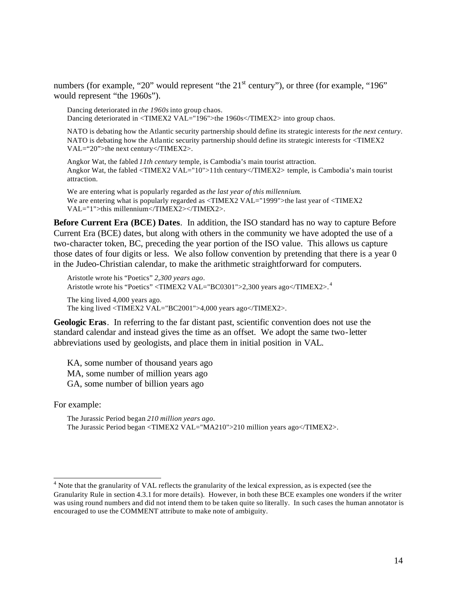numbers (for example, "20" would represent "the  $21<sup>st</sup>$  century"), or three (for example, "196" would represent "the 1960s").

Dancing deteriorated in *the 1960s* into group chaos. Dancing deteriorated in <TIMEX2 VAL="196">the 1960s</TIMEX2> into group chaos.

NATO is debating how the Atlantic security partnership should define its strategic interests for *the next century*. NATO is debating how the Atlantic security partnership should define its strategic interests for <TIMEX2 VAL="20">the next century</TIMEX2>.

Angkor Wat, the fabled *11th century* temple, is Cambodia's main tourist attraction. Angkor Wat, the fabled <TIMEX2 VAL="10">11th century</TIMEX2> temple, is Cambodia's main tourist attraction.

We are entering what is popularly regarded as *the last year of this millennium*. We are entering what is popularly regarded as  $\langle$ TIMEX2 VAL="1999">the last year of  $\langle$ TIMEX2 VAL="1">this millennium</TIMEX2></TIMEX2>.

**Before Current Era (BCE) Dates**. In addition, the ISO standard has no way to capture Before Current Era (BCE) dates, but along with others in the community we have adopted the use of a two-character token, BC, preceding the year portion of the ISO value. This allows us capture those dates of four digits or less. We also follow convention by pretending that there is a year 0 in the Judeo-Christian calendar, to make the arithmetic straightforward for computers.

Aristotle wrote his "Poetics" *2,300 years ago*. Aristotle wrote his "Poetics" <TIMEX2 VAL="BC0301">2,300 years ago</TIMEX2>.<sup>4</sup> The king lived 4,000 years ago. The king lived <TIMEX2 VAL="BC2001">4,000 years ago</TIMEX2>.

**Geologic Eras**. In referring to the far distant past, scientific convention does not use the standard calendar and instead gives the time as an offset. We adopt the same two-letter abbreviations used by geologists, and place them in initial position in VAL.

KA, some number of thousand years ago MA, some number of million years ago GA, some number of billion years ago

For example:

The Jurassic Period began *210 million years ago*. The Jurassic Period began <TIMEX2 VAL="MA210">210 million years ago</TIMEX2>.

 $4$  Note that the granularity of VAL reflects the granularity of the lexical expression, as is expected (see the Granularity Rule in section 4.3.1 for more details). However, in both these BCE examples one wonders if the writer was using round numbers and did not intend them to be taken quite so literally. In such cases the human annotator is encouraged to use the COMMENT attribute to make note of ambiguity.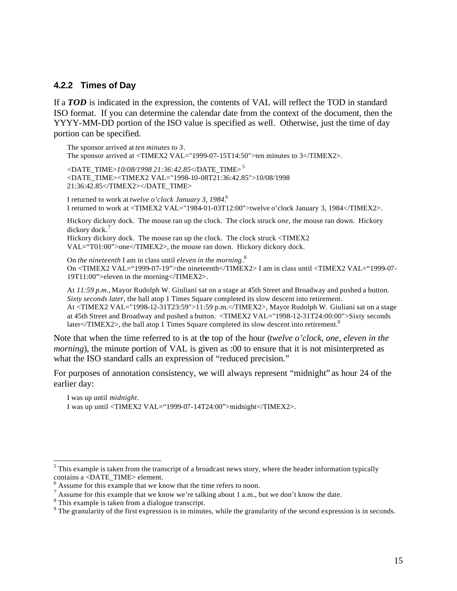#### **4.2.2 Times of Day**

If a *TOD* is indicated in the expression, the contents of VAL will reflect the TOD in standard ISO format. If you can determine the calendar date from the context of the document, then the YYYY-MM-DD portion of the ISO value is specified as well. Otherwise, just the time of day portion can be specified.

The sponsor arrived at *ten minutes to 3*. The sponsor arrived at <TIMEX2 VAL="1999-07-15T14:50">ten minutes to 3</TIMEX2>.

<DATE\_TIME>*10/08/1998 21:36:42.85*</DATE\_TIME> 5 <DATE\_TIME><TIMEX2 VAL="1998-10-08T21:36:42.85">10/08/1998 21:36:42.85</TIMEX2></DATE\_TIME>

I returned to work at *twelve o'clock January 3, 1984*. 6 I returned to work at <TIMEX2 VAL="1984-01-03T12:00">twelve o'clock January 3, 1984</TIMEX2>.

Hickory dickory dock. The mouse ran up the clock. The clock struck *one*, the mouse ran down. Hickory dickory dock.<sup>7</sup> Hickory dickory dock. The mouse ran up the clock. The clock struck <TIMEX2

VAL="T01:00">one</TIMEX2>, the mouse ran down. Hickory dickory dock.

On *the nineteenth* I am in class until *eleven in the morning*. 8 On <TIMEX2 VAL="1999-07-19">the nineteenth</TIMEX2> I am in class until <TIMEX2 VAL="1999-07- 19T11:00">eleven in the morning</TIMEX2>.

At *11:59 p.m.*, Mayor Rudolph W. Giuliani sat on a stage at 45th Street and Broadway and pushed a button. *Sixty seconds later*, the ball atop 1 Times Square completed its slow descent into retirement. At <TIMEX2 VAL="1998-12-31T23:59">11:59 p.m.</TIMEX2>, Mayor Rudolph W. Giuliani sat on a stage at 45th Street and Broadway and pushed a button. <TIMEX2 VAL="1998-12-31T24:00:00">Sixty seconds later</TIMEX2>, the ball atop 1 Times Square completed its slow descent into retirement.<sup>9</sup>

Note that when the time referred to is at the top of the hour (*twelve o'clock, one, eleven in the morning*), the minute portion of VAL is given as :00 to ensure that it is not misinterpreted as what the ISO standard calls an expression of "reduced precision."

For purposes of annotation consistency, we will always represent "midnight" as hour 24 of the earlier day:

I was up until *midnight*. I was up until <TIMEX2 VAL="1999-07-14T24:00">midnight</TIMEX2>.

 $<sup>5</sup>$  This example is taken from the transcript of a broadcast news story, where the header information typically</sup> contains a <DATE\_TIME> element.

 $6$  Assume for this example that we know that the time refers to noon.

<sup>&</sup>lt;sup>7</sup> Assume for this example that we know we're talking about 1 a.m., but we don't know the date.

<sup>&</sup>lt;sup>8</sup> This example is taken from a dialogue transcript.

 $9$  The granularity of the first expression is in minutes, while the granularity of the second expression is in seconds.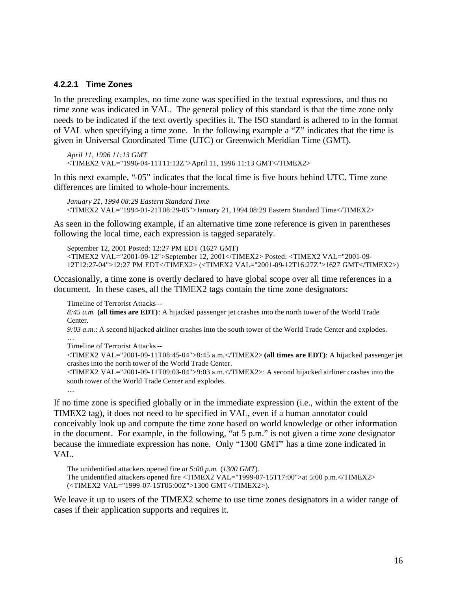#### **4.2.2.1 Time Zones**

In the preceding examples, no time zone was specified in the textual expressions, and thus no time zone was indicated in VAL. The general policy of this standard is that the time zone only needs to be indicated if the text overtly specifies it. The ISO standard is adhered to in the format of VAL when specifying a time zone. In the following example a "Z" indicates that the time is given in Universal Coordinated Time (UTC) or Greenwich Meridian Time (GMT).

```
April 11, 1996 11:13 GMT 
<TIMEX2 VAL="1996-04-11T11:13Z">April 11, 1996 11:13 GMT</TIMEX2>
```
In this next example, "-05" indicates that the local time is five hours behind UTC. Time zone differences are limited to whole-hour increments.

```
January 21, 1994 08:29 Eastern Standard Time 
<TIMEX2 VAL="1994-01-21T08:29-05">January 21, 1994 08:29 Eastern Standard Time</TIMEX2>
```
As seen in the following example, if an alternative time zone reference is given in parentheses following the local time, each expression is tagged separately.

September 12, 2001 Posted: 12:27 PM EDT (1627 GMT) <TIMEX2 VAL="2001-09-12">September 12, 2001</TIMEX2> Posted: <TIMEX2 VAL="2001-09- 12T12:27-04">12:27 PM EDT</TIMEX2> (<TIMEX2 VAL="2001-09-12T16:27Z">1627 GMT</TIMEX2>)

Occasionally, a time zone is overtly declared to have global scope over all time references in a document. In these cases, all the TIMEX2 tags contain the time zone designators:

Timeline of Terrorist Attacks --

*8:45 a.m.* **(all times are EDT)**: A hijacked passenger jet crashes into the north tower of the World Trade Center.

*9:03 a.m*.: A second hijacked airliner crashes into the south tower of the World Trade Center and explodes. …

Timeline of Terrorist Attacks --

…

<TIMEX2 VAL="2001-09-11T08:45-04">8:45 a.m.</TIMEX2> **(all times are EDT)**: A hijacked passenger jet crashes into the north tower of the World Trade Center.

<TIMEX2 VAL="2001-09-11T09:03-04">9:03 a.m.</TIMEX2>: A second hijacked airliner crashes into the south tower of the World Trade Center and explodes.

If no time zone is specified globally or in the immediate expression (i.e., within the extent of the TIMEX2 tag), it does not need to be specified in VAL, even if a human annotator could conceivably look up and compute the time zone based on world knowledge or other information in the document. For example, in the following, "at 5 p.m." is not given a time zone designator because the immediate expression has none. Only "1300 GMT" has a time zone indicated in VAL.

The unidentified attackers opened fire *at 5:00 p.m.* (*1300 GMT*). The unidentified attackers opened fire <TIMEX2 VAL="1999-07-15T17:00">at 5:00 p.m.</TIMEX2> (<TIMEX2 VAL="1999-07-15T05:00Z">1300 GMT</TIMEX2>).

We leave it up to users of the TIMEX2 scheme to use time zones designators in a wider range of cases if their application supports and requires it.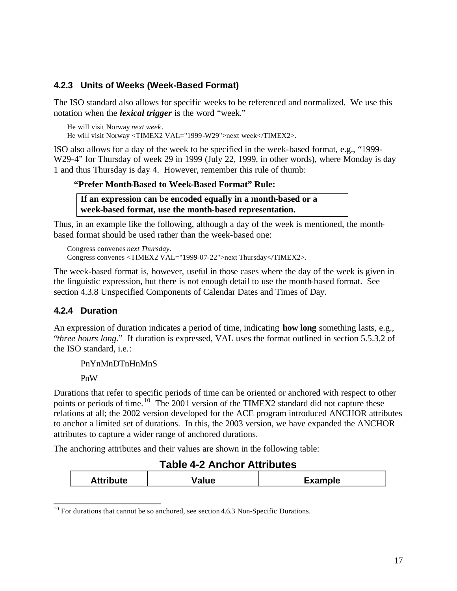## **4.2.3 Units of Weeks (Week-Based Format)**

The ISO standard also allows for specific weeks to be referenced and normalized. We use this notation when the *lexical trigger* is the word "week."

He will visit Norway *next week* . He will visit Norway <TIMEX2 VAL="1999 -W29">next week</TIMEX2>.

ISO also allows for a day of the week to be specified in the week-based format, e.g., "1999- W29-4" for Thursday of week 29 in 1999 (July 22, 1999, in other words), where Monday is day 1 and thus Thursday is day 4. However, remember this rule of thumb:

### **"Prefer Month-Based to Week-Based Format" Rule:**

**If an expression can be encoded equally in a month-based or a week-based format, use the month-based representation.** 

Thus, in an example like the following, although a day of the week is mentioned, the monthbased format should be used rather than the week-based one:

Congress convenes *next Thursday*. Congress convenes <TIMEX2 VAL="1999-07-22">next Thursday</TIMEX2>.

The week-based format is, however, useful in those cases where the day of the week is given in the linguistic expression, but there is not enough detail to use the month-based format. See section 4.3.8 Unspecified Components of Calendar Dates and Times of Day.

## **4.2.4 Duration**

An expression of duration indicates a period of time, indicating **how long** something lasts, e.g., "*three hours long*." If duration is expressed, VAL uses the format outlined in section 5.5.3.2 of the ISO standard, i.e.:

PnYnMnDTnHnMnS

PnW

Durations that refer to specific periods of time can be oriented or anchored with respect to other points or periods of time.<sup>10</sup> The 2001 version of the TIMEX2 standard did not capture these relations at all; the 2002 version developed for the ACE program introduced ANCHOR attributes to anchor a limited set of durations. In this, the 2003 version, we have expanded the ANCHOR attributes to capture a wider range of anchored durations.

The anchoring attributes and their values are shown in the following table:

# **Table 4-2 Anchor Attributes**

| \ 11! L<br>uτe<br>AULIN | aiuc | <b><i>CALCULATION</i></b><br>_xampie |
|-------------------------|------|--------------------------------------|
|                         |      |                                      |

 $10$  For durations that cannot be so anchored, see section 4.6.3 Non-Specific Durations.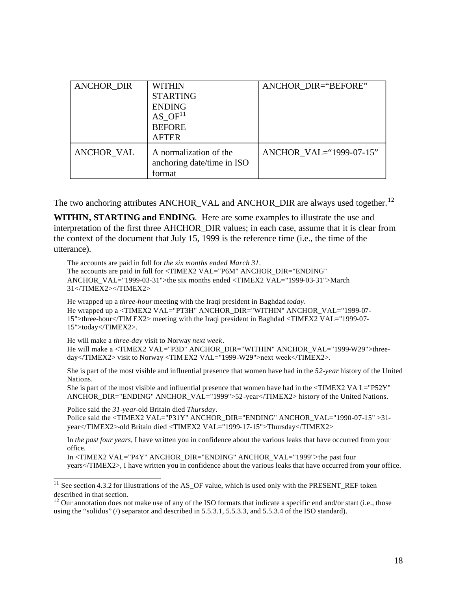| <b>ANCHOR DIR</b> | WITHIN<br><b>STARTING</b><br><b>ENDING</b><br>AS $OF11$<br><b>BEFORE</b> | ANCHOR DIR="BEFORE"     |
|-------------------|--------------------------------------------------------------------------|-------------------------|
|                   | <b>AFTER</b>                                                             |                         |
| ANCHOR VAL        | A normalization of the<br>anchoring date/time in ISO<br>format           | ANCHOR VAL="1999-07-15" |

The two anchoring attributes ANCHOR\_VAL and ANCHOR\_DIR are always used together.<sup>12</sup>

**WITHIN, STARTING and ENDING**. Here are some examples to illustrate the use and interpretation of the first three AHCHOR DIR values; in each case, assume that it is clear from the context of the document that July 15, 1999 is the reference time (i.e., the time of the utterance).

The accounts are paid in full for *the six months ended March 31*. The accounts are paid in full for <TIMEX2 VAL="P6M" ANCHOR\_DIR="ENDING" ANCHOR\_VAL="1999-03-31">the six months ended <TIMEX2 VAL="1999-03-31">March 31</TIMEX2></TIMEX2>

He wrapped up a *three-hour* meeting with the Iraqi president in Baghdad *today*. He wrapped up a <TIMEX2 VAL="PT3H" ANCHOR\_DIR="WITHIN" ANCHOR\_VAL="1999-07- 15">three-hour</TIM EX2> meeting with the Iraqi president in Baghdad <TIMEX2 VAL="1999-07- 15">today</TIMEX2>.

He will make a *three-day* visit to Norway *next week*. He will make a <TIMEX2 VAL="P3D" ANCHOR\_DIR="WITHIN" ANCHOR\_VAL="1999-W29">threeday</TIMEX2> visit to Norway <TIM EX2 VAL="1999-W29">next week</TIMEX2>.

She is part of the most visible and influential presence that women have had in the *52-year* history of the United Nations.

She is part of the most visible and influential presence that women have had in the <TIMEX2 VA L="P52Y" ANCHOR\_DIR="ENDING" ANCHOR\_VAL="1999">52-year</TIMEX2> history of the United Nations.

Police said the *31-year*-old Britain died *Thursday*. Police said the <TIMEX2 VAL="P31Y" ANCHOR\_DIR="ENDING" ANCHOR\_VAL="1990-07-15" >31 year</TIMEX2>-old Britain died <TIMEX2 VAL="1999-17-15">Thursday</TIMEX2>

In *the past four years*, I have written you in confidence about the various leaks that have occurred from your office.

In <TIMEX2 VAL="P4Y" ANCHOR\_DIR="ENDING" ANCHOR\_VAL="1999">the past four years</TIMEX2>, I have written you in confidence about the various leaks that have occurred from your office.

<sup>&</sup>lt;sup>11</sup> See section 4.3.2 for illustrations of the AS\_OF value, which is used only with the PRESENT\_REF token described in that section.

 $12$  Our annotation does not make use of any of the ISO formats that indicate a specific end and/or start (i.e., those using the "solidus" ( $\ell$ ) separator and described in 5.5.3.1, 5.5.3.3, and 5.5.3.4 of the ISO standard).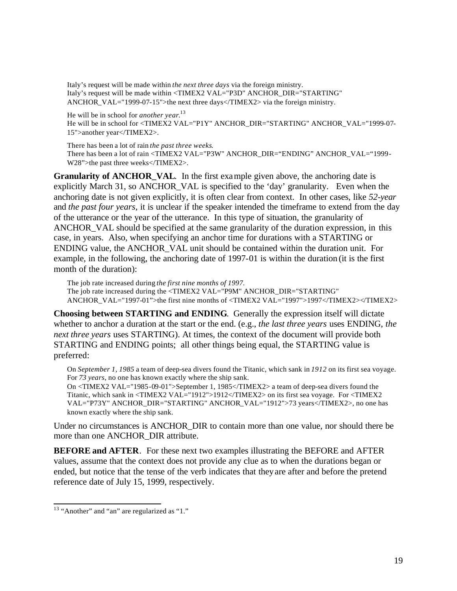Italy's request will be made within *the next three days* via the foreign ministry. Italy's request will be made within <TIMEX2 VAL="P3D" ANCHOR\_DIR="STARTING" ANCHOR VAL="1999-07-15">the next three days</TIMEX2> via the foreign ministry.

He will be in school for *another year*. 13

He will be in school for <TIMEX2 VAL="P1Y" ANCHOR\_DIR="STARTING" ANCHOR\_VAL="1999-07- 15">another year</TIMEX2>.

There has been a lot of rain *the past three weeks*. There has been a lot of rain <TIMEX2 VAL="P3W" ANCHOR\_DIR="ENDING" ANCHOR\_VAL="1999-W28">the past three weeks</TIMEX2>.

**Granularity of ANCHOR\_VAL.** In the first example given above, the anchoring date is explicitly March 31, so ANCHOR\_VAL is specified to the 'day' granularity. Even when the anchoring date is not given explicitly, it is often clear from context. In other cases, like *52-year*  and *the past four years*, it is unclear if the speaker intended the timeframe to extend from the day of the utterance or the year of the utterance. In this type of situation, the granularity of ANCHOR VAL should be specified at the same granularity of the duration expression, in this case, in years. Also, when specifying an anchor time for durations with a STARTING or ENDING value, the ANCHOR\_VAL unit should be contained within the duration unit. For example, in the following, the anchoring date of 1997-01 is within the duration (it is the first month of the duration):

The job rate increased during *the first nine months of 1997.* The job rate increased during the <TIMEX2 VAL="P9M" ANCHOR\_DIR="STARTING" ANCHOR\_VAL="1997-01">the first nine months of <TIMEX2 VAL="1997">1997</TIMEX2></TIMEX2>

**Choosing between STARTING and ENDING**. Generally the expression itself will dictate whether to anchor a duration at the start or the end. (e.g., *the last three years* uses ENDING, *the next three years* uses STARTING). At times, the context of the document will provide both STARTING and ENDING points; all other things being equal, the STARTING value is preferred:

On *September 1, 1985* a team of deep-sea divers found the Titanic, which sank in *1912* on its first sea voyage. For *73 years*, no one has known exactly where the ship sank.

On <TIMEX2 VAL="1985 -09-01">September 1, 1985</TIMEX2> a team of deep-sea divers found the Titanic, which sank in <TIMEX2 VAL="1912">1912</TIMEX2> on its first sea voyage. For <TIMEX2 VAL="P73Y" ANCHOR\_DIR="STARTING" ANCHOR\_VAL="1912">73 years</TIMEX2>, no one has known exactly where the ship sank.

Under no circumstances is ANCHOR\_DIR to contain more than one value, nor should there be more than one ANCHOR\_DIR attribute.

**BEFORE and AFTER**. For these next two examples illustrating the BEFORE and AFTER values, assume that the context does not provide any clue as to when the durations began or ended, but notice that the tense of the verb indicates that they are after and before the pretend reference date of July 15, 1999, respectively.

<sup>&</sup>lt;sup>13</sup> "Another" and "an" are regularized as "1."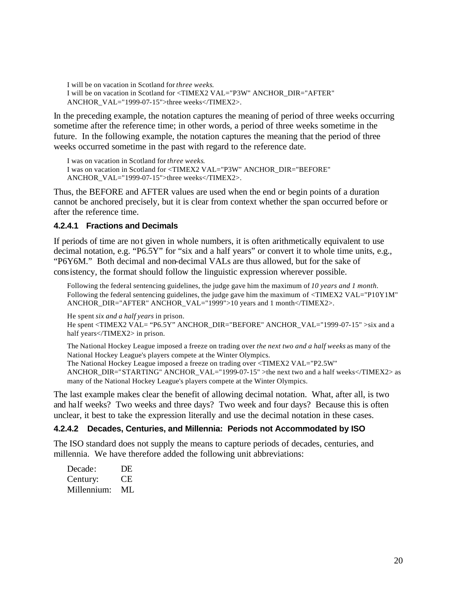I will be on vacation in Scotland for *three weeks*. I will be on vacation in Scotland for <TIMEX2 VAL="P3W" ANCHOR\_DIR="AFTER" ANCHOR\_VAL="1999-07-15">three weeks</TIMEX2>.

In the preceding example, the notation captures the meaning of period of three weeks occurring sometime after the reference time; in other words, a period of three weeks sometime in the future. In the following example, the notation captures the meaning that the period of three weeks occurred sometime in the past with regard to the reference date.

I was on vacation in Scotland for *three weeks*. I was on vacation in Scotland for <TIMEX2 VAL="P3W" ANCHOR\_DIR="BEFORE" ANCHOR\_VAL="1999-07-15">three weeks</TIMEX2>.

Thus, the BEFORE and AFTER values are used when the end or begin points of a duration cannot be anchored precisely, but it is clear from context whether the span occurred before or after the reference time.

#### **4.2.4.1 Fractions and Decimals**

If periods of time are no t given in whole numbers, it is often arithmetically equivalent to use decimal notation, e.g. "P6.5Y" for "six and a half years" or convert it to whole time units, e.g., "P6Y6M." Both decimal and non-decimal VALs are thus allowed, but for the sake of cons istency, the format should follow the linguistic expression wherever possible.

Following the federal sentencing guidelines, the judge gave him the maximum of *10 years and 1 month*. Following the federal sentencing guidelines, the judge gave him the maximum of <TIMEX2 VAL="P10Y1M" ANCHOR\_DIR="AFTER" ANCHOR\_VAL="1999">10 years and 1 month</TIMEX2>.

He spent *six and a half years* in prison. He spent <TIMEX2 VAL= "P6.5Y" ANCHOR\_DIR="BEFORE" ANCHOR\_VAL="1999-07-15" >six and a half years</TIMEX2> in prison.

The National Hockey League imposed a freeze on trading over *the next two and a half weeks* as many of the National Hockey League's players compete at the Winter Olympics. The National Hockey League imposed a freeze on trading over <TIMEX2 VAL="P2.5W" ANCHOR\_DIR="STARTING" ANCHOR\_VAL="1999-07-15" >the next two and a half weeks</TIMEX2> as many of the National Hockey League's players compete at the Winter Olympics.

The last example makes clear the benefit of allowing decimal notation. What, after all, is two and ha lf weeks? Two weeks and three days? Two week and four days? Because this is often unclear, it best to take the expression literally and use the decimal notation in these cases.

#### **4.2.4.2 Decades, Centuries, and Millennia: Periods not Accommodated by ISO**

The ISO standard does not supply the means to capture periods of decades, centuries, and millennia. We have therefore added the following unit abbreviations:

| Decade:     | DE |
|-------------|----|
| Century:    | CЕ |
| Millennium: | ML |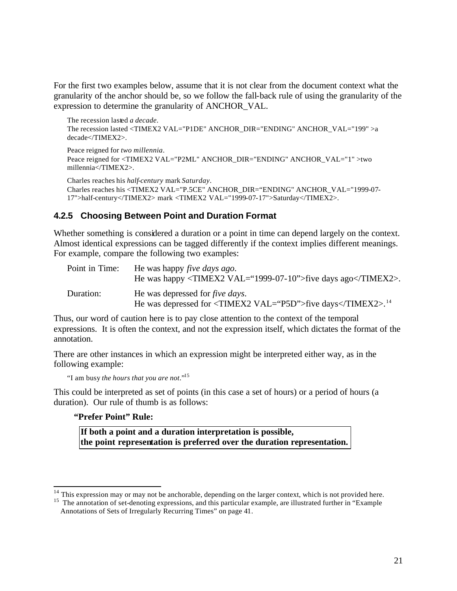For the first two examples below, assume that it is not clear from the document context what the granularity of the anchor should be, so we follow the fall-back rule of using the granularity of the expression to determine the granularity of ANCHOR\_VAL.

```
The recession lasted a decade.
The recession lasted <TIMEX2 VAL="P1DE" ANCHOR_DIR="ENDING" ANCHOR_VAL="199" >a 
decade</TIMEX2>.
Peace reigned for two millennia.
Peace reigned for <TIMEX2 VAL="P2ML" ANCHOR_DIR="ENDING" ANCHOR_VAL="1" >two 
millennia</TIMEX2>.
Charles reaches his half-century mark Saturday.
Charles reaches his <TIMEX2 VAL="P.5CE" ANCHOR_DIR="ENDING" ANCHOR_VAL="1999-07-
```
17">half-century</TIMEX2> mark <TIMEX2 VAL="1999-07-17">Saturday</TIMEX2>.

### **4.2.5 Choosing Between Point and Duration Format**

Whether something is considered a duration or a point in time can depend largely on the context. Almost identical expressions can be tagged differently if the context implies different meanings. For example, compare the following two examples:

| Point in Time: | He was happy <i>five days ago</i> .<br>He was happy $\langle$ TIMEX2 VAL="1999-07-10">five days ago $\langle$ TIMEX2>. |
|----------------|------------------------------------------------------------------------------------------------------------------------|
| Duration:      | He was depressed for <i>five days</i> .<br>He was depressed for <timex2 val="P5D">five days</timex2> . <sup>14</sup>   |

Thus, our word of caution here is to pay close attention to the context of the temporal expressions. It is often the context, and not the expression itself, which dictates the format of the annotation.

There are other instances in which an expression might be interpreted either way, as in the following example:

```
"I am busy the hours that you are not."15
```
This could be interpreted as set of points (in this case a set of hours) or a period of hours (a duration). Our rule of thumb is as follows:

#### **"Prefer Point" Rule:**

**If both a point and a duration interpretation is possible, the point representation is preferred over the duration representation.**

 $14$  This expression may or may not be anchorable, depending on the larger context, which is not provided here.

<sup>&</sup>lt;sup>15</sup> The annotation of set-denoting expressions, and this particular example, are illustrated further in "Example Annotations of Sets of Irregularly Recurring Times" on page 41.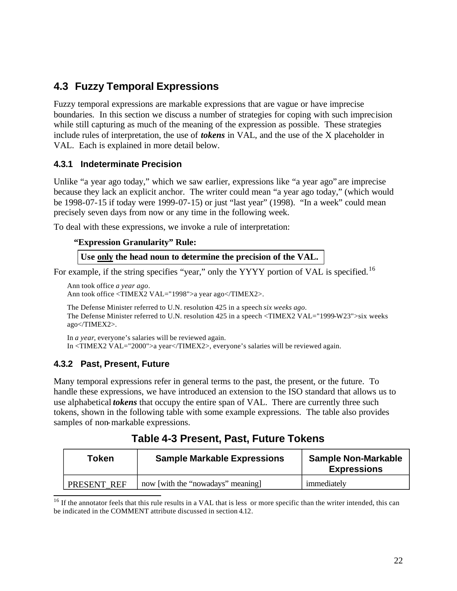# **4.3 Fuzzy Temporal Expressions**

Fuzzy temporal expressions are markable expressions that are vague or have imprecise boundaries. In this section we discuss a number of strategies for coping with such imprecision while still capturing as much of the meaning of the expression as possible. These strategies include rules of interpretation, the use of *tokens* in VAL, and the use of the X placeholder in VAL. Each is explained in more detail below.

## **4.3.1 Indeterminate Precision**

Unlike "a year ago today," which we saw earlier, expressions like "a year ago" are imprecise because they lack an explicit anchor. The writer could mean "a year ago today," (which would be 1998-07-15 if today were 1999-07-15) or just "last year" (1998). "In a week" could mean precisely seven days from now or any time in the following week.

To deal with these expressions, we invoke a rule of interpretation:

#### **"Expression Granularity" Rule:**

**Use only the head noun to determine the precision of the VAL.** 

For example, if the string specifies "year," only the YYYY portion of VAL is specified.<sup>16</sup>

```
Ann took office a year ago.
Ann took office <TIMEX2 VAL="1998">a year ago</TIMEX2>.
```
The Defense Minister referred to U.N. resolution 425 in a speech *six weeks ago*. The Defense Minister referred to U.N. resolution 425 in a speech <TIMEX2 VAL="1999-W23">six weeks ago</TIMEX2>.

In *a year*, everyone's salaries will be reviewed again. In <TIMEX2 VAL="2000">a year</TIMEX2>, everyone's salaries will be reviewed again.

# **4.3.2 Past, Present, Future**

Many temporal expressions refer in general terms to the past, the present, or the future. To handle these expressions, we have introduced an extension to the ISO standard that allows us to use alphabetical *tokens* that occupy the entire span of VAL. There are currently three such tokens, shown in the following table with some example expressions. The table also provides samples of non-markable expressions.

| <b>Token</b> | <b>Sample Markable Expressions</b> | <b>Sample Non-Markable</b><br><b>Expressions</b> |
|--------------|------------------------------------|--------------------------------------------------|
| PRESENT REF  | now [with the "nowadays" meaning]  | immediately                                      |

| Table 4-3 Present, Past, Future Tokens |  |  |  |
|----------------------------------------|--|--|--|
|----------------------------------------|--|--|--|

 $16$  If the annotator feels that this rule results in a VAL that is less or more specific than the writer intended, this can be indicated in the COMMENT attribute discussed in section 4.12.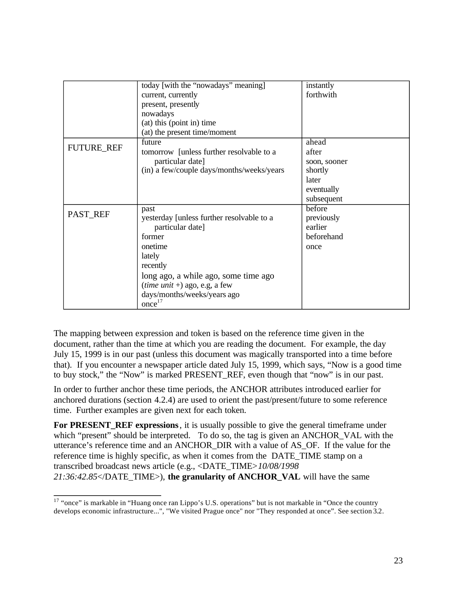|                   | today [with the "nowadays" meaning]       | instantly    |
|-------------------|-------------------------------------------|--------------|
|                   | current, currently                        | forthwith    |
|                   | present, presently                        |              |
|                   | nowadays                                  |              |
|                   | (at) this (point in) time                 |              |
|                   | (at) the present time/moment              |              |
|                   | future                                    | ahead        |
| <b>FUTURE_REF</b> | tomorrow [unless further resolvable to a  | after        |
|                   | particular date]                          | soon, sooner |
|                   | (in) a few/couple days/months/weeks/years | shortly      |
|                   |                                           | later        |
|                   |                                           | eventually   |
|                   |                                           | subsequent   |
|                   | past                                      | before       |
| PAST_REF          | yesterday [unless further resolvable to a | previously   |
|                   | particular date]                          | earlier      |
|                   | former                                    | beforehand   |
|                   | onetime                                   | once         |
|                   | lately                                    |              |
|                   | recently                                  |              |
|                   | long ago, a while ago, some time ago      |              |
|                   | ( <i>time unit</i> +) ago, e.g, a few     |              |
|                   | days/months/weeks/years ago               |              |
|                   | once <sup>17</sup>                        |              |

The mapping between expression and token is based on the reference time given in the document, rather than the time at which you are reading the document. For example, the day July 15, 1999 is in our past (unless this document was magically transported into a time before that). If you encounter a newspaper article dated July 15, 1999, which says, "Now is a good time to buy stock," the "Now" is marked PRESENT\_REF, even though that "now" is in our past.

In order to further anchor these time periods, the ANCHOR attributes introduced earlier for anchored durations (section 4.2.4) are used to orient the past/present/future to some reference time. Further examples are given next for each token.

**For PRESENT REF expressions**, it is usually possible to give the general timeframe under which "present" should be interpreted. To do so, the tag is given an ANCHOR VAL with the utterance's reference time and an ANCHOR\_DIR with a value of AS\_OF. If the value for the reference time is highly specific, as when it comes from the DATE\_TIME stamp on a transcribed broadcast news article (e.g., <DATE\_TIME>*10/08/1998 21:36:42.85*</DATE\_TIME>), **the granularity of ANCHOR\_VAL** will have the same

<sup>&</sup>lt;sup>17</sup> "once" is markable in "Huang once ran Lippo's U.S. operations" but is not markable in "Once the country" develops economic infrastructure...", "We visited Prague once" nor "They responded at once". See section 3.2.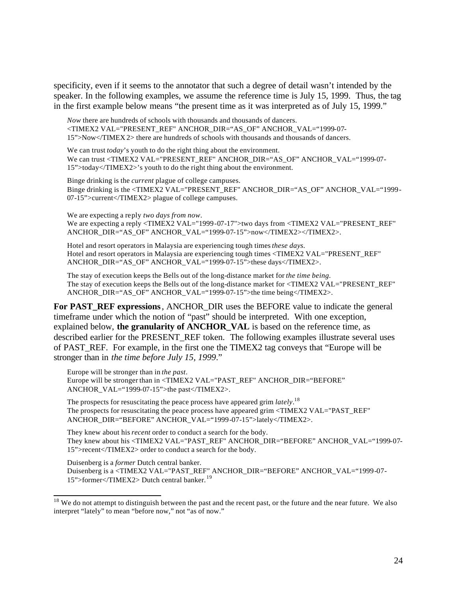specificity, even if it seems to the annotator that such a degree of detail wasn't intended by the speaker. In the following examples, we assume the reference time is July 15, 1999. Thus, the tag in the first example below means "the present time as it was interpreted as of July 15, 1999."

*Now* there are hundreds of schools with thousands and thousands of dancers. <TIMEX2 VAL="PRESENT\_REF" ANCHOR\_DIR="AS\_OF" ANCHOR\_VAL="1999-07- 15">Now</TIMEX 2> there are hundreds of schools with thousands and thousands of dancers.

We can trust *today*'s youth to do the right thing about the environment. We can trust <TIMEX2 VAL="PRESENT\_REF" ANCHOR\_DIR="AS\_OF" ANCHOR\_VAL="1999-07-15">today</TIMEX2>'s youth to do the right thing about the environment.

Binge drinking is the *current* plague of college campuses. Binge drinking is the <TIMEX2 VAL="PRESENT\_REF" ANCHOR\_DIR="AS\_OF" ANCHOR\_VAL="1999-07-15">current</TIMEX2> plague of college campuses.

We are expecting a re ply *two days from now*. We are expecting a reply <TIMEX2 VAL="1999-07-17">two days from <TIMEX2 VAL="PRESENT\_REF" ANCHOR\_DIR="AS\_OF" ANCHOR\_VAL="1999-07-15">now</TIMEX2></TIMEX2>.

Hotel and resort operators in Malaysia are experiencing tough times *these days*. Hotel and resort operators in Malaysia are experiencing tough times <TIMEX2 VAL="PRESENT\_REF" ANCHOR\_DIR="AS\_OF" ANCHOR\_VAL="1999-07-15">these days</TIMEX2>.

The stay of execution keeps the Bells out of the long-distance market for *the time being*. The stay of execution keeps the Bells out of the long-distance market for  $\langle$ TIMEX2 VAL="PRESENT\_REF" ANCHOR\_DIR="AS\_OF" ANCHOR\_VAL="1999-07-15">the time being</TIMEX2>.

**For PAST\_REF expressions** , ANCHOR\_DIR uses the BEFORE value to indicate the general timeframe under which the notion of "past" should be interpreted. With one exception, explained below, **the granularity of ANCHOR\_VAL** is based on the reference time, as described earlier for the PRESENT REF token. The following examples illustrate several uses of PAST\_REF. For example, in the first one the TIMEX2 tag conveys that "Europe will be stronger than in *the time before July 15, 1999*."

Europe will be stronger than in *the past*. Europe will be stronger than in <TIMEX2 VAL="PAST\_REF" ANCHOR\_DIR="BEFORE" ANCHOR\_VAL="1999-07-15">the past</TIMEX2>.

The prospects for resuscitating the peace process have appeared grim *lately*. 18 The prospects for resuscitating the peace process have appeared grim <TIMEX2 VAL="PAST\_REF" ANCHOR\_DIR="BEFORE" ANCHOR\_VAL="1999-07-15">lately</TIMEX2>.

They knew about his *recent* order to conduct a search for the body. They knew about his <TIMEX2 VAL="PAST\_REF" ANCHOR\_DIR="BEFORE" ANCHOR\_VAL="1999-07- 15">recent</TIMEX2> order to conduct a search for the body.

Duisenberg is a *former* Dutch central banker. Duisenberg is a <TIMEX2 VAL="PAST\_REF" ANCHOR\_DIR="BEFORE" ANCHOR\_VAL="1999-07- 15">former</TIMEX2> Dutch central banker. <sup>19</sup>

 $18$  We do not attempt to distinguish between the past and the recent past, or the future and the near future. We also interpret "lately" to mean "before now," not "as of now."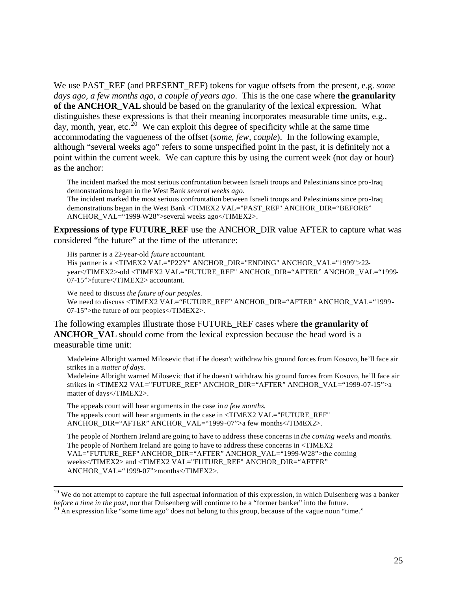We use PAST\_REF (and PRESENT\_REF) tokens for vague offsets from the present, e.g. *some days ago, a few months ago, a couple of years ago*. This is the one case where **the granularity of the ANCHOR VAL** should be based on the granularity of the lexical expression. What distinguishes these expressions is that their meaning incorporates measurable time units, e.g., day, month, year, etc.<sup>20</sup> We can exploit this degree of specificity while at the same time accommodating the vagueness of the offset (*some, few, couple*). In the following example, although "several weeks ago" refers to some unspecified point in the past, it is definitely not a point within the current week. We can capture this by using the current week (not day or hour) as the anchor:

The incident marked the most serious confrontation between Israeli troops and Palestinians since pro-Iraq demonstrations began in the West Bank *several weeks ago*.

The incident marked the most serious confrontation between Israeli troops and Palestinians since pro-Iraq demonstrations began in the West Bank <TIMEX2 VAL="PAST\_REF" ANCHOR\_DIR="BEFORE" ANCHOR\_VAL="1999-W28">several weeks ago</TIMEX2>.

**Expressions of type FUTURE\_REF** use the ANCHOR\_DIR value AFTER to capture what was considered "the future" at the time of the utterance:

His partner is a 22-year-old *future* accountant.

His partner is a <TIMEX2 VAL="P22Y" ANCHOR\_DIR="ENDING" ANCHOR\_VAL="1999">22 year</TIMEX2>-old <TIMEX2 VAL="FUTURE\_REF" ANCHOR\_DIR="AFTER" ANCHOR\_VAL="1999- 07-15">future</TIMEX2> accountant.

We need to discuss *the future of our peoples*. We need to discuss <TIMEX2 VAL="FUTURE\_REF" ANCHOR\_DIR="AFTER" ANCHOR\_VAL="1999-07-15">the future of our peoples</TIMEX2>.

The following examples illustrate those FUTURE\_REF cases where **the granularity of ANCHOR** VAL should come from the lexical expression because the head word is a measurable time unit:

Madeleine Albright warned Milosevic that if he doesn't withdraw his ground forces from Kosovo, he'll face air strikes in a *matter of days*.

Madeleine Albright warned Milosevic that if he doesn't withdraw his ground forces from Kosovo, he'll face air strikes in <TIMEX2 VAL="FUTURE\_REF" ANCHOR\_DIR="AFTER" ANCHOR\_VAL="1999-07-15">a matter of days</TIMEX2>.

The appeals court will hear arguments in the case in *a few months*. The appeals court will hear arguments in the case in <TIMEX2 VAL="FUTURE\_REF" ANCHOR\_DIR="AFTER" ANCHOR\_VAL="1999-07">a few months</TIMEX2>.

The people of Northern Ireland are going to have to address these concerns in *the coming weeks* and *months*. The people of Northern Ireland are going to have to address these concerns in <TIMEX2 VAL="FUTURE\_REF" ANCHOR\_DIR="AFTER" ANCHOR\_VAL="1999-W28">the coming weeks</TIMEX2> and <TIMEX2 VAL="FUTURE\_REF" ANCHOR\_DIR="AFTER" ANCHOR\_VAL="1999-07">months</TIMEX2>.

<sup>19</sup> We do not attempt to capture the full aspectual information of this expression, in which Duisenberg was a banker *before a time in the past*, nor that Duisenberg will continue to be a "former banker" into the future.

 $20^{\circ}$  An expression like "some time ago" does not belong to this group, because of the vague noun "time."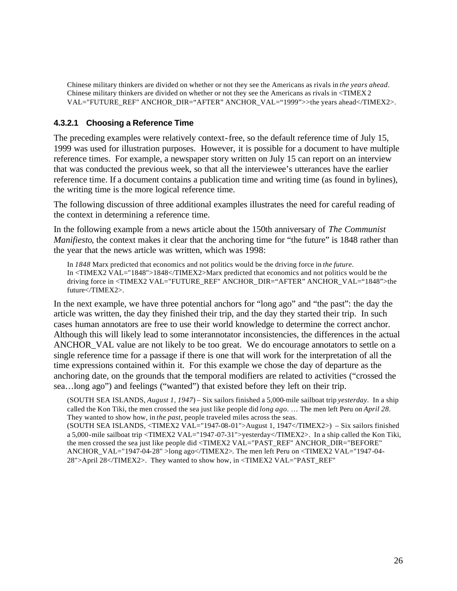Chinese military thinkers are divided on whether or not they see the Americans as rivals in *the years ahead*. Chinese military thinkers are divided on whether or not they see the Americans as rivals in <TIMEX 2 VAL="FUTURE\_REF" ANCHOR\_DIR="AFTER" ANCHOR\_VAL="1999">>the years ahead</TIMEX2>.

### **4.3.2.1 Choosing a Reference Time**

The preceding examples were relatively context-free, so the default reference time of July 15, 1999 was used for illustration purposes. However, it is possible for a document to have multiple reference times. For example, a newspaper story written on July 15 can report on an interview that was conducted the previous week, so that all the interviewee's utterances have the earlier reference time. If a document contains a publication time and writing time (as found in bylines), the writing time is the more logical reference time.

The following discussion of three additional examples illustrates the need for careful reading of the context in determining a reference time.

In the following example from a news article about the 150th anniversary of *The Communist Manifiesto*, the context makes it clear that the anchoring time for "the future" is 1848 rather than the year that the news article was written, which was 1998:

In *1848* Marx predicted that economics and not politics would be the driving force in *the future*. In <TIMEX2 VAL="1848">1848</TIMEX2>Marx predicted that economics and not politics would be the driving force in <TIMEX2 VAL="FUTURE\_REF" ANCHOR\_ DIR="AFTER" ANCHOR\_VAL="1848">the future</TIMEX2>.

In the next example, we have three potential anchors for "long ago" and "the past": the day the article was written, the day they finished their trip, and the day they started their trip. In such cases human annotators are free to use their world knowledge to determine the correct anchor. Although this will likely lead to some interannotator inconsistencies, the differences in the actual ANCHOR\_VAL value are not likely to be too great. We do encourage annotators to settle on a single reference time for a passage if there is one that will work for the interpretation of all the time expressions contained within it. For this example we chose the day of departure as the anchoring date, on the grounds that the temporal modifiers are related to activities ("crossed the sea…long ago") and feelings ("wanted") that existed before they left on their trip.

(SOUTH SEA ISLANDS, *August 1, 1947*) – Six sailors finished a 5,000-mile sailboat trip *yesterday*. In a ship called the Kon Tiki, the men crossed the sea just like people did *long ago*. … The men left Peru on *April 28*. They wanted to show how, in *the past*, people traveled miles across the seas. (SOUTH SEA ISLANDS, <TIMEX2 VAL="1947-08-01">August 1, 1947</TIMEX2>) – Six sailors finished a 5,000-mile sailboat trip <TIMEX2 VAL="1947 -07-31">yesterday</TIMEX2>. In a ship called the Kon Tiki, the men crossed the sea just like people did  $\langle$ TIMEX2 VAL="PAST\_REF" ANCHOR\_DIR="BEFORE" ANCHOR\_VAL="1947-04-28" >long ago</TIMEX2>. The men left Peru on <TIMEX2 VAL="1947 -04- 28">April 28</TIMEX2>. They wanted to show how, in <TIMEX2 VAL="PAST\_REF"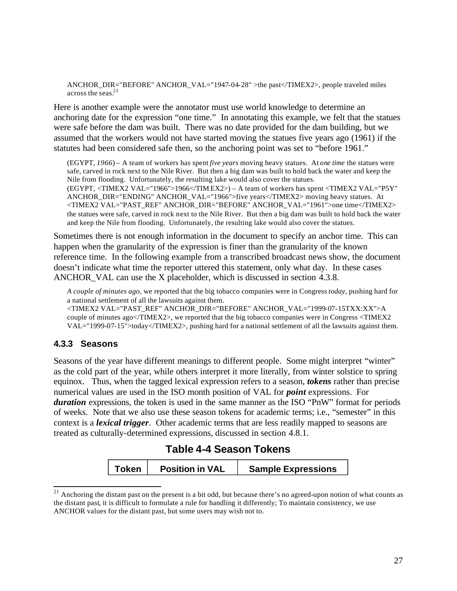ANCHOR\_DIR="BEFORE" ANCHOR\_VAL="1947-04-28" >the past</TIMEX2>, people traveled miles across the seas. $21$ 

Here is another example were the annotator must use world knowledge to determine an anchoring date for the expression "one time." In annotating this example, we felt that the statues were safe before the dam was built. There was no date provided for the dam building, but we assumed that the workers would not have started moving the statues five years ago (1961) if the statutes had been considered safe then, so the anchoring point was set to "before 1961."

(EGYPT, *1966*) – A team of workers has spent *five years* moving heavy statues. At *one time* the statues were safe, carved in rock next to the Nile River. But then a big dam was built to hold back the water and keep the Nile from flooding. Unfortunately, the resulting lake would also cover the statues. (EGYPT, <TIMEX2 VAL="1966">1966</TIM EX2>) – A team of workers has spent <TIMEX2 VAL="P5Y" ANCHOR\_DIR="ENDING" ANCHOR\_VAL="1966">five years</TIMEX2> moving heavy statues. At <TIMEX2 VAL="PAST\_REF" ANCHOR\_DIR="BEFORE" ANCHOR\_VAL="1961">one time</TIMEX2> the statues were safe, carved in rock next to the Nile River. But then a big dam was built to hold back the water and keep the Nile from flooding. Unfortunately, the resulting lake would also cover the statues.

Sometimes there is not enough information in the document to specify an anchor time. This can happen when the granularity of the expression is finer than the granularity of the known reference time. In the following example from a transcribed broadcast news show, the document doesn't indicate what time the reporter uttered this statement, only what day. In these cases ANCHOR VAL can use the X placeholder, which is discussed in section 4.3.8.

*A couple of minutes ago*, we reported that the big tobacco companies were in Congress *today*, pushing hard for a national settlement of all the lawsuits against them.

<TIMEX2 VAL="PAST\_REF" ANCHOR\_DIR="BEFORE" ANCHOR\_VAL="1999-07-15TXX:XX">A couple of minutes ago</TIMEX2>, we reported that the big tobacco companies were in Congress <TIMEX2 VAL="1999-07-15">today</TIMEX2>, pushing hard for a national settlement of all the lawsuits against them.

## **4.3.3 Seasons**

Seasons of the year have different meanings to different people. Some might interpret "winter" as the cold part of the year, while others interpret it more literally, from winter solstice to spring equinox. Thus, when the tagged lexical expression refers to a season, *tokens* rather than precise numerical values are used in the ISO month position of VAL for *point* expressions. For *duration* expressions, the token is used in the same manner as the ISO "PnW" format for periods of weeks. Note that we also use these season tokens for academic terms; i.e., "semester" in this context is a *lexical trigger*. Other academic terms that are less readily mapped to seasons are treated as culturally-determined expressions, discussed in section 4.8.1.

# **Table 4-4 Season Tokens**

| Token<br><b>Position in VAL</b> | <b>Sample Expressions</b> |
|---------------------------------|---------------------------|
|---------------------------------|---------------------------|

 $21$  Anchoring the distant past on the present is a bit odd, but because there's no agreed-upon notion of what counts as the distant past, it is difficult to formulate a rule for handling it differently; To maintain consistency, we use ANCHOR values for the distant past, but some users may wish not to.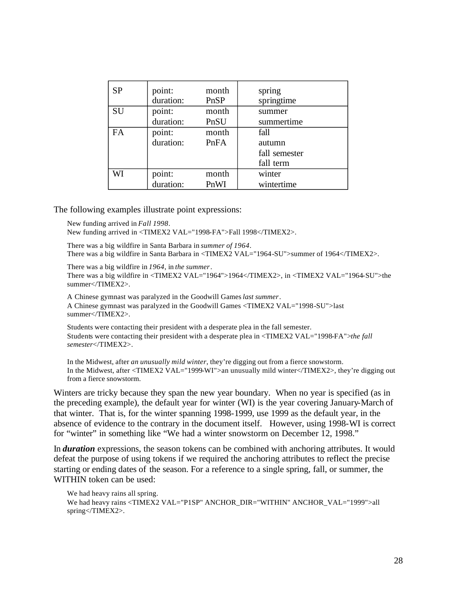| <b>SP</b> | point:<br>duration: | month<br>PnSP | spring<br>springtime |
|-----------|---------------------|---------------|----------------------|
| SU        | point:              | month         | summer               |
|           | duration:           | PnSU          | summertime           |
| FA        | point:              | month         | fall                 |
|           | duration:           | PnFA          | autumn               |
|           |                     |               | fall semester        |
|           |                     |               | fall term            |
| WI        | point:              | month         | winter               |
|           | duration:           | PnWI          | wintertime           |

The following examples illustrate point expressions:

New funding arrived in *Fall 1998*.

New funding arrived in <TIMEX2 VAL="1998-FA">Fall 1998</TIMEX2>.

There was a big wildfire in Santa Barbara in *summer of 1964*. There was a big wildfire in Santa Barbara in <TIMEX2 VAL="1964-SU">summer of 1964</TIMEX2>.

There was a big wildfire in *1964*, in *the summer*. There was a big wildfire in <TIMEX2 VAL="1964">1964</TIMEX2>, in <TIMEX2 VAL="1964-SU">the summer</TIMEX2>.

A Chinese gymnast was paralyzed in the Goodwill Games *last summer*. A Chinese gymnast was paralyzed in the Goodwill Games <TIMEX2 VAL="1998-SU">last summer</TIMEX2>.

Students were contacting their president with a desperate plea in the fall semester. Students were contacting their president with a desperate plea in <TIMEX2 VAL="1998-FA">*the fall semester*</TIMEX2>.

In the Midwest, after *an unusually mild winter*, they're digging out from a fierce snowstorm. In the Midwest, after <TIMEX2 VAL="1999-WI">an unusually mild winter</TIMEX2>, they're digging out from a fierce snowstorm.

Winters are tricky because they span the new year boundary. When no year is specified (as in the preceding example), the default year for winter (WI) is the year covering January-March of that winter. That is, for the winter spanning 1998-1999, use 1999 as the default year, in the absence of evidence to the contrary in the document itself. However, using 1998-WI is correct for "winter" in something like "We had a winter snowstorm on December 12, 1998."

In *duration* expressions, the season tokens can be combined with anchoring attributes. It would defeat the purpose of using tokens if we required the anchoring attributes to reflect the precise starting or ending dates of the season. For a reference to a single spring, fall, or summer, the WITHIN token can be used:

We had heavy rains all spring. We had heavy rains <TIMEX2 VAL="P1SP" ANCHOR\_DIR="WITHIN" ANCHOR\_VAL="1999">all spring</TIMEX2>.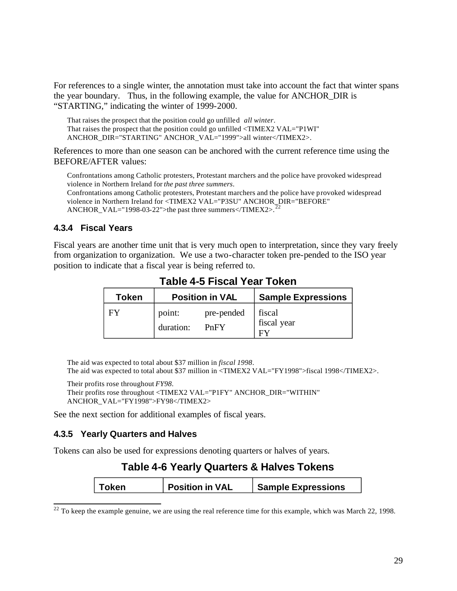For references to a single winter, the annotation must take into account the fact that winter spans the year boundary. Thus, in the following example, the value for ANCHOR\_DIR is "STARTING," indicating the winter of 1999-2000.

That raises the prospect that the position could go unfilled *all winter*. That raises the prospect that the position could go unfilled <TIMEX2 VAL="P1WI" ANCHOR\_DIR="STARTING" ANCHOR\_VAL="1999">all winter</TIMEX2>.

References to more than one season can be anchored with the current reference time using the BEFORE/AFTER values:

Confrontations among Catholic protesters, Protestant marchers and the police have provoked widespread violence in Northern Ireland for *the past three summers*.

Confrontations among Catholic protesters, Protestant marchers and the police have provoked widespread violence in Northern Ireland for <TIMEX2 VAL="P3SU" ANCHOR\_DIR="BEFORE" ANCHOR\_VAL="1998-03-22">the past three summers</TIMEX2>.

### **4.3.4 Fiscal Years**

Fiscal years are another time unit that is very much open to interpretation, since they vary freely from organization to organization. We use a two-character token pre-pended to the ISO year position to indicate that a fiscal year is being referred to.

| <b>Token</b> | <b>Position in VAL</b> |                    | <b>Sample Expressions</b>   |
|--------------|------------------------|--------------------|-----------------------------|
| FY           | point:<br>duration:    | pre-pended<br>PnFY | fiscal<br>fiscal year<br>FУ |

## **Table 4-5 Fiscal Year Token**

The aid was expected to total about \$37 million in *fiscal 1998*. The aid was expected to total about \$37 million in <TIMEX2 VAL="FY1998">fiscal 1998</TIMEX2>.

Their profits rose throughout *FY98*.

Their profits rose throughout <TIMEX2 VAL="P1FY" ANCHOR\_DIR="WITHIN" ANCHOR\_VAL="FY1998">FY98</TIMEX2>

See the next section for additional examples of fiscal years.

## **4.3.5 Yearly Quarters and Halves**

Tokens can also be used for expressions denoting quarters or halves of years.

# **Table 4-6 Yearly Quarters & Halves Tokens**

| ∣ Token | <b>Position in VAL</b> | <b>Sample Expressions</b> |
|---------|------------------------|---------------------------|
|         |                        |                           |

 $22$  To keep the example genuine, we are using the real reference time for this example, which was March 22, 1998.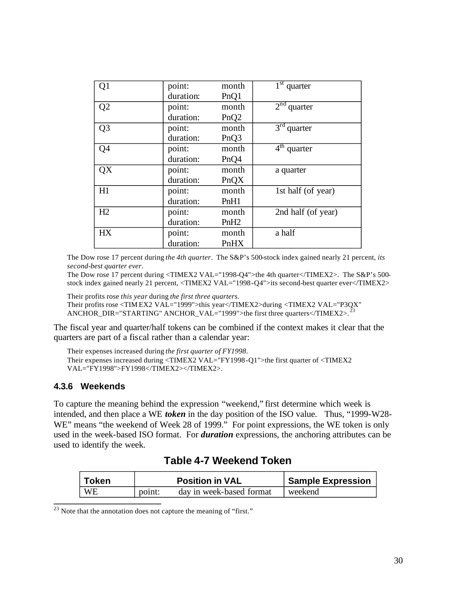| Q1             | point:    | month            | $1st$ quarter      |
|----------------|-----------|------------------|--------------------|
|                | duration: | PnQ1             |                    |
| Q <sub>2</sub> | point:    | month            | $2nd$ quarter      |
|                | duration: | PnQ <sub>2</sub> |                    |
| Q <sub>3</sub> | point:    | month            | $3rd$ quarter      |
|                | duration: | PnQ3             |                    |
| Q4             | point:    | month            | $4th$ quarter      |
|                | duration: | PnQ4             |                    |
| QX             | point:    | month            | a quarter          |
|                | duration: | PnQX             |                    |
| H1             | point:    | month            | 1st half (of year) |
|                | duration: | PnH1             |                    |
| H2             | point:    | month            | 2nd half (of year) |
|                | duration: | PnH <sub>2</sub> |                    |
| HX             | point:    | month            | a half             |
|                | duration: | PnHX             |                    |

The Dow rose 17 percent during *the 4th quarter*. The S&P's 500-stock index gained nearly 21 percent, *its second-best quarter ever*.

The Dow rose 17 percent during <TIMEX2 VAL="1998-Q4">the 4th quarter</TIMEX2>. The S&P's 500stock index gained nearly 21 percent, <TIMEX2 VAL="1998-Q4">its second-best quarter ever</TIMEX2>

Their profits rose *this year* during *the first three quarters.* 

Their profits rose <TIM EX2 VAL="1999">this year</TIMEX2>during <TIMEX2 VAL="P3QX"

ANCHOR\_DIR="STARTING" ANCHOR\_VAL="1999">the first three quarters</TIMEX2>.

The fiscal year and quarter/half tokens can be combined if the context makes it clear that the quarters are part of a fiscal rather than a calendar year:

```
Their expenses increased during the first quarter of FY1998.
Their expenses increased during <TIMEX2 VAL="FY1998 -Q1">the first quarter of <TIMEX2 
VAL="FY1998">FY1998</TIMEX2></TIMEX2>.
```
#### **4.3.6 Weekends**

To capture the meaning behind the expression "weekend," first determine which week is intended, and then place a WE *token* in the day position of the ISO value. Thus, "1999-W28- WE" means "the weekend of Week 28 of 1999." For point expressions, the WE token is only used in the week-based ISO format. For *duration* expressions, the anchoring attributes can be used to identify the week.

# **Table 4-7 Weekend Token**

| <b>Token</b> |        | <b>Position in VAL</b>   | <b>Sample Expression</b> |
|--------------|--------|--------------------------|--------------------------|
| <b>WE</b>    | point: | day in week-based format | weekend                  |

 $23$  Note that the annotation does not capture the meaning of "first."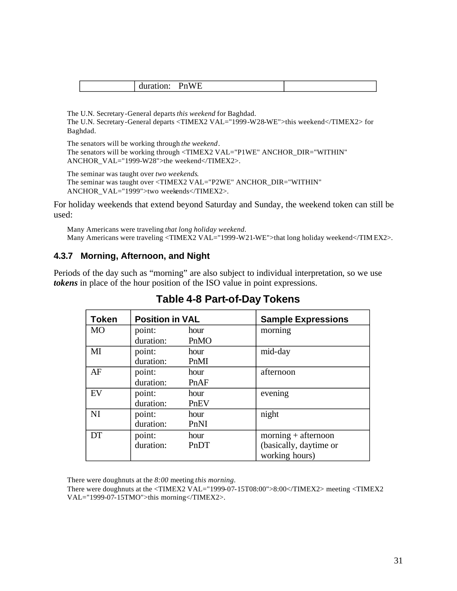| $-$<br>^ |
|----------|
|----------|

The U.N. Secretary-General departs *this weekend* for Baghdad. The U.N. Secretary-General departs <TIMEX2 VAL="1999-W28-WE">this weekend</TIMEX2> for Baghdad.

The senators will be working through *the weekend*. The senators will be working through <TIMEX2 VAL="P1WE" ANCHOR\_DIR="WITHIN" ANCHOR\_VAL="1999-W28">the weekend</TIMEX2>.

The seminar was taught over *two weekends*. The seminar was taught over <TIMEX2 VAL="P2WE" ANCHOR\_DIR="WITHIN" ANCHOR\_VAL="1999">two weekends</TIMEX2>.

For holiday weekends that extend beyond Saturday and Sunday, the weekend token can still be used:

Many Americans were traveling *that long holiday weekend*. Many Americans were traveling <TIMEX2 VAL="1999-W21-WE">that long holiday weekend</TIM EX2>.

## **4.3.7 Morning, Afternoon, and Night**

Periods of the day such as "morning" are also subject to individual interpretation, so we use *tokens* in place of the hour position of the ISO value in point expressions.

| <b>Token</b> | <b>Position in VAL</b> |      | <b>Sample Expressions</b> |
|--------------|------------------------|------|---------------------------|
| <b>MO</b>    | point:                 | hour | morning                   |
|              | duration:              | PnMO |                           |
| $\mathbf{M}$ | point:                 | hour | mid-day                   |
|              | duration:              | PnMI |                           |
| AF           | point:                 | hour | afternoon                 |
|              | duration:              | PnAF |                           |
| EV           | point:                 | hour | evening                   |
|              | duration:              | PnEV |                           |
| NI           | point:                 | hour | night                     |
|              | duration:              | PnNI |                           |
| DT           | point:                 | hour | $moring + afternoon$      |
|              | duration:              | PnDT | (basically, daytime or    |
|              |                        |      | working hours)            |

# **Table 4-8 Part-of-Day Tokens**

There were doughnuts at the *8:00* meeting *this morning*.

There were doughnuts at the <TIMEX2 VAL="1999-07-15T08:00">8:00</TIMEX2> meeting <TIMEX2 VAL="1999-07-15TMO">this morning</TIMEX2>.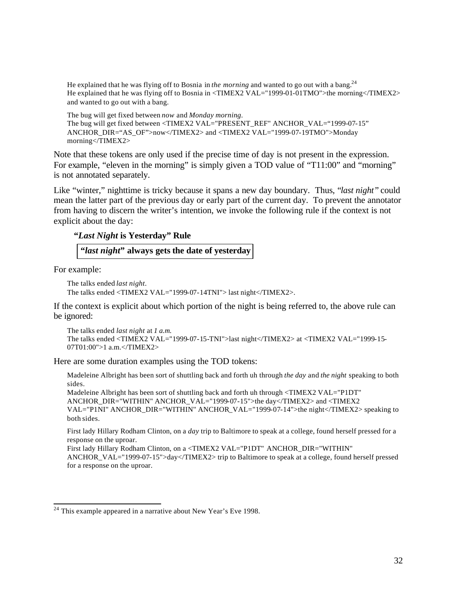He explained that he was flying off to Bosnia in *the morning* and wanted to go out with a bang.<sup>24</sup> He explained that he was flying off to Bosnia in <TIMEX2 VAL="1999-01-01TMO">the morning</TIMEX2> and wanted to go out with a bang.

The bug will get fixed between *now* and *Monday morning*. The bug will get fixed between <TIMEX2 VAL="PRESENT\_REF" ANCHOR\_VAL="1999-07-15" ANCHOR\_DIR="AS\_OF">now</TIMEX2> and <TIMEX2 VAL="1999-07-19TMO">Monday morning</TIMEX2>

Note that these tokens are only used if the precise time of day is not present in the expression. For example, "eleven in the morning" is simply given a TOD value of "T11:00" and "morning" is not annotated separately.

Like "winter," nighttime is tricky because it spans a new day boundary. Thus, "*last night* " could mean the latter part of the previous day or early part of the current day. To prevent the annotator from having to discern the writer's intention, we invoke the following rule if the context is not explicit about the day:

#### **"***Last Night* **is Yesterday" Rule**

**"***last night***" always gets the date of yesterday** 

For example:

```
The talks ended last night.
The talks ended <TIMEX2 VAL="1999-07-14TNI"> last night</TIMEX2>.
```
If the context is explicit about which portion of the night is being referred to, the above rule can be ignored:

```
The talks ended last night at 1 a.m.
The talks ended <TIMEX2 VAL="1999-07-15-TNI">last night</TIMEX2> at <TIMEX2 VAL="1999-15-
07T01:00">1 a.m.</TIMEX2>
```
Here are some duration examples using the TOD tokens:

Madeleine Albright has been sort of shuttling back and forth uh through *the day* and *the night* speaking to both sides.

Madeleine Albright has been sort of shuttling back and forth uh through <TIMEX2 VAL="P1DT" ANCHOR\_DIR="WITHIN" ANCHOR\_VAL="1999-07-15">the day</TIMEX2> and <TIMEX2 VAL="P1NI" ANCHOR\_DIR="WITHIN" ANCHOR\_VAL="1999-07-14">the night</TIMEX2> speaking to both sides.

First lady Hillary Rodham Clinton, on a *day* trip to Baltimore to speak at a college, found herself pressed for a response on the uproar.

First lady Hillary Rodham Clinton, on a <TIMEX2 VAL="P1DT" ANCHOR\_DIR="WITHIN" ANCHOR\_VAL="1999-07-15">day</TIMEX2> trip to Baltimore to speak at a college, found herself pressed for a response on the uproar.

<sup>&</sup>lt;sup>24</sup> This example appeared in a narrative about New Year's Eve 1998.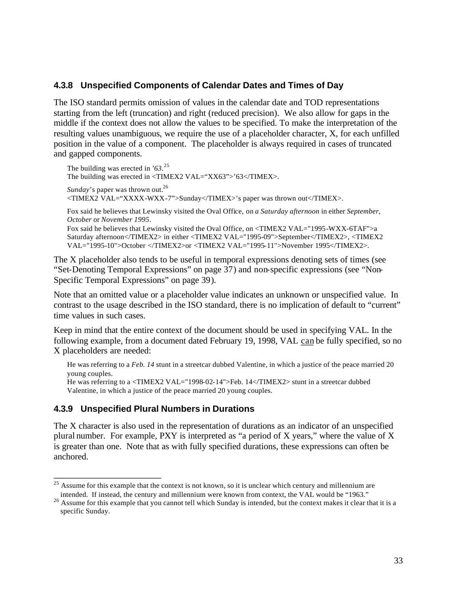### **4.3.8 Unspecified Components of Calendar Dates and Times of Day**

The ISO standard permits omission of values in the calendar date and TOD representations starting from the left (truncation) and right (reduced precision). We also allow for gaps in the middle if the context does not allow the values to be specified. To make the interpretation of the resulting values unambiguous, we require the use of a placeholder character, X, for each unfilled position in the value of a component. The placeholder is always required in cases of truncated and gapped components.

The building was erected in *'63*. 25 The building was erected in <TIMEX2 VAL="XX63">'63</TIMEX>. *Sunday*'s paper was thrown out.<sup>26</sup> <TIMEX2 VAL="XXXX-WXX -7">Sunday</TIMEX>'s paper was thrown out</TIMEX>.

Fox said he believes that Lewinsky visited the Oval Office, on *a Saturday afternoon* in either *September*, *October* or *November 1995*.

Fox said he believes that Lewinsky visited the Oval Office, on <TIMEX2 VAL="1995-WXX-6TAF">a Saturday afternoon</TIMEX2> in either <TIMEX2 VAL="1995-09">September</TIMEX2>, <TIMEX2 VAL="1995-10">October </TIMEX2>or <TIMEX2 VAL="1995-11">November 1995</TIMEX2>.

The X placeholder also tends to be useful in temporal expressions denoting sets of times (see "Set-Denoting Temporal Expressions" on page 37) and non-specific expressions (see "Non-Specific Temporal Expressions" on page 39).

Note that an omitted value or a placeholder value indicates an unknown or unspecified value. In contrast to the usage described in the ISO standard, there is no implication of default to "current" time values in such cases.

Keep in mind that the entire context of the document should be used in specifying VAL. In the following example, from a document dated February 19, 1998, VAL can be fully specified, so no X placeholders are needed:

```
He was referring to a Feb. 14 stunt in a streetcar dubbed Valentine, in which a justice of the peace married 20 
young couples. 
He was referring to a <TIMEX2 VAL="1998-02-14">Feb. 14</TIMEX2> stunt in a streetcar dubbed 
Valentine, in which a justice of the peace married 20 young couples.
```
## **4.3.9 Unspecified Plural Numbers in Durations**

The X character is also used in the representation of durations as an indicator of an unspecified plural number. For example, PXY is interpreted as "a period of X years," where the value of X is greater than one. Note that as with fully specified durations, these expressions can often be anchored.

<sup>&</sup>lt;sup>25</sup> Assume for this example that the context is not known, so it is unclear which century and millennium are intended. If instead, the century and millennium were known from context, the VAL would be "1963."

<sup>&</sup>lt;sup>26</sup> Assume for this example that you cannot tell which Sunday is intended, but the context makes it clear that it is a specific Sunday.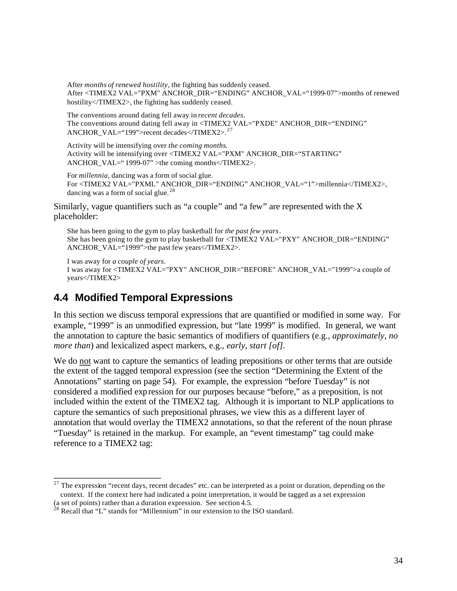After *months of renewed hostility*, the fighting has suddenly ceased. After <TIMEX2 VAL="PXM" ANCHOR\_DIR="ENDING" ANCHOR\_VAL="1999-07">months of renewed hostility</TIMEX2>, the fighting has suddenly ceased.

The conventions around dating fell away in *recent decades*. The conventions around dating fell away in <TIMEX2 VAL="PXDE" ANCHOR\_DIR="ENDING" ANCHOR\_VAL="199">recent decades</TIMEX2>. <sup>27</sup>

Activity will be intensifying over *the coming months*. Activity will be intensifying over <TIMEX2 VAL="PXM" ANCHOR\_DIR="STARTING" ANCHOR\_VAL=" 1999-07" >the coming months</TIMEX2>.

For *millennia*, dancing was a form of social glue. For <TIMEX2 VAL="PXML" ANCHOR\_DIR="ENDING" ANCHOR\_VAL="1">millennia</TIMEX2>, dancing was a form of social glue. <sup>28</sup>

Similarly, vague quantifiers such as "a couple" and "a few" are represented with the X placeholder:

She has been going to the gym to play basketball for *the past few years*. She has been going to the gym to play basketball for <TIMEX2 VAL="PXY" ANCHOR\_DIR="ENDING" ANCHOR VAL="1999">the past few years</TIMEX2>.

I was away for *a couple of years*. I was away for <TIMEX2 VAL="PXY" ANCHOR\_DIR="BEFORE" ANCHOR\_VAL="1999">a couple of years</TIMEX2>

# **4.4 Modified Temporal Expressions**

In this section we discuss temporal expressions that are quantified or modified in some way. For example, "1999" is an unmodified expression, but "late 1999" is modified. In general, we want the annotation to capture the basic semantics of modifiers of quantifiers (e.g., *approximately*, *no more than*) and lexicalized aspect markers, e.g., *early*, *start [of].* 

We do not want to capture the semantics of leading prepositions or other terms that are outside the extent of the tagged temporal expression (see the section "Determining the Extent of the Annotations" starting on page 54). For example, the expression "before Tuesday" is not considered a modified exp ression for our purposes because "before," as a preposition, is not included within the extent of the TIMEX2 tag. Although it is important to NLP applications to capture the semantics of such prepositional phrases, we view this as a different layer of annotation that would overlay the TIMEX2 annotations, so that the referent of the noun phrase "Tuesday" is retained in the markup. For example, an "event timestamp" tag could make reference to a TIMEX2 tag:

 $27$  The expression "recent days, recent decades" etc. can be interpreted as a point or duration, depending on the context. If the context here had indicated a point interpretation, it would be tagged as a set expression

<sup>(</sup>a set of points) rather than a duration expression. See section 4.5. <sup>28</sup> Recall that "L" stands for "Millennium" in our extension to the ISO standard.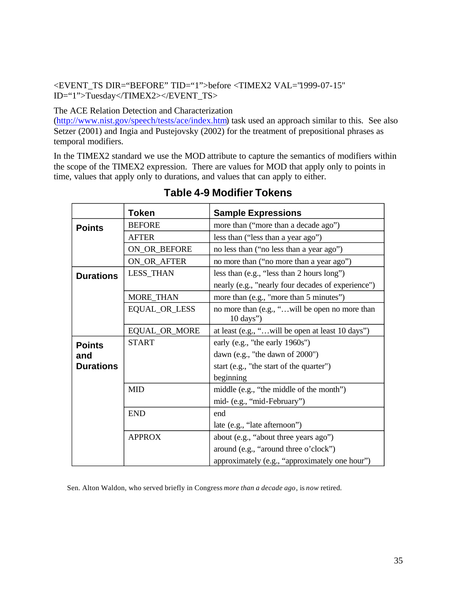## <EVENT\_TS DIR="BEFORE" TID="1">before <TIMEX2 VAL="1999-07-15" ID="1">Tuesday</TIMEX2></EVENT\_TS>

The ACE Relation Detection and Characterization

(http://www.nist.gov/speech/tests/ace/index.htm) task used an approach similar to this. See also Setzer (2001) and Ingia and Pustejovsky (2002) for the treatment of prepositional phrases as temporal modifiers.

In the TIMEX2 standard we use the MOD attribute to capture the semantics of modifiers within the scope of the TIMEX2 expression. There are values for MOD that apply only to points in time, values that apply only to durations, and values that can apply to either.

|                  | <b>Token</b>                                                           | <b>Sample Expressions</b>                          |  |  |  |
|------------------|------------------------------------------------------------------------|----------------------------------------------------|--|--|--|
| <b>Points</b>    | <b>BEFORE</b>                                                          | more than ("more than a decade ago")               |  |  |  |
|                  | <b>AFTER</b>                                                           | less than ("less than a year ago")                 |  |  |  |
|                  | ON_OR_BEFORE                                                           | no less than ("no less than a year ago")           |  |  |  |
|                  | ON_OR_AFTER                                                            | no more than ("no more than a year ago")           |  |  |  |
| <b>Durations</b> | <b>LESS_THAN</b>                                                       | less than (e.g., "less than 2 hours long")         |  |  |  |
|                  |                                                                        | nearly (e.g., "nearly four decades of experience") |  |  |  |
|                  | MORE_THAN                                                              | more than (e.g., "more than 5 minutes")            |  |  |  |
|                  | no more than (e.g., "will be open no more than<br>$10 \text{ days}$ ") |                                                    |  |  |  |
|                  | EQUAL_OR_MORE                                                          | at least (e.g., "will be open at least 10 days")   |  |  |  |
| <b>Points</b>    | <b>START</b>                                                           | early (e.g., "the early 1960s")                    |  |  |  |
| and              |                                                                        | dawn (e.g., "the dawn of 2000")                    |  |  |  |
| <b>Durations</b> |                                                                        | start (e.g., "the start of the quarter")           |  |  |  |
|                  |                                                                        | beginning                                          |  |  |  |
|                  | <b>MID</b>                                                             | middle (e.g., "the middle of the month")           |  |  |  |
|                  |                                                                        | mid- (e.g., "mid-February")                        |  |  |  |
|                  | <b>END</b>                                                             | end                                                |  |  |  |
|                  |                                                                        | late (e.g., "late afternoon")                      |  |  |  |
|                  | <b>APPROX</b>                                                          | about (e.g., "about three years ago")              |  |  |  |
|                  | around (e.g., "around three o'clock")                                  |                                                    |  |  |  |
|                  |                                                                        | approximately (e.g., "approximately one hour")     |  |  |  |

# **Table 4-9 Modifier Tokens**

Sen. Alton Waldon, who served briefly in Congress *more than a decade ago*, is *now* retired.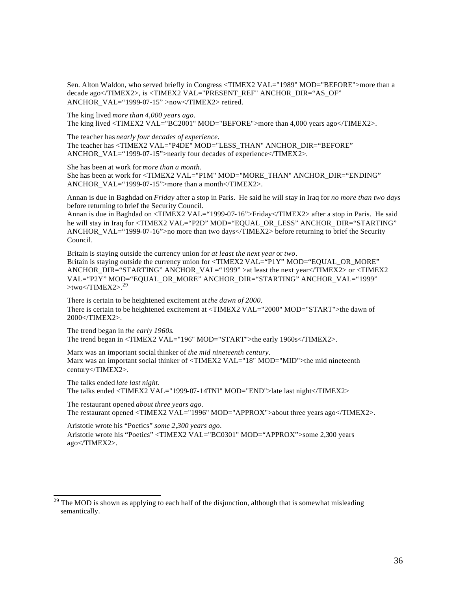Sen. Alton Waldon, who served briefly in Congress <TIMEX2 VAL="1989" MOD="BEFORE">more than a decade ago</TIMEX2>, is <TIMEX2 VAL="PRESENT\_REF" ANCHOR\_DIR="AS\_OF" ANCHOR\_VAL="1999-07-15" >now</TIMEX2> retired.

The king lived *more than 4,000 years ago*.

The king lived <TIMEX2 VAL="BC2001" MOD="BEFORE">more than 4,000 years ago</TIMEX2>.

The teacher has *nearly four decades of experience*. The teacher has <TIMEX2 VAL="P4DE" MOD="LESS\_THAN" ANCHOR\_DIR="BEFORE" ANCHOR VAL="1999-07-15">nearly four decades of experience $\langle$ TIMEX2>.

She has been at work for *more than a month*.

She has been at work for <TIMEX2 VAL="P1M" MOD="MORE\_THAN" ANCHOR\_DIR="ENDING" ANCHOR\_VAL="1999-07-15">more than a month</TIMEX2>.

Annan is due in Baghdad on *Friday* after a stop in Paris. He said he will stay in Iraq for *no more than two days* before returning to brief the Security Council.

Annan is due in Baghdad on <TIMEX2 VAL="1999-07-16">Friday</TIMEX2> after a stop in Paris. He said he will stay in Iraq for <TIMEX2 VAL="P2D" MOD="EQUAL\_OR\_LESS" ANCHOR\_DIR="STARTING" ANCHOR\_VAL="1999-07-16">no more than two days</TIMEX2> before returning to brief the Security Council.

Britain is staying outside the currency union for *at least the next year* or *two*. Britain is staying outside the currency union for <TIMEX2 VAL="P1Y" MOD="EQUAL OR MORE" ANCHOR\_DIR="STARTING" ANCHOR\_VAL="1999" >at least the next year</TIMEX2> or <TIMEX2 VAL="P2Y" MOD="EQUAL\_OR\_MORE" ANCHOR\_DIR="STARTING" ANCHOR\_VAL="1999"  $>$ two $<$ TIMEX2 $>$ .<sup>29</sup>

There is certain to be heightened excitement at *the dawn of 2000*. There is certain to be heightened excitement at <TIMEX2 VAL="2000" MOD="START">the dawn of 2000</TIMEX2>.

The trend began in *the early 1960s*. The trend began in <TIMEX2 VAL="196" MOD="START">the early 1960s</TIMEX2>.

Marx was an important social thinker of *the mid nineteenth century*. Marx was an important social thinker of <TIMEX2 VAL="18" MOD="MID">the mid nineteenth century</TIMEX2>.

The talks ended *late last night*. The talks ended <TIMEX2 VAL="1999-07-14TNI" MOD="END">late last night</TIMEX2>

The restaurant opened *about three years ago*. The restaurant opened <TIMEX2 VAL="1996" MOD="APPROX">about three years ago</TIMEX2>.

Aristotle wrote his "Poetics" *some 2,300 years ago*. Aristotle wrote his "Poetics" <TIMEX2 VAL="BC0301" MOD="APPROX">some 2,300 years ago</TIMEX2>.

The MOD is shown as applying to each half of the disjunction, although that is somewhat misleading semantically.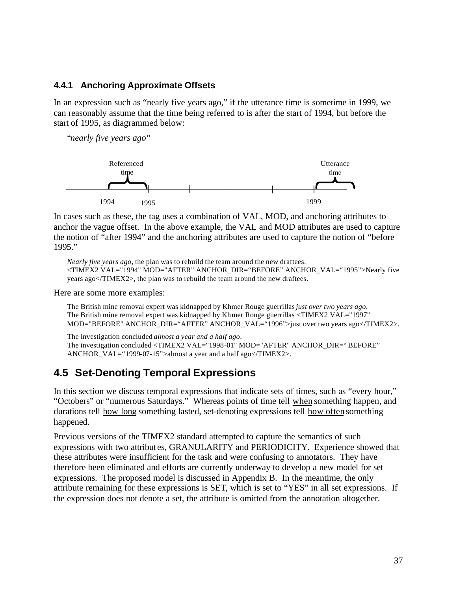## **4.4.1 Anchoring Approximate Offsets**

In an expression such as "nearly five years ago," if the utterance time is sometime in 1999, we can reasonably assume that the time being referred to is after the start of 1994, but before the start of 1995, as diagrammed below:

"*nearly five years ago*"



In cases such as these, the tag uses a combination of VAL, MOD, and anchoring attributes to anchor the vague offset. In the above example, the VAL and MOD attributes are used to capture the notion of "after 1994" and the anchoring attributes are used to capture the notion of "before 1995."

*Nearly five years ago*, the plan was to rebuild the team around the new draftees. <TIMEX2 VAL="1994" MOD="AFTER" ANCHOR\_DIR="BEFORE" ANCHOR\_VAL="1995">Nearly five years ago</TIMEX2>, the plan was to rebuild the team around the new draftees.

Here are some more examples:

The British mine removal expert was kidnapped by Khmer Rouge guerrillas *just over two years ago*. The British mine removal expert was kidnapped by Kh mer Rouge guerrillas <TIMEX2 VAL="1997" MOD="BEFORE" ANCHOR\_DIR="AFTER" ANCHOR\_VAL="1996">just over two years ago</TIMEX2>.

The investigation concluded *almost a year and a half ago*. The investigation concluded <TIMEX2 VAL="1998-01" MOD="AFTER" ANCHOR\_DIR="BEFORE" ANCHOR VAL="1999-07-15">almost a year and a half ago</TIMEX2>.

# **4.5 Set-Denoting Temporal Expressions**

In this section we discuss temporal expressions that indicate sets of times, such as "every hour," "Octobers" or "numerous Saturdays." Whereas points of time tell when something happen, and durations tell how long something lasted, set-denoting expressions tell how often something happened.

Previous versions of the TIMEX2 standard attempted to capture the semantics of such expressions with two attribut es, GRANULARITY and PERIODICITY. Experience showed that these attributes were insufficient for the task and were confusing to annotators. They have therefore been eliminated and efforts are currently underway to develop a new model for set expressions. The proposed model is discussed in Appendix B. In the meantime, the only attribute remaining for these expressions is SET, which is set to "YES" in all set expressions. If the expression does not denote a set, the attribute is omitted from the annotation altogether.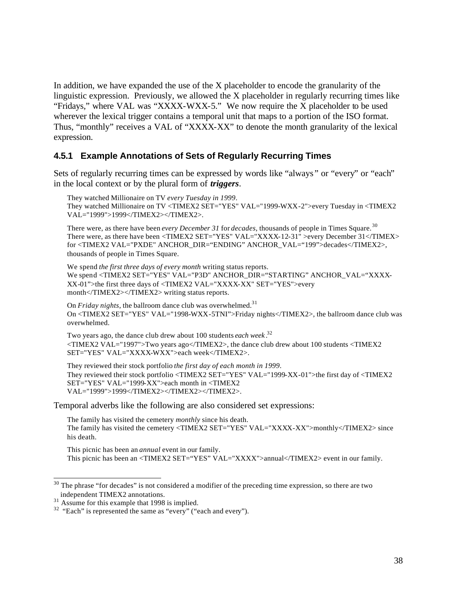In addition, we have expanded the use of the X placeholder to encode the granularity of the linguistic expression. Previously, we allowed the X placeholder in regularly recurring times like "Fridays," where VAL was "XXXX-WXX-5." We now require the X placeholder to be used wherever the lexical trigger contains a temporal unit that maps to a portion of the ISO format. Thus, "monthly" receives a VAL of "XXXX-XX" to denote the month granularity of the lexical expression.

## **4.5.1 Example Annotations of Sets of Regularly Recurring Times**

Sets of regularly recurring times can be expressed by words like "always " or "every" or "each" in the local context or by the plural form of *triggers*.

They watched Millionaire on TV *every Tuesday in 1999*. They watched Millionaire on TV <TIMEX2 SET="YES" VAL="1999-WXX-2">every Tuesday in <TIMEX2 VAL="1999">1999</TIMEX2></TIMEX2>.

There were, as there have been *every December 31* for *decades*, thousands of people in Times Square. <sup>30</sup> There were, as there have been <TIMEX2 SET="YES" VAL="XXXX-12-31" >every December 31</TIMEX> for <TIMEX2 VAL="PXDE" ANCHOR\_DIR="ENDING" ANCHOR\_VAL="199">decades</TIMEX2>, thousands of people in Times Square.

We spend *the first three days of every month* writing status reports. We spend <TIMEX2 SET="YES" VAL="P3D" ANCHOR\_DIR="STARTING" ANCHOR\_VAL="XXXX-XX-01">the first three days of <TIMEX2 VAL="XXXX-XX" SET="YES">every month</TIMEX2></TIMEX2> writing status reports.

On *Friday nights*, the ballroom dance club was overwhelmed.<sup>31</sup> On <TIMEX2 SET="YES" VAL="1998-WXX-5TNI">Friday nights</TIMEX2>, the ballroom dance club was overwhelmed.

Two years ago, the dance club drew about 100 students *each week* . 32 <TIMEX2 VAL="1997">Two years ago</TIMEX2>, the dance club drew about 100 students <TIMEX2 SET="YES" VAL="XXXX-WXX">each week</TIMEX2>.

They reviewed their stock portfolio *the first day of each month in 1999*. They reviewed their stock portfolio <TIMEX2 SET="YES" VAL="1999-XX-01">the first day of <TIMEX2 SET="YES" VAL="1999-XX">each month in <TIMEX2 VAL="1999">1999</TIMEX2></TIMEX2></TIMEX2>.

Temporal adverbs like the following are also considered set expressions:

The family has visited the cemetery *monthly* since his death. The family has visited the cemetery <TIMEX2 SET="YES" VAL="XXXX-XX">monthly</TIMEX2> since his death.

This picnic has been an *annual* event in our family. This picnic has been an <TIMEX2 SET="YES" VAL="XXXX">annual</TIMEX2> event in our family.

<sup>&</sup>lt;sup>30</sup> The phrase "for decades" is not considered a modifier of the preceding time expression, so there are two independent TIMEX2 annotations.

 $31$  Assume for this example that 1998 is implied.

<sup>&</sup>lt;sup>32</sup> "Each" is represented the same as "every" ("each and every").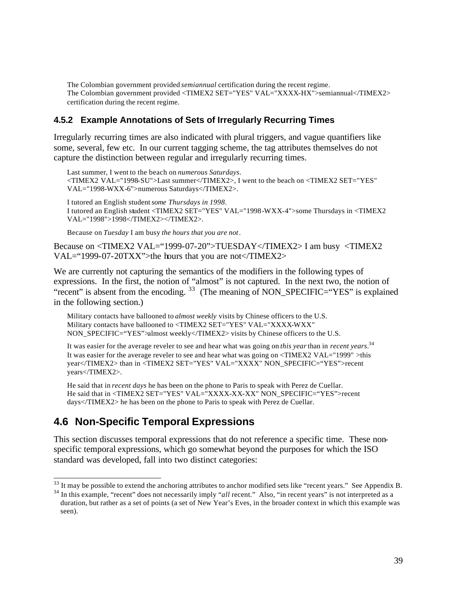The Colombian government provided *semiannual* certification during the recent regime. The Colombian government provided <TIMEX2 SET="YES" VAL="XXXX-HX">semiannual</TIMEX2> certification during the recent regime.

## **4.5.2 Example Annotations of Sets of Irregularly Recurring Times**

Irregularly recurring times are also indicated with plural triggers, and vague quantifiers like some, several, few etc. In our current tagging scheme, the tag attributes themselves do not capture the distinction between regular and irregularly recurring times.

Last summer, I went to the beach on *numerous Saturdays*. <TIMEX2 VAL="1998-SU">Last summer</TIMEX2>, I went to the beach on <TIMEX2 SET="YES" VAL="1998-WXX-6">numerous Saturdays</TIMEX2>.

I tutored an English student *some Thursdays in 1998*. I tutored an English student <TIMEX2 SET="YES" VAL="1998-WXX-4">some Thursdays in <TIMEX2 VAL="1998">1998</TIMEX2></TIMEX2>.

Because on *Tuesday* I am busy *the hours that you are not* .

Because on <TIMEX2 VAL="1999-07-20">TUESDAY</TIMEX2> I am busy <TIMEX2 VAL="1999-07-20TXX">the hours that you are not</TIMEX2>

We are currently not capturing the semantics of the modifiers in the following types of expressions. In the first, the notion of "almost" is not captured. In the next two, the notion of "recent" is absent from the encoding.  $33$  (The meaning of NON SPECIFIC="YES" is explained in the following section.)

Military contacts have ballooned to *almost weekly* visits by Chinese officers to the U.S. Military contacts have ballooned to <TIMEX2 SET="YES" VAL="XXXX-WXX" NON SPECIFIC="YES">almost weekly</TIMEX2> visits by Chinese officers to the U.S.

It was easier for the average reveler to see and hear what was going on *this year* than in *recent years*. 34 It was easier for the average reveler to see and hear what was going on  $\langle$ TIMEX2 VAL="1999" >this year</TIMEX2> than in <TIMEX2 SET="YES" VAL="XXXX" NON\_SPECIFIC="YES">recent years</TIMEX2>.

He said that in *recent days* he has been on the phone to Paris to speak with Perez de Cuellar. He said that in <TIMEX2 SET="YES" VAL="XXXX-XX-XX" NON\_SPECIFIC="YES">recent days</TIMEX2> he has been on the phone to Paris to speak with Perez de Cuellar.

# **4.6 Non-Specific Temporal Expressions**

This section discusses temporal expressions that do not reference a specific time. These nonspecific temporal expressions, which go somewhat beyond the purposes for which the ISO standard was developed, fall into two distinct categories:

<sup>&</sup>lt;sup>33</sup> It may be possible to extend the anchoring attributes to anchor modified sets like "recent years." See Appendix B.

<sup>&</sup>lt;sup>34</sup> In this example, "recent" does not necessarily imply "*all* recent." Also, "in recent years" is not interpreted as a duration, but rather as a set of points (a set of New Year's Eves, in the broader context in which this example was seen).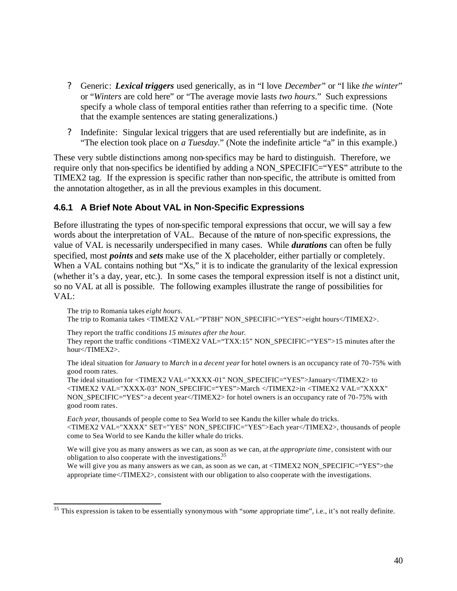- ? Generic: *Lexical triggers* used generically, as in "I love *December*" or "I like *the winter*" or "*Winters* are cold here" or "The average movie lasts *two hours*." Such expressions specify a whole class of temporal entities rather than referring to a specific time. (Note that the example sentences are stating generalizations.)
- ? Indefinite: Singular lexical triggers that are used referentially but are indefinite, as in "The election took place on *a Tuesday*." (Note the indefinite article "a" in this example.)

These very subtle distinctions among non-specifics may be hard to distinguish. Therefore, we require only that non-specifics be identified by adding a NON\_SPECIFIC="YES" attribute to the TIMEX2 tag. If the expression is specific rather than non-specific, the attribute is omitted from the annotation altogether, as in all the previous examples in this document.

## **4.6.1 A Brief Note About VAL in Non-Specific Expressions**

Before illustrating the types of non-specific temporal expressions that occur, we will say a few words about the interpretation of VAL. Because of the nature of non-specific expressions, the value of VAL is necessarily underspecified in many cases. While *durations* can often be fully specified, most *points* and *sets* make use of the X placeholder, either partially or completely. When a VAL contains nothing but "Xs," it is to indicate the granularity of the lexical expression (whether it's a day, year, etc.). In some cases the temporal expression itself is not a distinct unit, so no VAL at all is possible. The following examples illustrate the range of possibilities for VAL:

The trip to Romania takes *eight hours*. The trip to Romania takes <TIMEX2 VAL="PT8H" NON\_SPECIFIC="YES">eight hours</TIMEX2>.

They report the traffic conditions *15 minutes after the hour*.

They report the traffic conditions <TIMEX2 VAL="TXX:15" NON\_SPECIFIC="YES">15 minutes after the hour</TIMEX2>.

The ideal situation for *January* to *March* in *a decent year* for hotel owners is an occupancy rate of 70 -75% with good room rates.

The ideal situation for <TIMEX2 VAL="XXXX -01" NON\_SPECIFIC="YES">January</TIMEX2> to <TIMEX2 VAL="XXXX-03" NON\_SPECIFIC="YES">March </TIMEX2>in <TIMEX2 VAL="XXXX" NON\_SPECIFIC="YES">a decent year</TIMEX2> for hotel owners is an occupancy rate of 70 -75% with good room rates.

*Each year*, thousands of people come to Sea World to see Kandu the killer whale do tricks. <TIMEX2 VAL="XXXX" SET="YES" NON\_SPECIFIC="YES">Each year</TIMEX2>, thousands of people come to Sea World to see Kandu the killer whale do tricks.

We will give you as many answers as we can, as soon as we can, at *the appropriate time*, consistent with our obligation to also cooperate with the investigations.<sup>35</sup>

We will give you as many answers as we can, as soon as we can, at <TIMEX2 NON SPECIFIC="YES">the appropriate time</TIMEX2>, consistent with our obligation to also cooperate with the investigations.

<sup>35</sup> This expression is taken to be essentially synonymous with "*some* appropriate time", i.e., it's not really definite.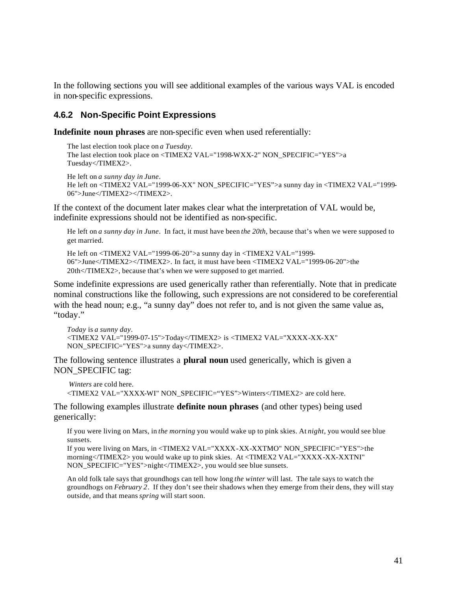In the following sections you will see additional examples of the various ways VAL is encoded in non-specific expressions.

### **4.6.2 Non-Specific Point Expressions**

**Indefinite noun phrases** are non-specific even when used referentially:

The last election took place on *a Tuesday*. The last election took place on <TIMEX2 VAL="1998-WXX-2" NON\_SPECIFIC="YES">a Tuesday</TIMEX2>.

He left on *a sunny day in June*. He left on <TIMEX2 VAL="1999-06-XX" NON\_SPECIFIC="YES">a sunny day in <TIMEX2 VAL="1999- 06">June</TIMEX2></TIMEX2>.

If the context of the document later makes clear what the interpretation of VAL would be, indefinite expressions should not be identified as non-specific.

He left on *a sunny day in June*. In fact, it must have been *the 20th*, because that's when we were supposed to get married.

He left on <TIMEX2 VAL="1999-06-20">a sunny day in <TIMEX2 VAL="1999- 06">June</TIMEX2></TIMEX2>. In fact, it must have been <TIMEX2 VAL="1999-06-20">the 20th</TIMEX2>, because that's when we were supposed to get married.

Some indefinite expressions are used generically rather than referentially. Note that in predicate nominal constructions like the following, such expressions are not considered to be coreferential with the head noun; e.g., "a sunny day" does not refer to, and is not given the same value as, "today."

```
Today is a sunny day.
<TIMEX2 VAL="1999-07-15">Today</TIMEX2> is <TIMEX2 VAL="XXXX -XX-XX" 
NON_SPECIFIC="YES">a sunny day</TIMEX2>.
```
The following sentence illustrates a **plural noun** used generically, which is given a NON\_SPECIFIC tag:

```
Winters are cold here.
<TIMEX2 VAL="XXXX-WI" NON_SPECIFIC="YES">Winters</TIMEX2> are cold here.
```
The following examples illustrate **definite noun phrases** (and other types) being used generically:

If you were living on Mars, in *the morning* you would wake up to pink skies. At *night*, you would see blue sunsets.

If you were living on Mars, in <TIMEX2 VAL="XXXX-XX-XXTMO" NON\_SPECIFIC="YES">the morning</TIMEX2> you would wake up to pink skies. At <TIMEX2 VAL="XXXX-XX-XXTNI" NON\_SPECIFIC="YES">night</TIMEX2>, you would see blue sunsets.

An old folk tale says that groundhogs can tell how long *the winter* will last. The tale says to watch the groundhogs on *February 2*. If they don't see their shadows when they emerge from their dens, they will stay outside, and that means *spring* will start soon.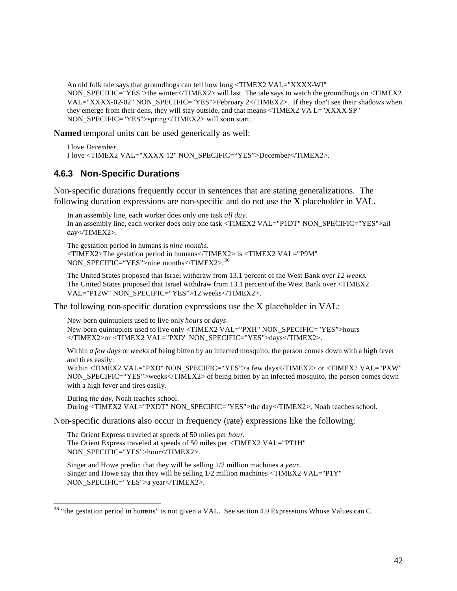An old folk tale says that groundhogs can tell how long <TIMEX2 VAL="XXXX-WI" NON\_SPECIFIC="YES">the winter</TIMEX2> will last. The tale says to watch the groundhogs on <TIMEX2 VAL="XXXX-02-02" NON\_SPECIFIC="YES">February 2</TIMEX2>. If they don't see their shadows when they emerge from their dens, they will stay outside, and that means <TIMEX2 VA L="XXXX-SP" NON\_SPECIFIC="YES">spring</TIMEX2> will soon start.

**Named** temporal units can be used generically as well:

```
I love December.
I love <TIMEX2 VAL="XXXX-12" NON_SPECIFIC="YES">December</TIMEX2>.
```
### **4.6.3 Non-Specific Durations**

Non-specific durations frequently occur in sentences that are stating generalizations. The following duration expressions are non-specific and do not use the X placeholder in VAL.

In an assembly line, each worker does only one task *all day*. In an assembly line, each worker does only one task <TIMEX2 VAL="P1DT" NON\_SPECIFIC="YES">all day</TIMEX2>.

The gestation period in humans is *nine months*. <TIMEX2>The gestation period in humans</TIMEX2> is <TIMEX2 VAL="P9M" NON\_SPECIFIC="YES">nine months</TIMEX2>. <sup>36</sup>

The United States proposed that Israel withdraw from 13.1 percent of the West Bank over *12 weeks*. The United States proposed that Israel withdraw from 13.1 percent of the West Bank over <TIMEX2 VAL="P12W" NON\_SPECIFIC="YES">12 weeks</TIMEX2>.

The following non-specific duration expressions use the X placeholder in VAL:

New-born quintuplets used to live only *hours* or *days*. New-born quintuplets used to live only <TIMEX2 VAL="PXH" NON\_SPECIFIC="YES">hours </TIMEX2>or <TIMEX2 VAL="PXD" NON\_SPECIFIC="YES">days</TIMEX2>.

Within *a few days* or *weeks* of being bitten by an infected mosquito, the person comes down with a high fever and tires easily. Within <TIMEX2 VAL="PXD" NON\_SPECIFIC="YES">a few days</TIMEX2> or <TIMEX2 VAL="PXW"

NON\_SPECIFIC="YES">weeks</TIMEX2> of being bitten by an infected mosquito, the person comes down with a high fever and tires easily.

During *the day*, Noah teaches school. During <TIMEX2 VAL="PXDT" NON\_SPECIFIC="YES">the day</TIMEX2>, Noah teaches school.

Non-specific durations also occur in frequency (rate) expressions like the following:

The Orient Express traveled at speeds of 50 miles per *hour*. The Orient Express traveled at speeds of 50 miles per <TIMEX2 VAL="PT1H" NON\_SPECIFIC="YES">hour</TIMEX2>.

Singer and Howe predict that they will be selling 1/2 million machines a *year*. Singer and Howe say that they will be selling 1/2 million machines <TIMEX2 VAL="P1Y" NON\_SPECIFIC="YES">a year</TIMEX2>.

<sup>&</sup>lt;sup>36</sup> "the gestation period in humans" is not given a VAL. See section 4.9 Expressions Whose Values can C.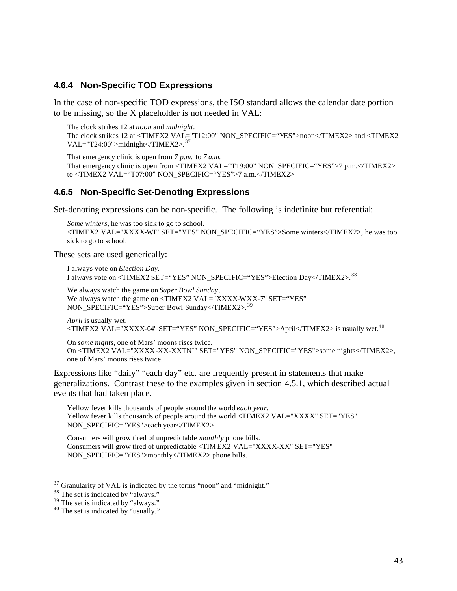#### **4.6.4 Non-Specific TOD Expressions**

In the case of non-specific TOD expressions, the ISO standard allows the calendar date portion to be missing, so the X placeholder is not needed in VAL:

The clock strikes 12 at *noon* and *midnight*.

The clock strikes 12 at <TIMEX2 VAL="T12:00" NON\_SPECIFIC="YES">noon</TIMEX2> and <TIMEX2 VAL="T24:00">midnight</TIMEX2>. $37$ 

That emergency clinic is open from *7 p.m.* to *7 a.m.* That emergency clinic is open from <TIMEX2 VAL="T19:00" NON\_SPECIFIC="YES">7 p.m. </TIMEX2> to <TIMEX2 VAL="T07:00" NON\_SPECIFIC="YES">7 a.m.</TIMEX2>

#### **4.6.5 Non-Specific Set-Denoting Expressions**

Set-denoting expressions can be non-specific. The following is indefinite but referential:

*Some winters*, he was too sick to go to school. <TIMEX2 VAL="XXXX-WI" SET="YES" NON\_SPECIFIC="YES">Some winters</TIMEX2>, he was too sick to go to school.

These sets are used generically:

I always vote on *Election Day*. I always vote on <TIMEX2 SET="YES" NON\_SPECIFIC="YES">Election Day</TIMEX2>.<sup>38</sup>

We always watch the game on *Super Bowl Sunday*. We always watch the game on <TIMEX2 VAL="XXXX-WXX-7" SET="YES" NON\_SPECIFIC="YES">Super Bowl Sunday</TIMEX2>.<sup>39</sup>

*April* is usually wet. <TIMEX2 VAL="XXXX-04" SET="YES" NON\_SPECIFIC="YES">April</TIMEX2> is usually wet.<sup>40</sup>

On *some nights*, one of Mars' moons rises twice. On <TIMEX2 VAL="XXXX-XX-XXTNI" SET="YES" NON\_SPECIFIC="YES">some nights</TIMEX2>, one of Mars' moons rises twice.

Expressions like "daily" "each day" etc. are frequently present in statements that make generalizations. Contrast these to the examples given in section 4.5.1, which described actual events that had taken place.

Yellow fever kills thousands of people around the world *each year*. Yellow fever kills thousands of people around the world <TIMEX2 VAL="XXXX" SET="YES" NON\_SPECIFIC="YES">each year</TIMEX2>.

Consumers will grow tired of unpredictable *monthly* phone bills. Consumers will grow tired of unpredictable <TIM EX2 VAL="XXXX-XX" SET="YES" NON\_SPECIFIC="YES">monthly</TIMEX2> phone bills.

 $^{37}$  Granularity of VAL is indicated by the terms "noon" and "midnight."

<sup>&</sup>lt;sup>38</sup> The set is indicated by "always."

<sup>&</sup>lt;sup>39</sup> The set is indicated by "always."

<sup>&</sup>lt;sup>40</sup> The set is indicated by "usually."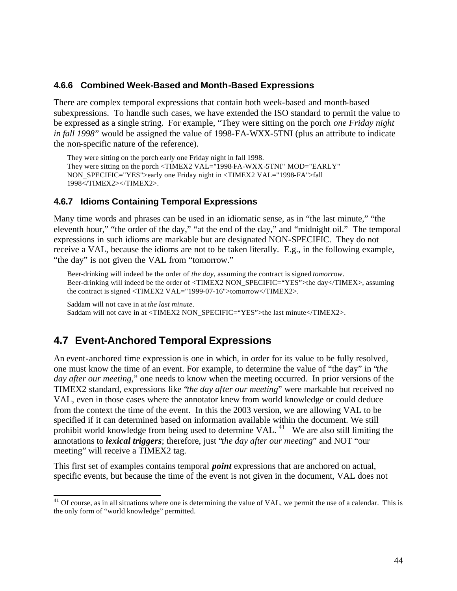## **4.6.6 Combined Week-Based and Month-Based Expressions**

There are complex temporal expressions that contain both week-based and month-based subexpressions. To handle such cases, we have extended the ISO standard to permit the value to be expressed as a single string. For example, "They were sitting on the porch *one Friday night in fall 1998*" would be assigned the value of 1998-FA-WXX-5TNI (plus an attribute to indicate the non-specific nature of the reference).

They were sitting on the porch early one Friday night in fall 1998. They were sitting on the porch <TIMEX2 VAL="1998-FA-WXX-5TNI" MOD="EARLY" NON\_SPECIFIC="YES">early one Friday night in <TIMEX2 VAL="1998-FA">fall 1998</TIMEX2></TIMEX2>.

## **4.6.7 Idioms Containing Temporal Expressions**

Many time words and phrases can be used in an idiomatic sense, as in "the last minute," "the eleventh hour," "the order of the day," "at the end of the day," and "midnight oil." The temporal expressions in such idioms are markable but are designated NON-SPECIFIC. They do not receive a VAL, because the idioms are not to be taken literally. E.g., in the following example, "the day" is not given the VAL from "tomorrow."

Beer-drinkin g will indeed be the order of *the day*, assuming the contract is signed *tomorrow*. Beer-drinking will indeed be the order of <TIMEX2 NON\_SPECIFIC="YES">the day</TIMEX>, assuming the contract is signed <TIMEX2 VAL="1999-07-16">tomorrow</TIMEX2>.

```
Saddam will not cave in at the last minute. 
Saddam will not cave in at <TIMEX2 NON_SPECIFIC="YES">the last minute</TIMEX2>.
```
# **4.7 Event-Anchored Temporal Expressions**

An event-anchored time expression is one in which, in order for its value to be fully resolved, one must know the time of an event. For example, to determine the value of "the day" in "*the day after our meeting,*" one needs to know when the meeting occurred. In prior versions of the TIMEX2 standard, expressions like "*the day after our meeting*" were markable but received no VAL, even in those cases where the annotator knew from world knowledge or could deduce from the context the time of the event. In this the 2003 version, we are allowing VAL to be specified if it can determined based on information available within the document. We still prohibit world knowledge from being used to determine VAL.<sup>41</sup> We are also still limiting the annotations to *lexical triggers*; therefore, just "*the day after our meeting*" and NOT "our meeting" will receive a TIMEX2 tag.

This first set of examples contains temporal *point* expressions that are anchored on actual, specific events, but because the time of the event is not given in the document, VAL does not

 $41$  Of course, as in all situations where one is determining the value of VAL, we permit the use of a calendar. This is the only form of "world knowledge" permitted.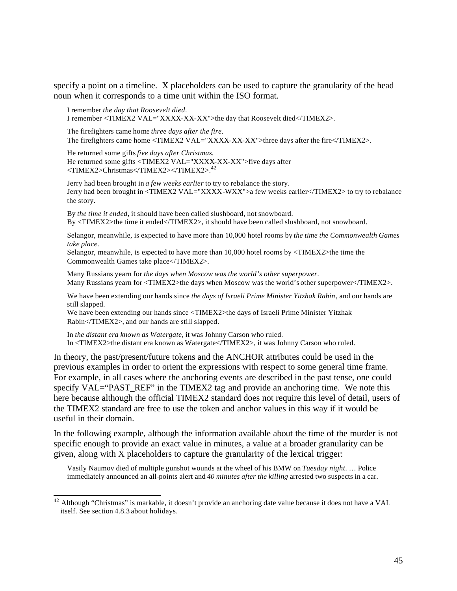specify a point on a timeline. X placeholders can be used to capture the granularity of the head noun when it corresponds to a time unit within the ISO format.

I remember *the day that Roosevelt died*. I remember <TIMEX2 VAL="XXXX-XX-XX">the day that Roosevelt died</TIMEX2>.

The firefighters came home *three days after the fire*. The firefighters came home <TIMEX2 VAL="XXXX-XX-XX">three days after the fire</TIMEX2>.

He returned some gifts *five days after Christmas*. He returned some gifts <TIMEX2 VAL="XXXX-XX-XX">five days after <TIMEX2>Christmas</TIMEX2></TIMEX2>.<sup>42</sup>

Jerry had been brought in *a few weeks earlier* to try to rebalance the story. Jerry had been brought in <TIMEX2 VAL="XXXX-WXX">a few weeks earlier</TIMEX2> to try to rebalance the story.

By *the time it ended*, it should have been called slushboard, not snowboard. By <TIMEX2>the time it ended</TIMEX2>, it should have been called slushboard, not snowboard.

Selangor, meanwhile, is expected to have more than 10,000 hotel rooms by *the time the Commonwealth Games take place*.

Selangor, meanwhile, is expected to have more than 10,000 hotel rooms by <TIMEX2>the time the Commonwealth Games take place</TIMEX2>.

Many Russians yearn for *the days when Moscow was the world's other superpower*. Many Russians yearn for <TIMEX2>the days when Moscow was the world's other superpower</TIMEX2>.

We have been extending our hands since *the days of Israeli Prime Minister Yitzhak Rabin*, and our hands are still slapped.

We have been extending our hands since <TIMEX2>the days of Israeli Prime Minister Yitzhak Rabin</TIMEX2>, and our hands are still slapped.

In *the distant era known as Watergate*, it was Johnny Carson who ruled. In <TIMEX2>the distant era known as Watergate</TIMEX2>, it was Johnny Carson who ruled.

In theory, the past/present/future tokens and the ANCHOR attributes could be used in the previous examples in order to orient the expressions with respect to some general time frame. For example, in all cases where the anchoring events are described in the past tense, one could specify VAL="PAST\_REF" in the TIMEX2 tag and provide an anchoring time. We note this here because although the official TIMEX2 standard does not require this level of detail, users of the TIMEX2 standard are free to use the token and anchor values in this way if it would be useful in their domain.

In the following example, although the information available about the time of the murder is not specific enough to provide an exact value in minutes, a value at a broader granularity can be given, along with X placeholders to capture the granularity of the lexical trigger:

Vasily Naumov died of multiple gunshot wounds at the wheel of his BMW on *Tuesday night*. … Police immediately announced an all-points alert and *40 minutes after the killing* arrested two suspects in a car.

Although "Christmas" is markable, it doesn't provide an anchoring date value because it does not have a VAL itself. See section 4.8.3 about holidays.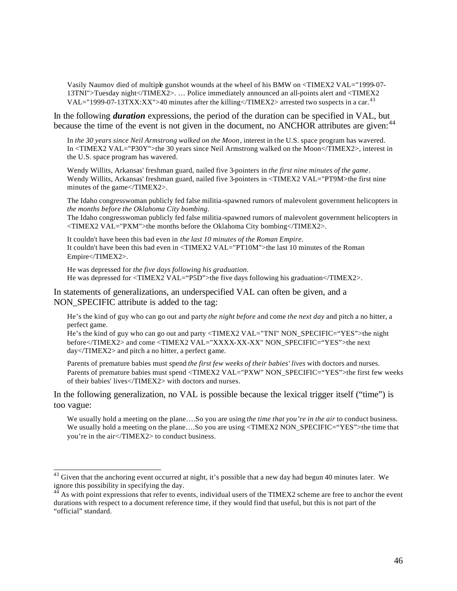Vasily Naumov died of multiple gunshot wounds at the wheel of his BMW on <TIMEX2 VAL="1999-07- 13TNI">Tuesday night</TIMEX2>. … Police immediately announced an all-points alert and <TIMEX2 VAL="1999-07-13TXX:XX">40 minutes after the killing</TIMEX2> arrested two suspects in a car.<sup>43</sup>

In the following *duration* expressions, the period of the duration can be specified in VAL, but because the time of the event is not given in the document, no ANCHOR attributes are given:<sup>44</sup>

In *the 30 years since Neil Armstrong walked on the Moon*, interest in the U.S. space program has wavered. In <TIMEX2 VAL="P30Y">the 30 years since Neil Armstrong walked on the Moon</TIMEX2>, interest in the U.S. space program has wavered.

Wendy Willits, Arkansas' freshman guard, nailed five 3-pointers in *the first nine minutes of the game*. Wendy Willits, Arkansas' freshman guard, nailed five 3-pointers in  $\langle$ TIMEX2 VAL="PT9M>the first nine minutes of the game</TIMEX2>.

The Idaho congresswoman publicly fed false militia-spawned rumors of malevolent government helicopters in *the months before the Oklahoma City bombing*.

The Idaho congresswoman publicly fed false militia-spawned rumors of malevolent government helicopters in <TIMEX2 VAL="PXM">the months before the Oklahoma City bombing</TIMEX2>.

It couldn't have been this bad even in *the last 10 minutes of the Roman Empire*. It couldn't have been this bad even in <TIMEX2 VAL="PT10M">the last 10 minutes of the Roman Empire</TIMEX2>.

He was depressed for *the five days following his graduation*. He was depressed for <TIMEX2 VAL="P5D">the five days following his graduation</TIMEX2>.

In statements of generalizations, an underspecified VAL can often be given, and a NON SPECIFIC attribute is added to the tag:

He's the kind of guy who can go out and party *the night before* and come *the next day* and pitch a no hitter, a perfect game.

He's the kind of guy who can go out and party <TIMEX2 VAL="TNI" NON SPECIFIC="YES">the night before</TIMEX2> and come <TIMEX2 VAL="XXXX-XX-XX" NON\_SPECIFIC="YES">the next day</TIMEX2> and pitch a no hitter, a perfect game.

Parents of premature babies must spend *the first few weeks of their babies' lives* with doctors and nurses. Parents of premature babies must spend <TIMEX2 VAL="PXW" NON\_SPECIFIC="YES">the first few weeks of their babies' lives</TIMEX2> with doctors and nurses.

In the following generalization, no VAL is possible because the lexical trigger itself ("time") is too vague:

We usually hold a meeting on the plane….So you are using *the time that you're in the air* to conduct business. We usually hold a meeting on the plane....So you are using <TIMEX2 NON\_SPECIFIC="YES">the time that you're in the air</TIMEX2> to conduct business.

<sup>&</sup>lt;sup>43</sup> Given that the anchoring event occurred at night, it's possible that a new day had begun 40 minutes later. We ignore this possibility in specifying the day.

<sup>&</sup>lt;sup>44</sup> As with point expressions that refer to events, individual users of the TIMEX2 scheme are free to anchor the event durations with respect to a document reference time, if they would find that useful, but this is not part of the "official" standard.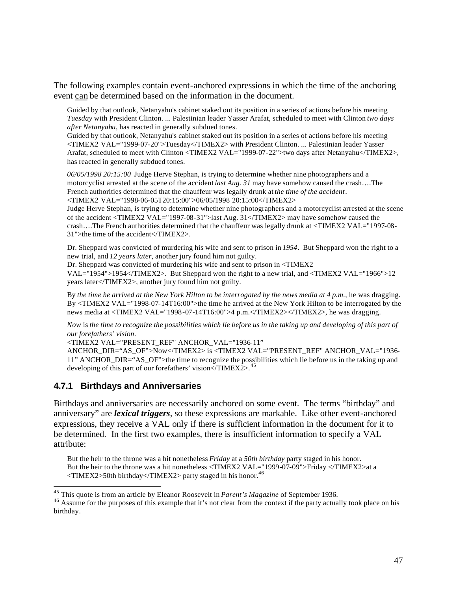The following examples contain event-anchored expressions in which the time of the anchoring event can be determined based on the information in the document.

Guided by that outlook, Netanyahu's cabinet staked out its position in a series of actions before his meeting *Tuesday* with President Clinton. ... Palestinian leader Yasser Arafat, scheduled to meet with Clinton *two days after Netanyahu*, has reacted in generally subdued tones.

Guided by that outlook, Netanyahu's cabinet staked out its position in a series of actions before his meeting <TIMEX2 VAL="1999-07-20">Tuesday</TIMEX2> with President Clinton. ... Palestinian leader Yasser Arafat, scheduled to meet with Clinton <TIMEX2 VAL="1999-07-22">two days after Netanyahu</TIMEX2>, has reacted in generally subdued tones.

*06/05/1998 20:15:00* Judge Herve Stephan, is trying to determine whether nine photographers and a motorcyclist arrested at the scene of the accident *last Aug. 31* may have somehow caused the crash….The French authorities determined that the chauffeur was legally drunk at *the time of the accident*. <TIMEX2 VAL="1998-06-05T20:15:00">06/05/1998 20:15:00</TIMEX2>

Judge Herve Stephan, is trying to determine whether nine photographers and a motorcyclist arrested at the scene of the accident <TIMEX2 VAL="1997-08-31">last Aug. 31</TIMEX2> may have somehow caused the crash….The French authorities determined that the chauffeur was legally drunk at <TIMEX2 VAL="1997-08- 31">the time of the accident</TIMEX2>.

Dr. Sheppard was convicted of murdering his wife and sent to prison in *1954*. But Sheppard won the right to a new trial, and *12 years later*, another jury found him not guilty.

Dr. Sheppard was convicted of murdering his wife and sent to prison in <TIMEX2

VAL="1954">1954</TIMEX2>. But Sheppard won the right to a new trial, and <TIMEX2 VAL="1966">12 years later</TIMEX2>, another jury found him not guilty.

By *the time he arrived at the New York Hilton to be interrogated by the news media at 4 p.m.*, he was dragging. By <TIMEX2 VAL="1998-07-14T16:00">the time he arrived at the New York Hilton to be interrogated by the news media at <TIMEX2 VAL="1998-07-14T16:00">4 p.m.</TIMEX2></TIMEX2>, he was dragging.

*Now* is *the time to recognize the possibilities which lie before us in the taking up and developing of this part of our forefathers' vision*.

<TIMEX2 VAL="PRESENT\_REF" ANCHOR\_VAL="1936-11"

ANCHOR\_DIR="AS\_OF">Now</TIMEX2> is <TIMEX2 VAL="PRESENT\_REF" ANCHOR\_VAL="1936- 11" ANCHOR\_DIR="AS\_OF">the time to recognize the possibilities which lie before us in the taking up and developing of this part of our forefathers' vision</TIMEX2>.<sup>45</sup>

## **4.7.1 Birthdays and Anniversaries**

Birthdays and anniversaries are necessarily anchored on some event. The terms "birthday" and anniversary" are *lexical triggers*, so these expressions are markable. Like other event-anchored expressions, they receive a VAL only if there is sufficient information in the document for it to be determined. In the first two examples, there is insufficient information to specify a VAL attribute:

But the heir to the throne was a hit nonetheless *Friday* at a *50th birthday* party staged in his honor. But the heir to the throne was a hit nonetheless <TIMEX2 VAL="1999-07-09">Friday </TIMEX2>at a  $\langle$ TIMEX2>50th birthday $\langle$ TIMEX2> party staged in his honor.<sup>46</sup>

<sup>45</sup> This quote is from an article by Eleanor Roosevelt in *Parent's Magazine* of September 1936.

<sup>&</sup>lt;sup>46</sup> Assume for the purposes of this example that it's not clear from the context if the party actually took place on his birthday.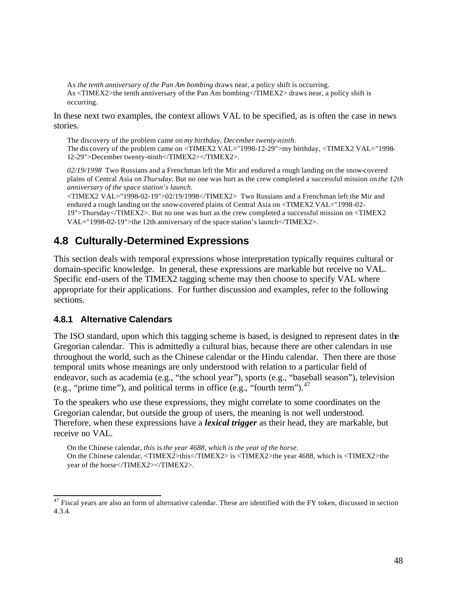As *the tenth anniversary of the Pan Am bombing* draws near, a policy shift is occurring. As <TIMEX2>the tenth anniversary of the Pan Am bombing</TIMEX2> draws near, a policy shift is occurring.

In these next two examples, the context allows VAL to be specified, as is often the case in news stories.

The discovery of the problem came on *my birthday, December twenty-ninth*. The dis covery of the problem came on <TIMEX2 VAL="1998-12-29">my birthday, <TIMEX2 VAL="1998- 12-29">December twenty-ninth</TIMEX2></TIMEX2>.

*02/19/1998* Two Russians and a Frenchman left the Mir and endured a rough landing on the snow-covered plains of Central Asia on *Thursday*. But no one was hurt as the crew completed a successful mission on *the 12th anniversary of the space station's launch*.

<TIMEX2 VAL="1998-02-19">02/19/1998</TIMEX2> Two Russians and a Frenchman left the Mir and endured a rough landing on the snow-covered plains of Central Asia on <TIMEX2 VAL="1998-02- 19">Thursday</TIMEX2>. But no one was hurt as the crew completed a successful mission on <TIMEX2 VAL="1998-02-19">the 12th anniversary of the space station's launch</TIMEX2>.

# **4.8 Culturally-Determined Expressions**

This section deals with temporal expressions whose interpretation typically requires cultural or domain-specific knowledge. In general, these expressions are markable but receive no VAL. Specific end-users of the TIMEX2 tagging scheme may then choose to specify VAL where appropriate for their applications. For further discussion and examples, refer to the following sections.

# **4.8.1 Alternative Calendars**

The ISO standard, upon which this tagging scheme is based, is designed to represent dates in the Gregorian calendar. This is admittedly a cultural bias, because there are other calendars in use throughout the world, such as the Chinese calendar or the Hindu calendar. Then there are those temporal units whose meanings are only understood with relation to a particular field of endeavor, such as academia (e.g., "the school year"), sports (e.g., "baseball season"), television (e.g., "prime time"), and political terms in office (e.g., "fourth term"). $47$ 

To the speakers who use these expressions, they might correlate to some coordinates on the Gregorian calendar, but outside the group of users, the meaning is not well understood. Therefore, when these expressions have a *lexical trigger* as their head, they are markable, but receive no VAL.

On the Chinese calendar, *this* is *the year 4688, which is the year of the horse*.

On the Chinese calendar, <TIMEX2>this</TIMEX2> is <TIMEX2>the year 4688, which is <TIMEX2>the year of the horse</TIMEX2></TIMEX2>.

 $47$  Fiscal years are also an form of alternative calendar. These are identified with the FY token, discussed in section 4.3.4.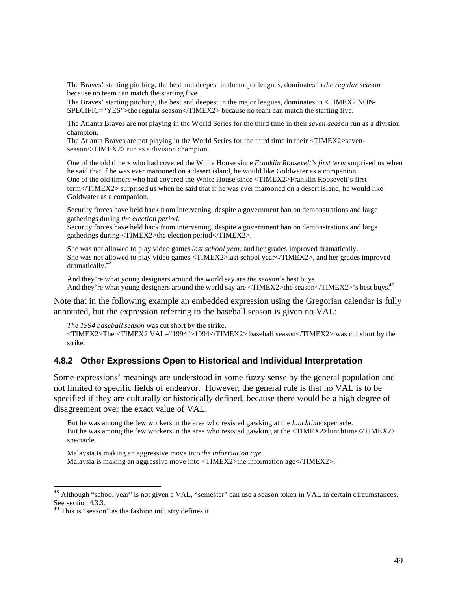The Braves' starting pitching, the best and deepest in the major leagues, dominates in *the regular season* because no team can match the starting five.

The Braves' starting pitching, the best and deepest in the major leagues, dominates in <TIMEX2 NON-SPECIFIC="YES">the regular season</TIMEX2> because no team can match the starting five.

The Atlanta Braves are not playing in the World Series for the third time in their *seven-season* run as a division champion.

The Atlanta Braves are not playing in the World Series for the third time in their <TIMEX2>sevenseason</TIMEX2> run as a division champion.

One of the old timers who had covered the White House since *Franklin Roosevelt's first term* surprised us when he said that if he was ever marooned on a desert island, he would like Goldwater as a companion. One of the old timers who had covered the White House since <TIMEX2>Franklin Roosevelt's first term</TIMEX2> surprised us when he said that if he was ever marooned on a desert island, he would like Goldwater as a companion.

Security forces have held back from intervening, despite a government ban on demonstrations and large gatherings during *the election period*.

Security forces have held back from intervening, despite a government ban on demonstrations and large gatherings during <TIMEX2>the election period</TIMEX2>.

She was not allowed to play video games *last school year*, and her grades improved dramatically. She was not allowed to play video games <TIMEX2>last school year</TIMEX2>, and her grades improved dramatically.<sup>48</sup>

And they're what young designers around the world say are *the season*'s best buys. And they're what young designers around the world say are  $\langle$ TIMEX2>the season $\langle$ /TIMEX2>'s best buys.<sup>49</sup>

Note that in the following example an embedded expression using the Gregorian calendar is fully annotated, but the expression referring to the baseball season is given no VAL:

*The 1994 baseball season* was cut short by the strike. <TIMEX2>The <TIMEX2 VAL="1994">1994</TIMEX2> baseball season</TIMEX2> was cut short by the strike.

#### **4.8.2 Other Expressions Open to Historical and Individual Interpretation**

Some expressions' meanings are understood in some fuzzy sense by the general population and not limited to specific fields of endeavor. However, the general rule is that no VAL is to be specified if they are culturally or historically defined, because there would be a high degree of disagreement over the exact value of VAL.

But he was among the few workers in the area who resisted gawking at the *lunchtime* spectacle. But he was among the few workers in the area who resisted gawking at the <TIMEX2>lunchtime</TIMEX2> spectacle.

Malaysia is making an aggressive move into *the information age*. Malaysia is making an aggressive move into <TIMEX2>the information age</TIMEX2>.

<sup>&</sup>lt;sup>48</sup> Although "school year" is not given a VAL, "semester" can use a season token in VAL in certain circumstances. See section 4.3.3.<br> $49$  This is "season" as the fashion industry defines it.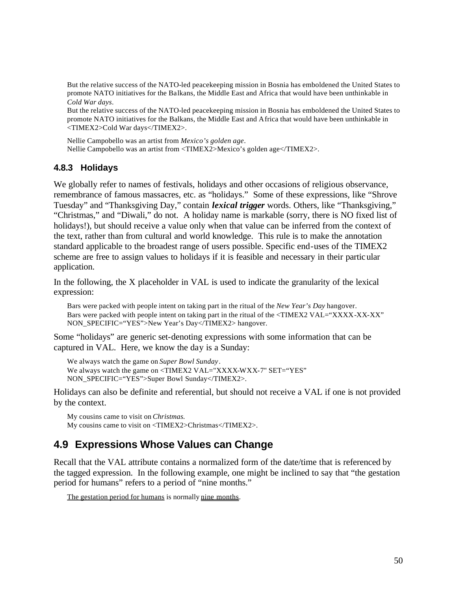But the relative success of the NATO-led peacekeeping mission in Bosnia has emboldened the United States to promote NATO initiatives for the Ba lkans, the Middle East and Africa that would have been unthinkable in *Cold War days*.

But the relative success of the NATO-led peacekeeping mission in Bosnia has emboldened the United States to promote NATO initiatives for the Balkans, the Middle East and A frica that would have been unthinkable in <TIMEX2>Cold War days</TIMEX2>.

Nellie Campobello was an artist from *Mexico's golden age*. Nellie Campobello was an artist from <TIMEX2>Mexico's golden age</TIMEX2>.

## **4.8.3 Holidays**

We globally refer to names of festivals, holidays and other occasions of religious observance, remembrance of famous massacres, etc. as "holidays." Some of these expressions, like "Shrove Tuesday" and "Thanksgiving Day," contain *lexical trigger* words. Others, like "Thanksgiving," "Christmas," and "Diwali," do not. A holiday name is markable (sorry, there is NO fixed list of holidays!), but should receive a value only when that value can be inferred from the context of the text, rather than from cultural and world knowledge. This rule is to make the annotation standard applicable to the broadest range of users possible. Specific end-uses of the TIMEX2 scheme are free to assign values to holidays if it is feasible and necessary in their partic ular application.

In the following, the X placeholder in VAL is used to indicate the granularity of the lexical expression:

Bars were packed with people intent on taking part in the ritual of the *New Year's Day* hangover. Bars were packed with people intent on taking part in the ritual of the <TIMEX2 VAL="XXXX -XX-XX" NON\_SPECIFIC="YES">New Year's Day</TIMEX2> hangover.

Some "holidays" are generic set-denoting expressions with some information that can be captured in VAL. Here, we know the day is a Sunday:

We always watch the game on *Super Bowl Sunday* . We always watch the game on <TIMEX2 VAL="XXXX-WXX-7" SET="YES" NON\_SPECIFIC="YES">Super Bowl Sunday</TIMEX2>.

Holidays can also be definite and referential, but should not receive a VAL if one is not provided by the context.

My cousins came to visit on *Christmas.* My cousins came to visit on <TIMEX2>Christmas</TIMEX2>.

# **4.9 Expressions Whose Values can Change**

Recall that the VAL attribute contains a normalized form of the date/time that is referenced by the tagged expression. In the following example, one might be inclined to say that "the gestation period for humans" refers to a period of "nine months."

The gestation period for humans is normally nine months.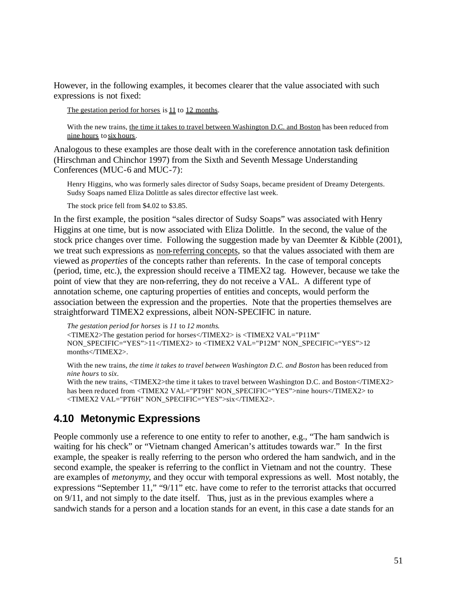However, in the following examples, it becomes clearer that the value associated with such expressions is not fixed:

The gestation period for horses is 11 to 12 months.

With the new trains, the time it takes to travel between Washington D.C. and Boston has been reduced from nine hours to six hours.

Analogous to these examples are those dealt with in the coreference annotation task definition (Hirschman and Chinchor 1997) from the Sixth and Seventh Message Understanding Conferences (MUC-6 and MUC-7):

Henry Higgins, who was formerly sales director of Sudsy Soaps, became president of Dreamy Detergents. Sudsy Soaps named Eliza Dolittle as sales director effective last week.

The stock price fell from \$4.02 to \$3.85.

In the first example, the position "sales director of Sudsy Soaps" was associated with Henry Higgins at one time, but is now associated with Eliza Dolittle. In the second, the value of the stock price changes over time. Following the suggestion made by van Deemter & Kibble (2001), we treat such expressions as non-referring concepts, so that the values associated with them are viewed as *properties* of the concepts rather than referents. In the case of temporal concepts (period, time, etc.), the expression should receive a TIMEX2 tag. However, because we take the point of view that they are non-referring, they do not receive a VAL. A different type of annotation scheme, one capturing properties of entities and concepts, would perform the association between the expression and the properties. Note that the properties themselves are straightforward TIMEX2 expressions, albeit NON-SPECIFIC in nature.

*The gestation period for horses* is *11* to *12 months*. <TIMEX2>The gestation period for horses</TIMEX2> is <TIMEX2 VAL="P11M" NON\_SPECIFIC="YES">11</TIMEX2> to <TIMEX2 VAL="P12M" NON\_SPECIFIC="YES">12 months</TIMEX2>.

With the new trains, *the time it takes to travel between Washington D.C. and Boston* has been reduced from *nine hours* to *six*. With the new trains, <TIMEX2>the time it takes to travel between Washington D.C. and Boston</TIMEX2>

has been reduced from <TIMEX2 VAL="PT9H" NON\_SPECIFIC="YES">nine hours</TIMEX2> to <TIMEX2 VAL="PT6H" NON\_SPECIFIC="YES">six</TIMEX2>.

# **4.10 Metonymic Expressions**

People commonly use a reference to one entity to refer to another, e.g., "The ham sandwich is waiting for his check" or "Vietnam changed American's attitudes towards war." In the first example, the speaker is really referring to the person who ordered the ham sandwich, and in the second example, the speaker is referring to the conflict in Vietnam and not the country. These are examples of *metonymy*, and they occur with temporal expressions as well. Most notably, the expressions "September 11," "9/11" etc. have come to refer to the terrorist attacks that occurred on 9/11, and not simply to the date itself. Thus, just as in the previous examples where a sandwich stands for a person and a location stands for an event, in this case a date stands for an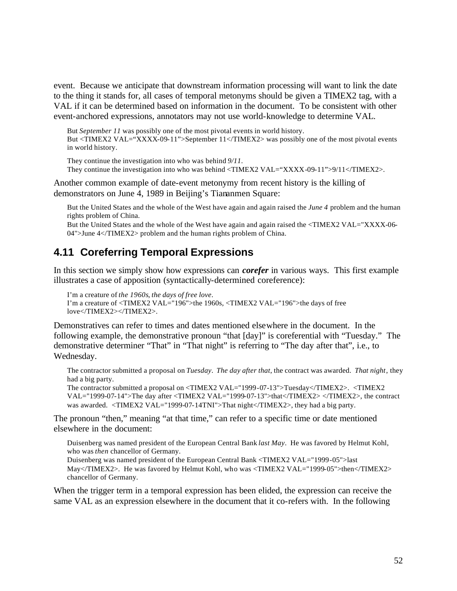event. Because we anticipate that downstream information processing will want to link the date to the thing it stands for, all cases of temporal metonyms should be given a TIMEX2 tag, with a VAL if it can be determined based on information in the document. To be consistent with other event-anchored expressions, annotators may not use world-knowledge to determine VAL.

But *September 11* was possibly one of the most pivotal events in world history.

But <TIMEX2 VAL="XXXX-09-11">September 11</TIMEX2> was possibly one of the most pivotal events in world history.

They continue the investigation into who was behind *9/11*.

They continue the investigation into who was behind <TIMEX2 VAL="XXXX-09-11">9/11</TIMEX2>.

Another common example of date-event metonymy from recent history is the killing of demonstrators on June 4, 1989 in Beijing's Tiananmen Square:

But the United States and the whole of the West have again and again raised the *June 4* problem and the human rights problem of China.

But the United States and the whole of the West have again and again raised the <TIMEX2 VAL="XXXX-06- 04">June 4</TIMEX2> problem and the human rights problem of China.

# **4.11 Coreferring Temporal Expressions**

In this section we simply show how expressions can *corefer* in various ways. This first example illustrates a case of apposition (syntactically-determined coreference):

```
I'm a creature of the 1960s, the days of free love.
I'm a creature of <TIMEX2 VAL="196">the 1960s, <TIMEX2 VAL="196">the days of free 
love</TIMEX2></TIMEX2>.
```
Demonstratives can refer to times and dates mentioned elsewhere in the document. In the following example, the demonstrative pronoun "that [day]" is coreferential with "Tuesday." The demonstrative determiner "That" in "That night" is referring to "The day after that", i.e., to Wednesday.

The contractor submitted a proposal on *Tuesday*. *The day after that*, the contract was awarded. *That night*, they had a big party.

The contractor submitted a proposal on <TIMEX2 VAL="1999 -07-13">Tuesday</TIMEX2>. <TIMEX2 VAL="1999-07-14">The day after <TIMEX2 VAL="1999-07-13">that</TIMEX2> </TIMEX2>, the contract was awarded. <TIMEX2 VAL="1999-07-14TNI">That night</TIMEX2>, they had a big party.

The pronoun "then," meaning "at that time," can refer to a specific time or date mentioned elsewhere in the document:

Duisenberg was named president of the European Central Bank *last May*. He was favored by Helmut Kohl, who was *then* chancellor of Germany.

Duisenberg was named president of the European Central Bank <TIMEX2 VAL="1999-05">last May</TIMEX2>. He was favored by Helmut Kohl, who was <TIMEX2 VAL="1999-05">then</TIMEX2> chancellor of Germany.

When the trigger term in a temporal expression has been elided, the expression can receive the same VAL as an expression elsewhere in the document that it co-refers with. In the following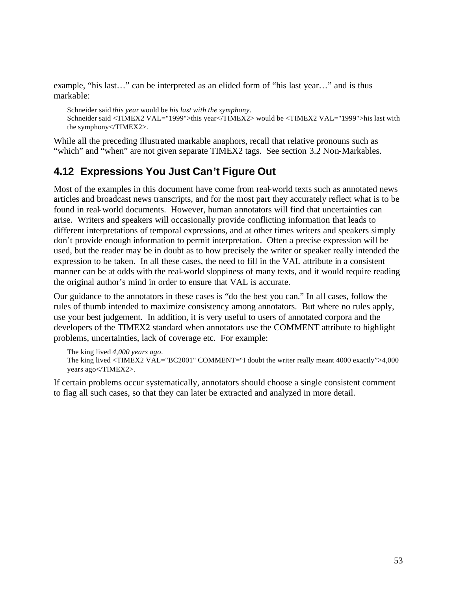example, "his last…" can be interpreted as an elided form of "his last year…" and is thus markable:

Schneider said *this year* would be *his last with the symphony*. Schneider said <TIMEX2 VAL="1999">this year</TIMEX2> would be <TIMEX2 VAL="1999">his last with the symphony</TIMEX2>.

While all the preceding illustrated markable anaphors, recall that relative pronouns such as "which" and "when" are not given separate TIMEX2 tags. See section 3.2 Non-Markables.

# **4.12 Expressions You Just Can't Figure Out**

Most of the examples in this document have come from real-world texts such as annotated news articles and broadcast news transcripts, and for the most part they accurately reflect what is to be found in real-world documents. However, human annotators will find that uncertainties can arise. Writers and speakers will occasionally provide conflicting information that leads to different interpretations of temporal expressions, and at other times writers and speakers simply don't provide enough information to permit interpretation. Often a precise expression will be used, but the reader may be in doubt as to how precisely the writer or speaker really intended the expression to be taken. In all these cases, the need to fill in the VAL attribute in a consistent manner can be at odds with the real-world sloppiness of many texts, and it would require reading the original author's mind in order to ensure that VAL is accurate.

Our guidance to the annotators in these cases is "do the best you can." In all cases, follow the rules of thumb intended to maximize consistency among annotators. But where no rules apply, use your best judgement. In addition, it is very useful to users of annotated corpora and the developers of the TIMEX2 standard when annotators use the COMMENT attribute to highlight problems, uncertainties, lack of coverage etc. For example:

The king lived *4,000 years ago*. The king lived <TIMEX2 VAL="BC2001" COMMENT="I doubt the writer really meant 4000 exactly">4,000 years ago</TIMEX2>.

If certain problems occur systematically, annotators should choose a single consistent comment to flag all such cases, so that they can later be extracted and analyzed in more detail.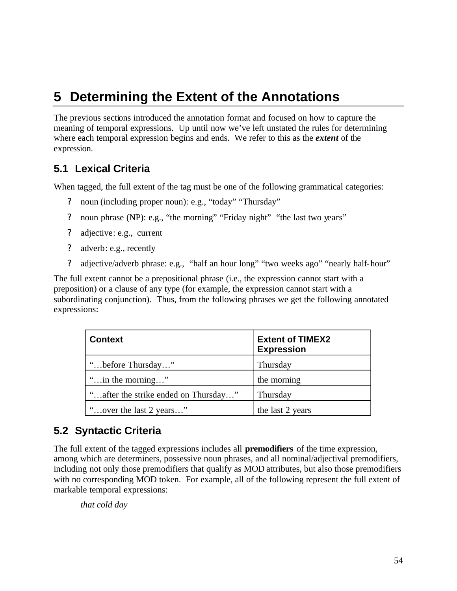# **5 Determining the Extent of the Annotations**

The previous sections introduced the annotation format and focused on how to capture the meaning of temporal expressions. Up until now we've left unstated the rules for determining where each temporal expression begins and ends. We refer to this as the *extent* of the expression.

# **5.1 Lexical Criteria**

When tagged, the full extent of the tag must be one of the following grammatical categories:

- ? noun (including proper noun): e.g., "today" "Thursday"
- ? noun phrase (NP): e.g., "the morning" "Friday night" "the last two years"
- ? adjective: e.g., current
- ? adverb: e.g., recently
- ? adjective/adverb phrase: e.g., "half an hour long" "two weeks ago" "nearly half-hour"

The full extent cannot be a prepositional phrase (i.e., the expression cannot start with a preposition) or a clause of any type (for example, the expression cannot start with a subordinating conjunction). Thus, from the following phrases we get the following annotated expressions:

| <b>Context</b>                       | <b>Extent of TIMEX2</b><br><b>Expression</b> |
|--------------------------------------|----------------------------------------------|
| "before Thursday"                    | Thursday                                     |
| " in the morning"                    | the morning                                  |
| "after the strike ended on Thursday" | Thursday                                     |
| "over the last 2 years"              | the last 2 years                             |

# **5.2 Syntactic Criteria**

The full extent of the tagged expressions includes all **premodifiers** of the time expression, among which are determiners, possessive noun phrases, and all nominal/adjectival premodifiers, including not only those premodifiers that qualify as MOD attributes, but also those premodifiers with no corresponding MOD token. For example, all of the following represent the full extent of markable temporal expressions:

*that cold day*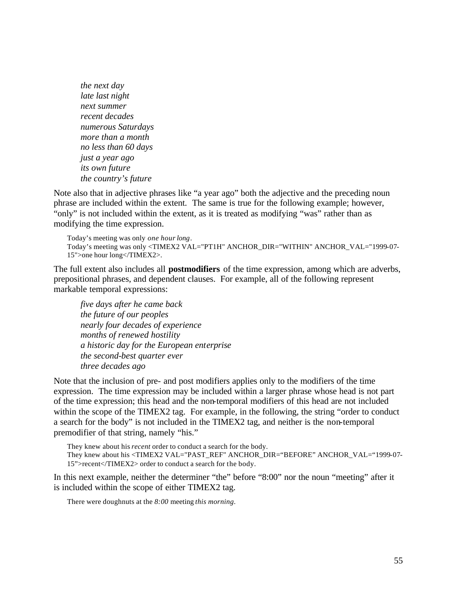*the next day late last night next summer recent decades numerous Saturdays more than a month no less than 60 days just a year ago its own future the country's future*

Note also that in adjective phrases like "a year ago" both the adjective and the preceding noun phrase are included within the extent. The same is true for the following example; however, "only" is not included within the extent, as it is treated as modifying "was" rather than as modifying the time expression.

```
Today's meeting was only one hour long.
Today's meeting was only <TIMEX2 VAL="PT1H" ANCHOR_DIR="WITHIN" ANCHOR_VAL="1999-07-
15">one hour long</TIMEX2>.
```
The full extent also includes all **postmodifiers** of the time expression, among which are adverbs, prepositional phrases, and dependent clauses. For example, all of the following represent markable temporal expressions:

*five days after he came back the future of our peoples nearly four decades of experience months of renewed hostility a historic day for the European enterprise the second-best quarter ever three decades ago*

Note that the inclusion of pre- and post modifiers applies only to the modifiers of the time expression. The time expression may be included within a larger phrase whose head is not part of the time expression; this head and the non-temporal modifiers of this head are not included within the scope of the TIMEX2 tag. For example, in the following, the string "order to conduct" a search for the body" is not included in the TIMEX2 tag, and neither is the non-temporal premodifier of that string, namely "his."

They knew about his *recent* order to conduct a search for the body.

They knew about his <TIMEX2 VAL="PAST\_REF" ANCHOR\_DIR="BEFORE" ANCHOR\_VAL="1999-07- 15">recent</TIMEX2> order to conduct a search for the body.

In this next example, neither the determiner "the" before "8:00" nor the noun "meeting" after it is included within the scope of either TIMEX2 tag.

There were doughnuts at the *8:00* meeting *this morning*.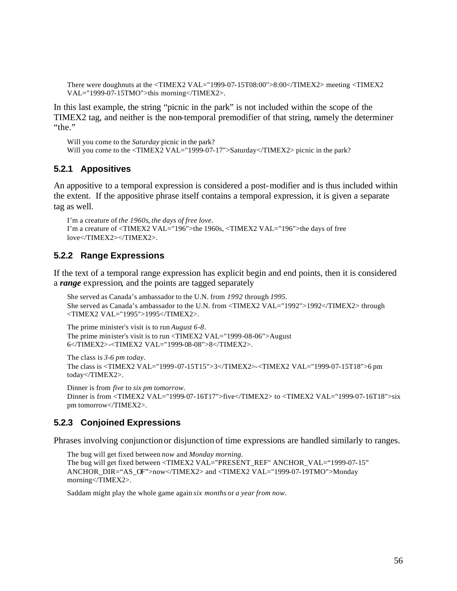There were doughnuts at the <TIMEX2 VAL="1999-07-15T08:00">8:00</TIMEX2> meeting <TIMEX2 VAL="1999-07-15TMO">this morning</TIMEX2>.

In this last example, the string "picnic in the park" is not included within the scope of the TIMEX2 tag, and neither is the non-temporal premodifier of that string, namely the determiner "the."

Will you come to the *Saturday* picnic in the park? Will you come to the <TIMEX2 VAL="1999-07-17">Saturday</TIMEX2> picnic in the park?

### **5.2.1 Appositives**

An appositive to a temporal expression is considered a post-modifier and is thus included within the extent. If the appositive phrase itself contains a temporal expression, it is given a separate tag as well.

```
I'm a creature of the 1960s, the days of free love.
I'm a creature of <TIMEX2 VAL="196">the 1960s, <TIMEX2 VAL="196">the days of free 
love</TIMEX2></TIMEX2>.
```
### **5.2.2 Range Expressions**

If the text of a temporal range expression has explicit begin and end points, then it is considered a *range* expression, and the points are tagged separately

She served as Canada's ambassador to the U.N. from *1992* through *1995*. She served as Canada's ambassador to the U.N. from <TIMEX2 VAL="1992">1992</TIMEX2> through <TIMEX2 VAL="1995">1995</TIMEX2>.

The prime minister's visit is to run *August 6*-*8*. The prime minister's visit is to run <TIMEX2 VAL="1999-08-06">August 6</TIMEX2>-<TIMEX2 VAL="1999-08-08">8</TIMEX2>.

The class is *3*-*6 pm today*. The class is <TIMEX2 VAL="1999-07-15T15">3</TIMEX2>-<TIMEX2 VAL="1999-07-15T18">6 pm today</TIMEX2>.

Dinner is from *five* to *six pm tomorrow*. Dinner is from <TIMEX2 VAL="1999-07-16T17">five</TIMEX2> to <TIMEX2 VAL="1999-07-16T18">six pm tomorrow</TIMEX2>.

### **5.2.3 Conjoined Expressions**

Phrases involving conjunction or disjunction of time expressions are handled similarly to ranges.

The bug will get fixed between *now* and *Monday morning*. The bug will get fixed between <TIMEX2 VAL="PRESENT\_REF" ANCHOR\_VAL="1999-07-15" ANCHOR\_DIR="AS\_OF">now</TIMEX2> and <TIMEX2 VAL="1999-07-19TMO">Monday morning</TIMEX2>.

Saddam might play the whole game again *six months* or *a year from now*.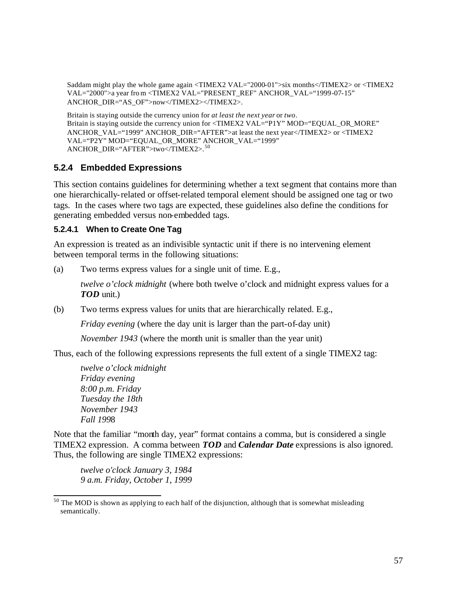Saddam might play the whole game again <TIMEX2 VAL="2000-01">six months</TIMEX2> or <TIMEX2 VAL="2000">a year from <TIMEX2 VAL="PRESENT\_REF" ANCHOR\_VAL="1999-07-15" ANCHOR\_DIR="AS\_OF">now</TIMEX2></TIMEX2>.

Britain is staying outside the currency union for *at least the next year* or *two*. Britain is staying outside the currency union for <TIMEX2 VAL="P1Y" MOD="EQUAL\_OR\_MORE" ANCHOR\_VAL="1999" ANCHOR\_DIR="AFTER">at least the next year</TIMEX2> or <TIMEX2 VAL="P2Y" MOD="EQUAL\_OR\_MORE" ANCHOR\_VAL="1999" ANCHOR\_DIR="AFTER">two</TIMEX2>. <sup>50</sup>

# **5.2.4 Embedded Expressions**

This section contains guidelines for determining whether a text segment that contains more than one hierarchically-related or offset-related temporal element should be assigned one tag or two tags. In the cases where two tags are expected, these guidelines also define the conditions for generating embedded versus non-embedded tags.

## **5.2.4.1 When to Create One Tag**

An expression is treated as an indivisible syntactic unit if there is no intervening element between temporal terms in the following situations:

(a) Two terms express values for a single unit of time. E.g.,

*twelve o'clock midnight* (where both twelve o'clock and midnight express values for a *TOD* unit.)

(b) Two terms express values for units that are hierarchically related. E.g.,

*Friday evening* (where the day unit is larger than the part-of-day unit)

*November 1943* (where the month unit is smaller than the year unit)

Thus, each of the following expressions represents the full extent of a single TIMEX2 tag:

*twelve o'clock midnight Friday evening 8:00 p.m. Friday Tuesday the 18th November 1943 Fall 199*8

Note that the familiar "month day, year" format contains a comma, but is considered a single TIMEX2 expression. A comma between *TOD* and *Calendar Date* expressions is also ignored. Thus, the following are single TIMEX2 expressions:

*twelve o'clock January 3, 1984 9 a.m. Friday, October 1, 1999*

 $50$  The MOD is shown as applying to each half of the disjunction, although that is somewhat misleading semantically.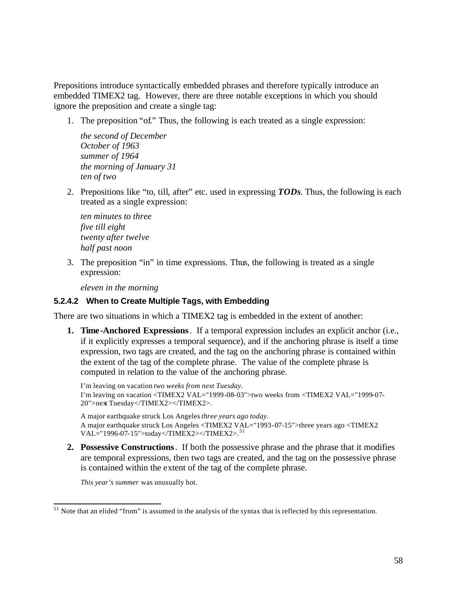Prepositions introduce syntactically embedded phrases and therefore typically introduce an embedded TIMEX2 tag. However, there are three notable exceptions in which you should ignore the preposition and create a single tag:

1. The preposition "of." Thus, the following is each treated as a single expression:

*the second of December October of 1963 summer of 1964 the morning of January 31 ten of two*

2. Prepositions like "to, till, after" etc. used in expressing *TODs*. Thus, the following is each treated as a single expression:

*ten minutes to three five till eight twenty after twelve half past noon*

3. The preposition "in" in time expressions. Thus, the following is treated as a single expression:

*eleven in the morning* 

## **5.2.4.2 When to Create Multiple Tags, with Embedding**

There are two situations in which a TIMEX2 tag is embedded in the extent of another:

**1. Time-Anchored Expressions** . If a temporal expression includes an explicit anchor (i.e., if it explicitly expresses a temporal sequence), and if the anchoring phrase is itself a time expression, two tags are created, and the tag on the anchoring phrase is contained within the extent of the tag of the complete phrase. The value of the complete phrase is computed in relation to the value of the anchoring phrase.

I'm leaving on vacation *two weeks from next Tuesday*. I'm leaving on vacation <TIMEX2 VAL="1999 -08-03">two weeks from <TIMEX2 VAL="1999-07- 20">next Tuesday</TIMEX2></TIMEX2>.

A major earthquake struck Los Angeles *three years ago today*. A major earthquake struck Los Angeles <TIMEX2 VAL="1993 -07-15">three years ago <TIMEX2 VAL="1996-07-15">today</TIMEX2></TIMEX2>. <sup>51</sup>

**2. Possessive Constructions** . If both the possessive phrase and the phrase that it modifies are temporal expressions, then two tags are created, and the tag on the possessive phrase is contained within the extent of the tag of the complete phrase.

*This year's summer* was unusually hot.

 $51$  Note that an elided "from" is assumed in the analysis of the syntax that is reflected by this representation.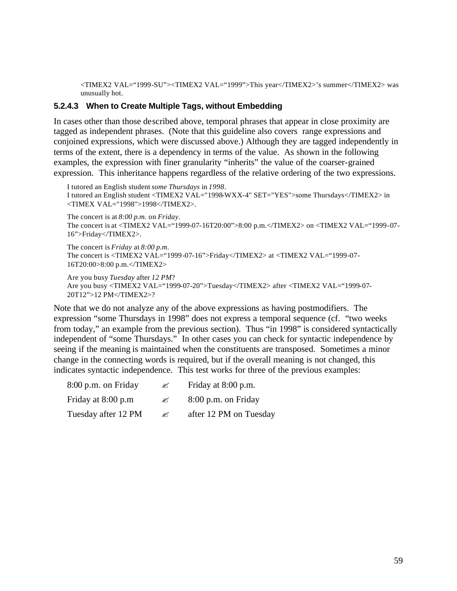<TIMEX2 VAL="1999 -SU"><TIMEX2 VAL="1999">This year</TIMEX2>'s summer</TIMEX2> was unusually hot.

### **5.2.4.3 When to Create Multiple Tags, without Embedding**

In cases other than those described above, temporal phrases that appear in close proximity are tagged as independent phrases. (Note that this guideline also covers range expressions and conjoined expressions, which were discussed above.) Although they are tagged independently in terms of the extent, there is a dependency in terms of the value. As shown in the following examples, the expression with finer granularity "inherits" the value of the coarser-grained expression. This inheritance happens regardless of the relative ordering of the two expressions.

I tutored an English student *some Thursdays* in *1998*. I tutored an English student <TIMEX2 VAL="1998-WXX-4" SET="YES">some Thursdays</TIMEX2> in <TIMEX VAL="1998">1998</TIMEX2>. The concert is at *8:00 p.m.* on *Friday*.

The concert is at <TIMEX2 VAL="1999-07-16T20:00">8:00 p.m.</TIMEX2> on <TIMEX2 VAL="1999 -07- 16">Friday</TIMEX2>.

The concert is *Friday* at *8:00 p.m*. The concert is <TIMEX2 VAL="1999 -07-16">Friday</TIMEX2> at <TIMEX2 VAL="1999 -07- 16T20:00>8:00 p.m.</TIMEX2>

```
Are you busy Tuesday after 12 PM?
Are you busy <TIMEX2 VAL="1999-07-20">Tuesday</TIMEX2> after <TIMEX2 VAL="1999-07-
20T12">12 PM</TIMEX2>?
```
Note that we do not analyze any of the above expressions as having postmodifiers. The expression "some Thursdays in 1998" does not express a temporal sequence (cf. "two weeks from today," an example from the previous section). Thus "in 1998" is considered syntactically independent of "some Thursdays." In other cases you can check for syntactic independence by seeing if the meaning is maintained when the constituents are transposed. Sometimes a minor change in the connecting words is required, but if the overall meaning is not changed, this indicates syntactic independence. This test works for three of the previous examples:

| 8:00 p.m. on Friday | ✍ | Friday at 8:00 p.m.    |
|---------------------|---|------------------------|
| Friday at 8:00 p.m  | ✍ | 8:00 p.m. on Friday    |
| Tuesday after 12 PM | ✍ | after 12 PM on Tuesday |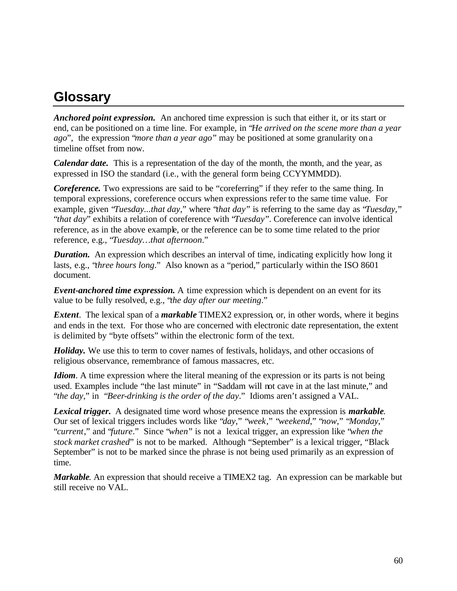# **Glossary**

*Anchored point expression.* An anchored time expression is such that either it, or its start or end, can be positioned on a time line. For example, in "*He arrived on the scene more than a year ago*", the expression "*more than a year ago*" may be positioned at some granularity on a timeline offset from now.

*Calendar date.* This is a representation of the day of the month, the month, and the year, as expressed in ISO the standard (i.e., with the general form being CCYYMMDD).

*Coreference*. Two expressions are said to be "coreferring" if they refer to the same thing. In temporal expressions, coreference occurs when expressions refer to the same time value. For example, given "*Tuesday...that day,*" where "*that day*" is referring to the same day as "*Tuesday,*" "*that day*" exhibits a relation of coreference with "*Tuesday*". Coreference can involve identical reference, as in the above example, or the reference can be to some time related to the prior reference, e.g., "*Tuesday…that afternoon*."

*Duration.* An expression which describes an interval of time, indicating explicitly how long it lasts, e.g., "*three hours long*." Also known as a "period," particularly within the ISO 8601 document.

*Event-anchored time expression.* A time expression which is dependent on an event for its value to be fully resolved, e.g., "*the day after our meeting*."

*Extent*. The lexical span of a *markable* TIMEX2 expression, or, in other words, where it begins and ends in the text. For those who are concerned with electronic date representation, the extent is delimited by "byte offsets" within the electronic form of the text.

*Holiday.* We use this to term to cover names of festivals, holidays, and other occasions of religious observance, remembrance of famous massacres, etc.

*Idiom*. A time expression where the literal meaning of the expression or its parts is not being used. Examples include "the last minute" in "Saddam will not cave in at the last minute," and "*the day*," in "*Beer-drinking is the order of the day*." Idioms aren't assigned a VAL.

*Lexical trigger.* A designated time word whose presence means the expression is *markable*. Our set of lexical triggers includes words like "*day*," "*week*," "*weekend*," "*now*," "*Monday*," "*current*," and "*future*." Since "*when*" is not a lexical trigger, an expression like "*when the stock market crashed*" is not to be marked. Although "September" is a lexical trigger, "Black September" is not to be marked since the phrase is not being used primarily as an expression of time.

*Markable*. An expression that should receive a TIMEX2 tag. An expression can be markable but still receive no VAL.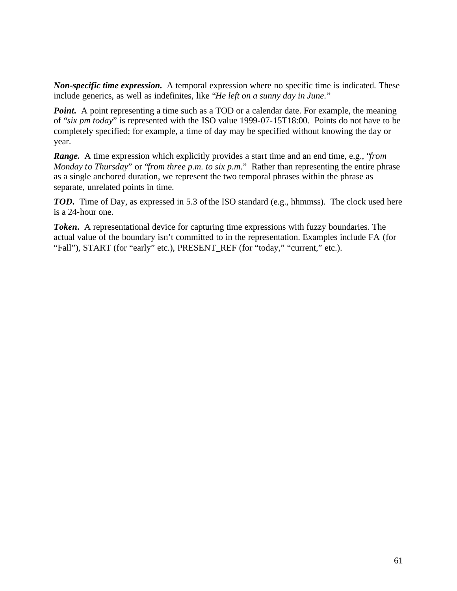*Non-specific time expression.* A temporal expression where no specific time is indicated. These include generics, as well as indefinites, like "*He left on a sunny day in June*."

*Point.* A point representing a time such as a TOD or a calendar date. For example, the meaning of "*six pm today*" is represented with the ISO value 1999-07-15T18:00. Points do not have to be completely specified; for example, a time of day may be specified without knowing the day or year.

*Range.* A time expression which explicitly provides a start time and an end time, e.g., "*from Monday to Thursday*" or "*from three p.m. to six p.m.*" Rather than representing the entire phrase as a single anchored duration, we represent the two temporal phrases within the phrase as separate, unrelated points in time.

*TOD.* Time of Day, as expressed in 5.3 of the ISO standard (e.g., hhmmss). The clock used here is a 24-hour one.

*Token*. A representational device for capturing time expressions with fuzzy boundaries. The actual value of the boundary isn't committed to in the representation. Examples include FA (for "Fall"), START (for "early" etc.), PRESENT\_REF (for "today," "current," etc.).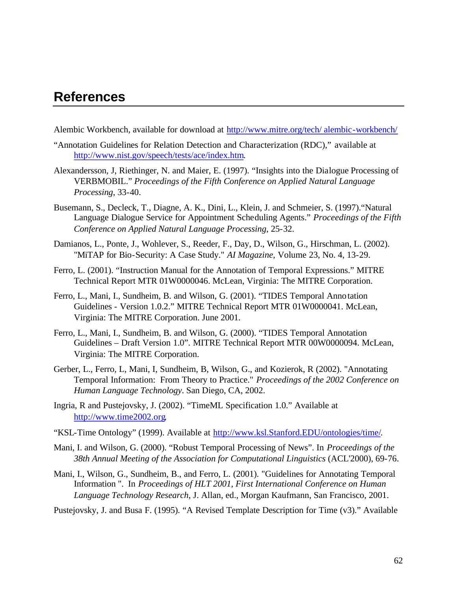# **References**

- Alembic Workbench, available for download at http://www.mitre.org/tech/ alembic-workbench/
- "Annotation Guidelines for Relation Detection and Characterization (RDC)," available at http://www.nist.gov/speech/tests/ace/index.htm.
- Alexandersson, J, Riethinger, N. and Maier, E. (1997). "Insights into the Dialogue Processing of VERBMOBIL." *Proceedings of the Fifth Conference on Applied Natural Language Processing*, 33-40.
- Busemann, S., Decleck, T., Diagne, A. K., Dini, L., Klein, J. and Schmeier, S. (1997)."Natural Language Dialogue Service for Appointment Scheduling Agents." *Proceedings of the Fifth Conference on Applied Natural Language Processing*, 25-32.
- Damianos, L., Ponte, J., Wohlever, S., Reeder, F., Day, D., Wilson, G., Hirschman, L. (2002). "MiTAP for Bio-Security: A Case Study." *AI Magazine*, Volume 23, No. 4, 13-29.
- Ferro, L. (2001). "Instruction Manual for the Annotation of Temporal Expressions." MITRE Technical Report MTR 01W0000046. McLean, Virginia: The MITRE Corporation.
- Ferro, L., Mani, I., Sundheim, B. and Wilson, G. (2001). "TIDES Temporal Anno tation Guidelines - Version 1.0.2." MITRE Technical Report MTR 01W0000041. McLean, Virginia: The MITRE Corporation. June 2001.
- Ferro, L., Mani, I., Sundheim, B. and Wilson, G. (2000). "TIDES Temporal Annotation Guidelines – Draft Version 1.0". MITRE Technical Report MTR 00W0000094. McLean, Virginia: The MITRE Corporation.
- Gerber, L., Ferro, L, Mani, I, Sundheim, B, Wilson, G., and Kozierok, R (2002). "Annotating Temporal Information: From Theory to Practice." *Proceedings of the 2002 Conference on Human Language Technology*. San Diego, CA, 2002.
- Ingria, R and Pustejovsky, J. (2002). "TimeML Specification 1.0." Available at http://www.time2002.org.
- "KSL-Time Ontology" (1999). Available at http://www.ksl.Stanford.EDU/ontologies/time/.
- Mani, I. and Wilson, G. (2000). "Robust Temporal Processing of News". In *Proceedings of the 38th Annual Meeting of the Association for Computational Linguistics* (ACL'2000), 69-76.
- Mani, I., Wilson, G., Sundheim, B., and Ferro, L. (2001). "Guidelines for Annotating Temporal Information ". In *Proceedings of HLT 2001, First International Conference on Human Language Technology Research*, J. Allan, ed., Morgan Kaufmann, San Francisco, 2001.

Pustejovsky, J. and Busa F. (1995). "A Revised Template Description for Time (v3)." Available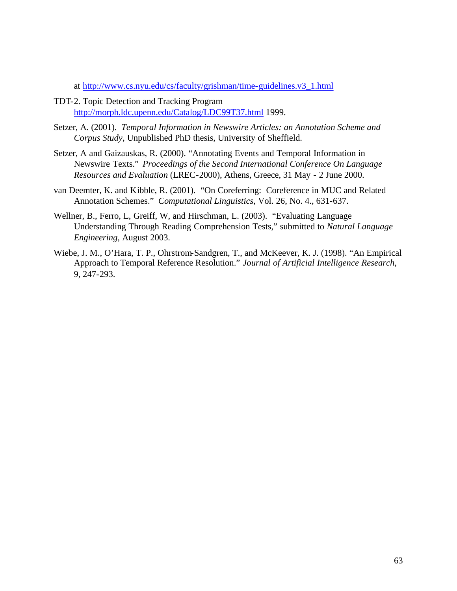at http://www.cs.nyu.edu/cs/faculty/grishman/time-guidelines.v3\_1.html

- TDT-2. Topic Detection and Tracking Program http://morph.ldc.upenn.edu/Catalog/LDC99T37.html 1999.
- Setzer, A. (2001). *Temporal Information in Newswire Articles: an Annotation Scheme and Corpus Study*, Unpublished PhD thesis, University of Sheffield.
- Setzer, A and Gaizauskas, R. (2000). "Annotating Events and Temporal Information in Newswire Texts." *Proceedings of the Second International Conference On Language Resources and Evaluation* (LREC-2000), Athens, Greece, 31 May - 2 June 2000.
- van Deemter, K. and Kibble, R. (2001). "On Coreferring: Coreference in MUC and Related Annotation Schemes." *Computational Linguistics*, Vol. 26, No. 4., 631-637.
- Wellner, B., Ferro, L, Greiff, W, and Hirschman, L. (2003). "Evaluating Language Understanding Through Reading Comprehension Tests," submitted to *Natural Language Engineering*, August 2003.
- Wiebe, J. M., O'Hara, T. P., Ohrstrom-Sandgren, T., and McKeever, K. J. (1998). "An Empirical Approach to Temporal Reference Resolution." *Journal of Artificial Intelligence Research*, 9, 247-293.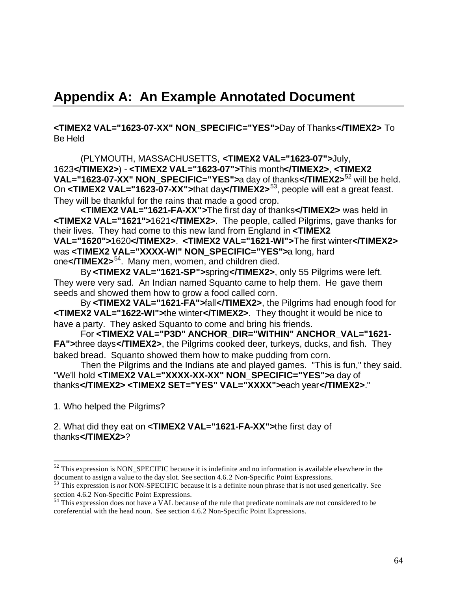# **Appendix A: An Example Annotated Document**

**<TIMEX2 VAL="1623-07-XX" NON\_SPECIFIC="YES">**Day of Thanks**</TIMEX2>** To Be Held

(PLYMOUTH, MASSACHUSETTS, **<TIMEX2 VAL="1623-07">**July, 1623**</TIMEX2>**) - **<TIMEX2 VAL="1623-07">**This month**</TIMEX2>**, **<TIMEX2 VAL="1623-07-XX" NON\_SPECIFIC="YES">**a day of thanks**</TIMEX2>**52 will be held. On **<TIMEX2 VAL="1623-07-XX">**that day**</TIMEX2>**53, people will eat a great feast. They will be thankful for the rains that made a good crop.

**<TIMEX2 VAL="1621-FA-XX">**The first day of thanks**</TIMEX2>** was held in **<TIMEX2 VAL="1621">**1621**</TIMEX2>**. The people, called Pilgrims, gave thanks for their lives. They had come to this new land from England in **<TIMEX2** 

**VAL="1620">**1620**</TIMEX2>**. **<TIMEX2 VAL="1621-WI">**The first winter**</TIMEX2>**  was **<TIMEX2 VAL="XXXX-WI" NON\_SPECIFIC="YES">**a long, hard one**</TIMEX2>**54. Many men, women, and children died.

By **<TIMEX2 VAL="1621-SP">**spring**</TIMEX2>**, only 55 Pilgrims were left. They were very sad. An Indian named Squanto came to help them. He gave them seeds and showed them how to grow a food called corn.

By **<TIMEX2 VAL="1621-FA">**fall**</TIMEX2>**, the Pilgrims had enough food for **<TIMEX2 VAL="1622-WI">**the winter**</TIMEX2>**. They thought it would be nice to have a party. They asked Squanto to come and bring his friends.

For **<TIMEX2 VAL="P3D" ANCHOR\_DIR="WITHIN" ANCHOR\_VAL="1621- FA">**three days**</TIMEX2>**, the Pilgrims cooked deer, turkeys, ducks, and fish. They baked bread. Squanto showed them how to make pudding from corn.

Then the Pilgrims and the Indians ate and played games. "This is fun," they said. "We'll hold **<TIMEX2 VAL="XXXX-XX-XX" NON\_SPECIFIC="YES">**a day of thanks**</TIMEX2> <TIMEX2 SET="YES" VAL="XXXX">**each year**</TIMEX2>**."

1. Who helped the Pilgrims?

### 2. What did they eat on **<TIMEX2 VAL="1621-FA-XX">**the first day of thanks**</TIMEX2>**?

 $52$  This expression is NON\_SPECIFIC because it is indefinite and no information is available elsewhere in the document to assign a value to the day slot. See section 4.6.2 Non-Specific Point Expressions.

<sup>53</sup> This expression is *not* NON-SPECIFIC because it is a definite noun phrase that is not used generically. See section 4.6.2 Non-Specific Point Expressions.

 $54$  This expression does not have a VAL because of the rule that predicate nominals are not considered to be coreferential with the head noun. See section 4.6.2 Non-Specific Point Expressions.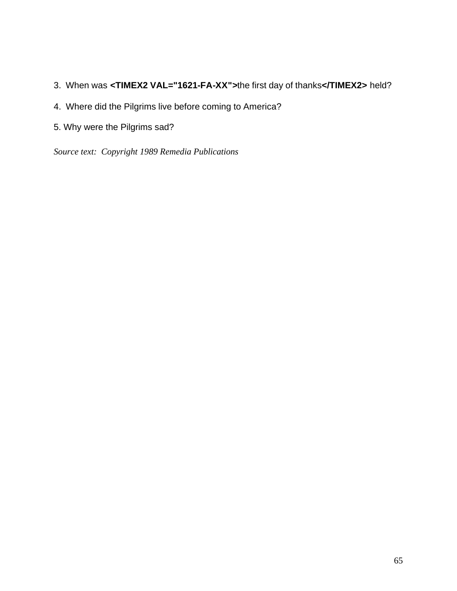- 3. When was **<TIMEX2 VAL="1621-FA-XX">**the first day of thanks**</TIMEX2>** held?
- 4. Where did the Pilgrims live before coming to America?
- 5. Why were the Pilgrims sad?

*Source text: Copyright 1989 Remedia Publications*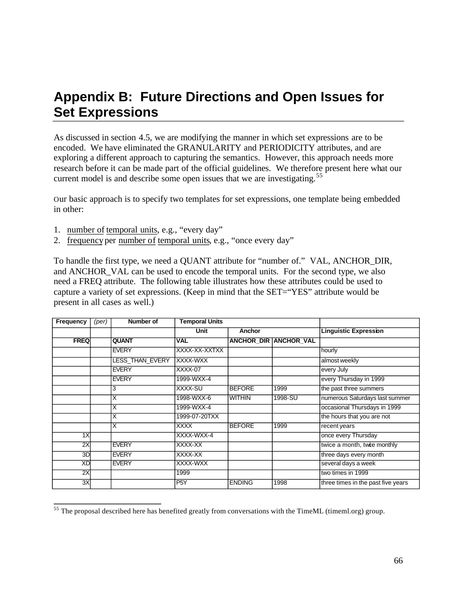# **Appendix B: Future Directions and Open Issues for Set Expressions**

As discussed in section 4.5, we are modifying the manner in which set expressions are to be encoded. We have eliminated the GRANULARITY and PERIODICITY attributes, and are exploring a different approach to capturing the semantics. However, this approach needs more research before it can be made part of the official guidelines. We therefore present here what our current model is and describe some open issues that we are investigating.<sup>55</sup>

Our basic approach is to specify two templates for set expressions, one template being embedded in other:

- 1. number of temporal units, e.g., "every day"
- 2. frequency per number of temporal units, e.g., "once every day"

To handle the first type, we need a QUANT attribute for "number of." VAL, ANCHOR\_DIR, and ANCHOR VAL can be used to encode the temporal units. For the second type, we also need a FREQ attribute. The following table illustrates how these attributes could be used to capture a variety of set expressions. (Keep in mind that the SET="YES" attribute would be present in all cases as well.)

| <b>Frequency</b> | (per) | Number of               | <b>Temporal Units</b> |               |                       |                                    |
|------------------|-------|-------------------------|-----------------------|---------------|-----------------------|------------------------------------|
|                  |       |                         | <b>Unit</b>           | Anchor        |                       | <b>Linguistic Expression</b>       |
| <b>FREQ</b>      |       | <b>QUANT</b>            | <b>VAL</b>            |               | ANCHOR_DIR ANCHOR_VAL |                                    |
|                  |       | <b>EVERY</b>            | XXXX-XX-XXTXX         |               |                       | hourly                             |
|                  |       | <b>LESS THAN EVERY</b>  | XXXX-WXX              |               |                       | almost weekly                      |
|                  |       | <b>EVERY</b>            | XXXX-07               |               |                       | every July                         |
|                  |       | <b>EVERY</b>            | 1999-WXX-4            |               |                       | every Thursday in 1999             |
|                  |       | 3                       | XXXX-SU               | <b>BEFORE</b> | 1999                  | the past three summers             |
|                  |       | $\overline{\mathsf{x}}$ | 1998-WXX-6            | <b>WITHIN</b> | 1998-SU               | numerous Saturdays last summer     |
|                  |       | $\overline{\mathsf{x}}$ | 1999-WXX-4            |               |                       | occasional Thursdays in 1999       |
|                  |       | X                       | 1999-07-20TXX         |               |                       | the hours that you are not         |
|                  |       | $\overline{\mathsf{x}}$ | <b>XXXX</b>           | <b>BEFORE</b> | 1999                  | recent years                       |
| 1X               |       |                         | XXXX-WXX-4            |               |                       | once every Thursday                |
| 2X               |       | <b>EVERY</b>            | XXXX-XX               |               |                       | twice a month, twie monthly        |
| 3D               |       | <b>EVERY</b>            | XXXX-XX               |               |                       | three days every month             |
| XD               |       | <b>EVERY</b>            | XXXX-WXX              |               |                       | several days a week                |
| 2X               |       |                         | 1999                  |               |                       | two times in 1999                  |
| 3X               |       |                         | P <sub>5</sub> Y      | <b>ENDING</b> | 1998                  | three times in the past five years |

<sup>&</sup>lt;sup>55</sup> The proposal described here has benefited greatly from conversations with the TimeML (timeml.org) group.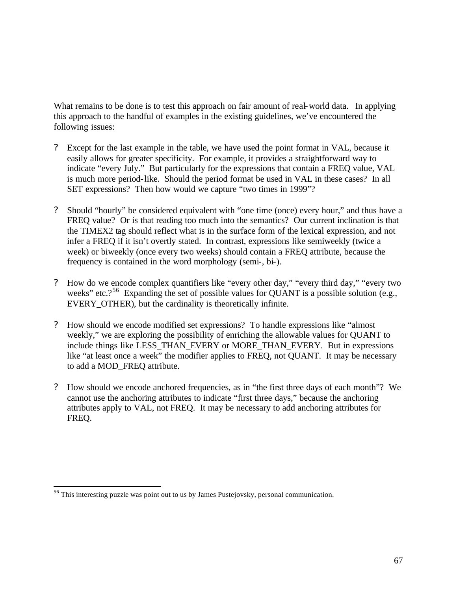What remains to be done is to test this approach on fair amount of real-world data. In applying this approach to the handful of examples in the existing guidelines, we've encountered the following issues:

- ? Except for the last example in the table, we have used the point format in VAL, because it easily allows for greater specificity. For example, it provides a straightforward way to indicate "every July." But particularly for the expressions that contain a FREQ value, VAL is much more period-like. Should the period format be used in VAL in these cases? In all SET expressions? Then how would we capture "two times in 1999"?
- ? Should "hourly" be considered equivalent with "one time (once) every hour," and thus have a FREQ value? Or is that reading too much into the semantics? Our current inclination is that the TIMEX2 tag should reflect what is in the surface form of the lexical expression, and not infer a FREQ if it isn't overtly stated. In contrast, expressions like semiweekly (twice a week) or biweekly (once every two weeks) should contain a FREQ attribute, because the frequency is contained in the word morphology (semi-, bi-).
- ? How do we encode complex quantifiers like "every other day," "every third day," "every two weeks" etc.?<sup>56</sup> Expanding the set of possible values for QUANT is a possible solution (e.g., EVERY OTHER), but the cardinality is theoretically infinite.
- ? How should we encode modified set expressions? To handle expressions like "almost weekly," we are exploring the possibility of enriching the allowable values for QUANT to include things like LESS\_THAN\_EVERY or MORE\_THAN\_EVERY. But in expressions like "at least once a week" the modifier applies to FREQ, not QUANT. It may be necessary to add a MOD\_FREQ attribute.
- ? How should we encode anchored frequencies, as in "the first three days of each month"? We cannot use the anchoring attributes to indicate "first three days," because the anchoring attributes apply to VAL, not FREQ. It may be necessary to add anchoring attributes for FREQ.

<sup>&</sup>lt;sup>56</sup> This interesting puzzle was point out to us by James Pustejovsky, personal communication.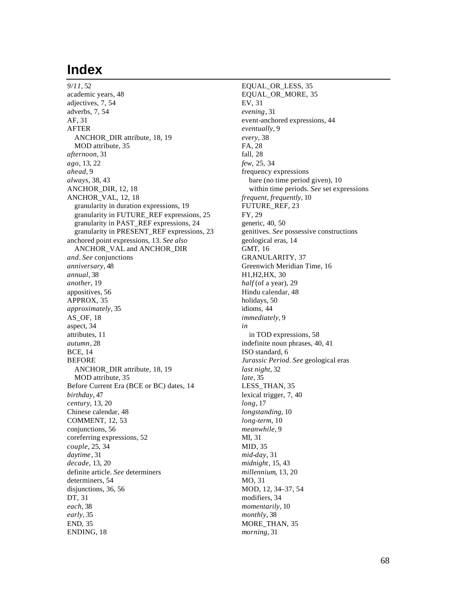# **Index**

*9/11*, 52 academic years, 48 adjectives, 7, 54 adverbs, 7, 54 AF, 31 AFTER ANCHOR\_DIR attribute, 18, 19 MOD attribute, 35 *afternoon*, 31 *ago*, 13, 22 *ahead*, 9 *always*, 38, 43 ANCHOR\_DIR, 12, 18 ANCHOR\_VAL, 12, 18 granularity in duration expressions, 19 granularity in FUTURE\_REF expressions, 25 granularity in PAST\_REF expressions, 24 granularity in PRESENT\_REF expressions, 23 anchored point expressions, 13. *See also*  ANCHOR\_VAL and ANCHOR\_DIR *and*. *See* conjunctions *anniversary*, 48 *annual*, 38 *another*, 19 appositives, 56 APPROX, 35 *approximately*, 35 AS\_OF, 18 aspect, 34 attributes, 11 *autumn*, 28 BCE, 14 BEFORE ANCHOR\_DIR attribute, 18, 19 MOD attribute, 35 Before Current Era (BCE or BC) dates, 14 *birthday*, 47 *century*, 13, 20 Chinese calendar, 48 COMMENT, 12, 53 conjunctions, 56 coreferring expressions, 52 *couple*, 25, 34 *daytime*, 31 *decade*, 13, 20 definite article. *See* determiners determiners, 54 disjunctions, 36, 56 DT, 31 *each*, 38 *early*, 35 END, 35 ENDING, 18

EQUAL\_OR\_LESS, 35 EQUAL\_OR\_MORE, 35 EV, 31 *evening*, 31 event-anchored expressions, 44 *eventually*, 9 *every*, 38 FA, 28 fall, 28 *few*, 25, 34 frequency expressions bare (no time period given), 10 within time periods. *See* set expressions *frequent, frequently*, 10 FUTURE\_REF, 23 FY, 29 generic, 40, 50 genitives. *See* possessive constructions geological eras, 14 GMT, 16 GRANULARITY, 37 Greenwich Meridian Time, 16 H1,H2,HX, 30 *half* (of a year), 29 Hindu calendar, 48 holidays, 50 idioms, 44 *immediately*, 9 *in* in TOD expressions, 58 indefinite noun phrases, 40, 41 ISO standard, 6 *Jurassic Period*. *See* geological eras *last night*, 32 *late*, 35 LESS\_THAN, 35 lexical trigger, 7, 40 *long*, 17 *longstanding*, 10 *long-term*, 10 *meanwhile*, 9 MI, 31 MID, 35 *mid-day*, 31 *midnight*, 15, 43 *millennium*, 13, 20 MO, 31 MOD, 12, 34–37, 54 modifiers, 34 *momentarily*, 10 *monthly*, 38 MORE\_THAN, 35 *morning*, 31